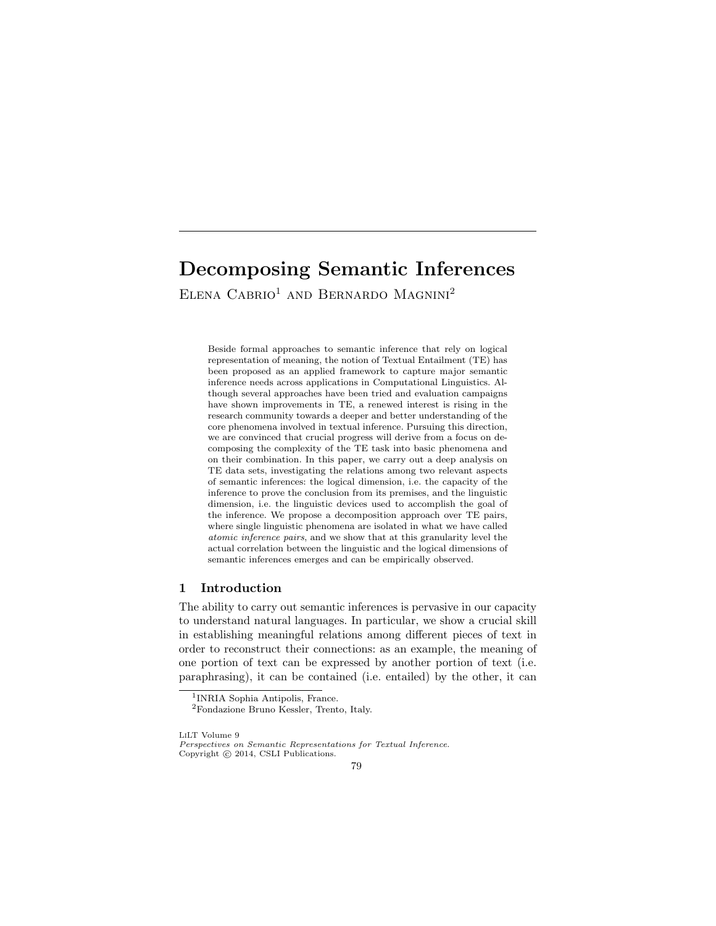# Decomposing Semantic Inferences

ELENA CABRIO<sup>1</sup> AND BERNARDO MAGNINI<sup>2</sup>

Beside formal approaches to semantic inference that rely on logical representation of meaning, the notion of Textual Entailment (TE) has been proposed as an applied framework to capture major semantic inference needs across applications in Computational Linguistics. Although several approaches have been tried and evaluation campaigns have shown improvements in TE, a renewed interest is rising in the research community towards a deeper and better understanding of the core phenomena involved in textual inference. Pursuing this direction, we are convinced that crucial progress will derive from a focus on decomposing the complexity of the TE task into basic phenomena and on their combination. In this paper, we carry out a deep analysis on TE data sets, investigating the relations among two relevant aspects of semantic inferences: the logical dimension, i.e. the capacity of the inference to prove the conclusion from its premises, and the linguistic dimension, i.e. the linguistic devices used to accomplish the goal of the inference. We propose a decomposition approach over TE pairs, where single linguistic phenomena are isolated in what we have called *atomic inference pairs*, and we show that at this granularity level the actual correlation between the linguistic and the logical dimensions of semantic inferences emerges and can be empirically observed.

# 1 Introduction

The ability to carry out semantic inferences is pervasive in our capacity to understand natural languages. In particular, we show a crucial skill in establishing meaningful relations among different pieces of text in order to reconstruct their connections: as an example, the meaning of one portion of text can be expressed by another portion of text (i.e. paraphrasing), it can be contained (i.e. entailed) by the other, it can

<sup>&</sup>lt;sup>1</sup>INRIA Sophia Antipolis, France.

<sup>2</sup>Fondazione Bruno Kessler, Trento, Italy.

LiLT Volume 9

*Perspectives on Semantic Representations for Textual Inference*. Copyright  $\odot$  2014, CSLI Publications.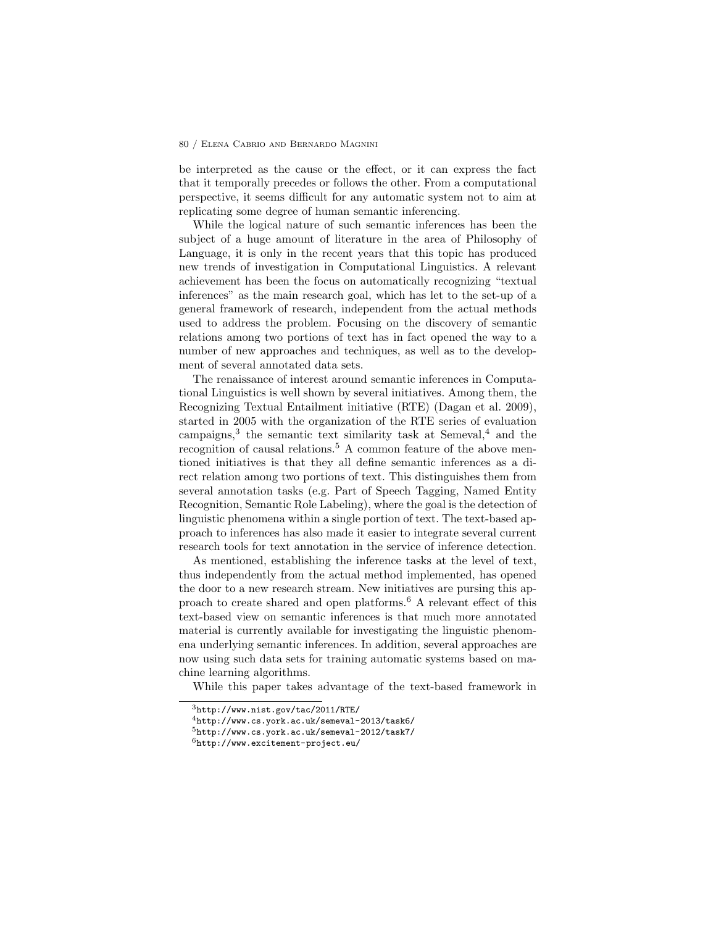be interpreted as the cause or the effect, or it can express the fact that it temporally precedes or follows the other. From a computational perspective, it seems difficult for any automatic system not to aim at replicating some degree of human semantic inferencing.

While the logical nature of such semantic inferences has been the subject of a huge amount of literature in the area of Philosophy of Language, it is only in the recent years that this topic has produced new trends of investigation in Computational Linguistics. A relevant achievement has been the focus on automatically recognizing "textual inferences" as the main research goal, which has let to the set-up of a general framework of research, independent from the actual methods used to address the problem. Focusing on the discovery of semantic relations among two portions of text has in fact opened the way to a number of new approaches and techniques, as well as to the development of several annotated data sets.

The renaissance of interest around semantic inferences in Computational Linguistics is well shown by several initiatives. Among them, the Recognizing Textual Entailment initiative (RTE) (Dagan et al. 2009), started in 2005 with the organization of the RTE series of evaluation campaigns,<sup>3</sup> the semantic text similarity task at Semeval,<sup>4</sup> and the recognition of causal relations.<sup>5</sup> A common feature of the above mentioned initiatives is that they all define semantic inferences as a direct relation among two portions of text. This distinguishes them from several annotation tasks (e.g. Part of Speech Tagging, Named Entity Recognition, Semantic Role Labeling), where the goal is the detection of linguistic phenomena within a single portion of text. The text-based approach to inferences has also made it easier to integrate several current research tools for text annotation in the service of inference detection.

As mentioned, establishing the inference tasks at the level of text, thus independently from the actual method implemented, has opened the door to a new research stream. New initiatives are pursing this approach to create shared and open platforms.<sup>6</sup> A relevant effect of this text-based view on semantic inferences is that much more annotated material is currently available for investigating the linguistic phenomena underlying semantic inferences. In addition, several approaches are now using such data sets for training automatic systems based on machine learning algorithms.

While this paper takes advantage of the text-based framework in

 $3$ http://www.nist.gov/tac/2011/RTE/

<sup>4</sup>http://www.cs.york.ac.uk/semeval-2013/task6/

<sup>5</sup>http://www.cs.york.ac.uk/semeval-2012/task7/

 $6$ http://www.excitement-project.eu/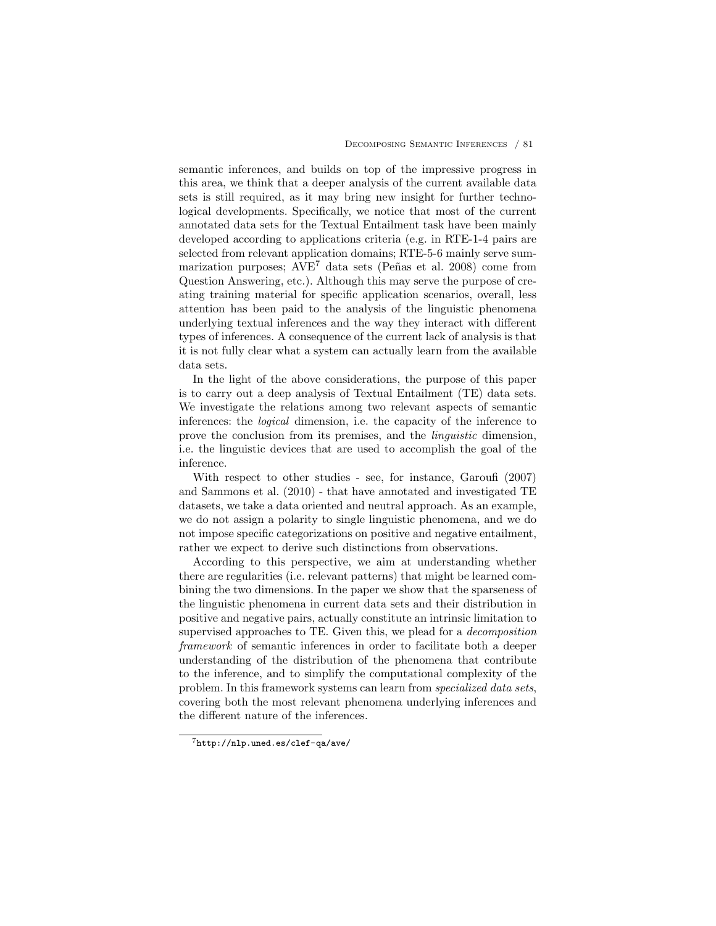semantic inferences, and builds on top of the impressive progress in this area, we think that a deeper analysis of the current available data sets is still required, as it may bring new insight for further technological developments. Specifically, we notice that most of the current annotated data sets for the Textual Entailment task have been mainly developed according to applications criteria (e.g. in RTE-1-4 pairs are selected from relevant application domains; RTE-5-6 mainly serve summarization purposes;  $AVE^{7}$  data sets (Peñas et al. 2008) come from Question Answering, etc.). Although this may serve the purpose of creating training material for specific application scenarios, overall, less attention has been paid to the analysis of the linguistic phenomena underlying textual inferences and the way they interact with different types of inferences. A consequence of the current lack of analysis is that it is not fully clear what a system can actually learn from the available data sets.

In the light of the above considerations, the purpose of this paper is to carry out a deep analysis of Textual Entailment (TE) data sets. We investigate the relations among two relevant aspects of semantic inferences: the *logical* dimension, i.e. the capacity of the inference to prove the conclusion from its premises, and the *linguistic* dimension, i.e. the linguistic devices that are used to accomplish the goal of the inference.

With respect to other studies - see, for instance, Garoufi (2007) and Sammons et al. (2010) - that have annotated and investigated TE datasets, we take a data oriented and neutral approach. As an example, we do not assign a polarity to single linguistic phenomena, and we do not impose specific categorizations on positive and negative entailment, rather we expect to derive such distinctions from observations.

According to this perspective, we aim at understanding whether there are regularities (i.e. relevant patterns) that might be learned combining the two dimensions. In the paper we show that the sparseness of the linguistic phenomena in current data sets and their distribution in positive and negative pairs, actually constitute an intrinsic limitation to supervised approaches to TE. Given this, we plead for a *decomposition framework* of semantic inferences in order to facilitate both a deeper understanding of the distribution of the phenomena that contribute to the inference, and to simplify the computational complexity of the problem. In this framework systems can learn from *specialized data sets*, covering both the most relevant phenomena underlying inferences and the different nature of the inferences.

<sup>7</sup>http://nlp.uned.es/clef-qa/ave/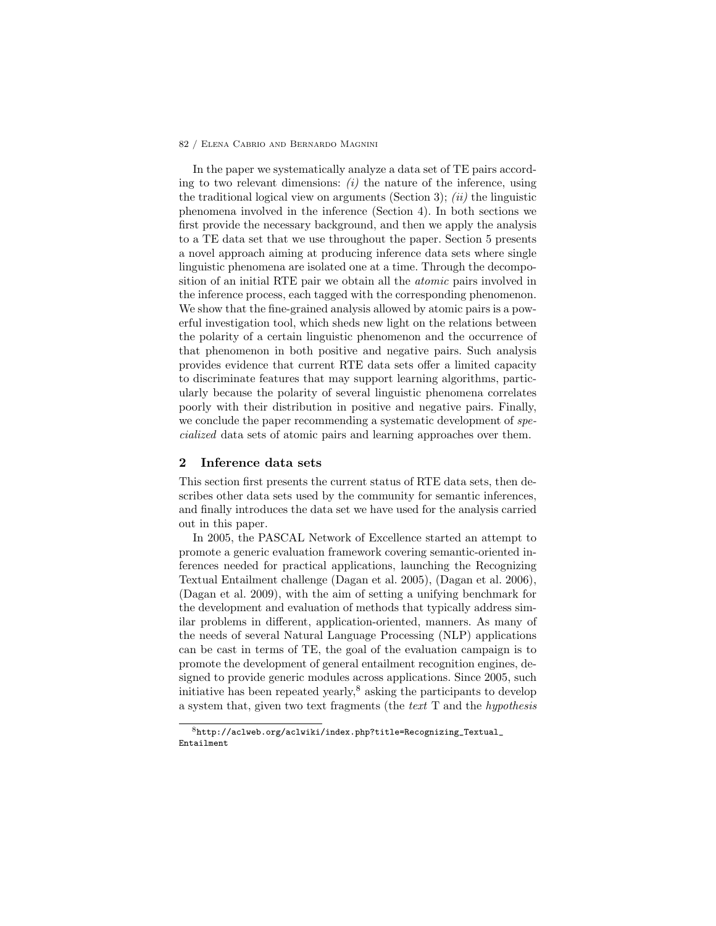In the paper we systematically analyze a data set of TE pairs according to two relevant dimensions: *(i)* the nature of the inference, using the traditional logical view on arguments (Section 3); *(ii)* the linguistic phenomena involved in the inference (Section 4). In both sections we first provide the necessary background, and then we apply the analysis to a TE data set that we use throughout the paper. Section 5 presents a novel approach aiming at producing inference data sets where single linguistic phenomena are isolated one at a time. Through the decomposition of an initial RTE pair we obtain all the *atomic* pairs involved in the inference process, each tagged with the corresponding phenomenon. We show that the fine-grained analysis allowed by atomic pairs is a powerful investigation tool, which sheds new light on the relations between the polarity of a certain linguistic phenomenon and the occurrence of that phenomenon in both positive and negative pairs. Such analysis provides evidence that current RTE data sets offer a limited capacity to discriminate features that may support learning algorithms, particularly because the polarity of several linguistic phenomena correlates poorly with their distribution in positive and negative pairs. Finally, we conclude the paper recommending a systematic development of *specialized* data sets of atomic pairs and learning approaches over them.

### 2 Inference data sets

This section first presents the current status of RTE data sets, then describes other data sets used by the community for semantic inferences, and finally introduces the data set we have used for the analysis carried out in this paper.

In 2005, the PASCAL Network of Excellence started an attempt to promote a generic evaluation framework covering semantic-oriented inferences needed for practical applications, launching the Recognizing Textual Entailment challenge (Dagan et al. 2005), (Dagan et al. 2006), (Dagan et al. 2009), with the aim of setting a unifying benchmark for the development and evaluation of methods that typically address similar problems in different, application-oriented, manners. As many of the needs of several Natural Language Processing (NLP) applications can be cast in terms of TE, the goal of the evaluation campaign is to promote the development of general entailment recognition engines, designed to provide generic modules across applications. Since 2005, such initiative has been repeated yearly, $^8$  asking the participants to develop a system that, given two text fragments (the *text* T and the *hypothesis*

<sup>8</sup>http://aclweb.org/aclwiki/index.php?title=Recognizing\_Textual\_ Entailment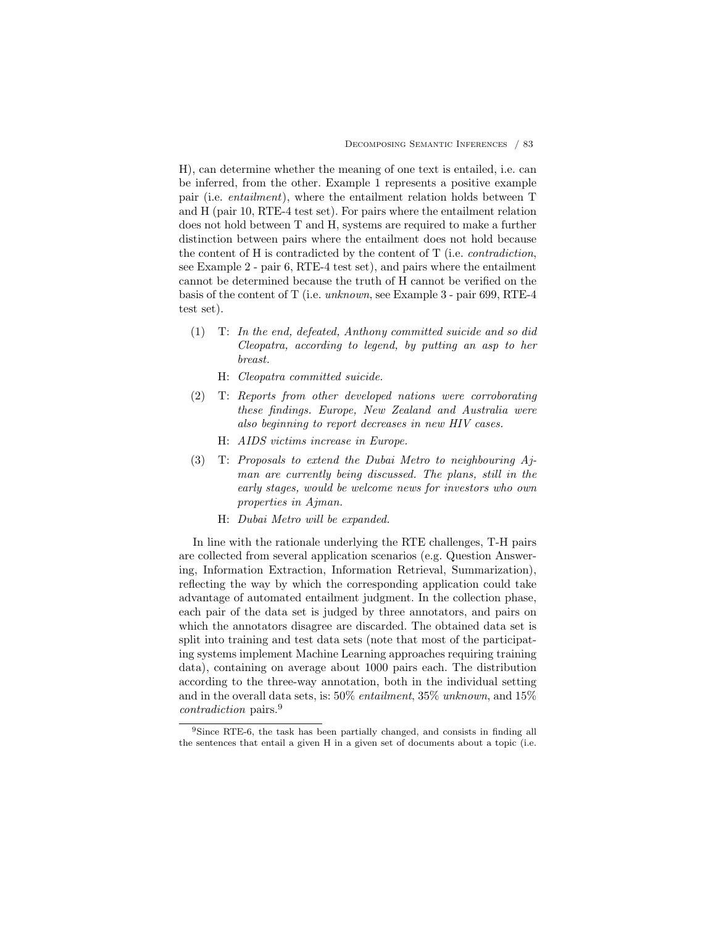H), can determine whether the meaning of one text is entailed, i.e. can be inferred, from the other. Example 1 represents a positive example pair (i.e. *entailment*), where the entailment relation holds between T and H (pair 10, RTE-4 test set). For pairs where the entailment relation does not hold between T and H, systems are required to make a further distinction between pairs where the entailment does not hold because the content of H is contradicted by the content of T (i.e. *contradiction*, see Example 2 - pair 6, RTE-4 test set), and pairs where the entailment cannot be determined because the truth of H cannot be verified on the basis of the content of T (i.e. *unknown*, see Example 3 - pair 699, RTE-4 test set).

- (1) T: *In the end, defeated, Anthony committed suicide and so did Cleopatra, according to legend, by putting an asp to her breast.*
	- H: *Cleopatra committed suicide.*
- (2) T: *Reports from other developed nations were corroborating these findings. Europe, New Zealand and Australia were also beginning to report decreases in new HIV cases.*
	- H: *AIDS victims increase in Europe.*
- (3) T: *Proposals to extend the Dubai Metro to neighbouring Ajman are currently being discussed. The plans, still in the early stages, would be welcome news for investors who own properties in Ajman.*
	- H: *Dubai Metro will be expanded.*

In line with the rationale underlying the RTE challenges, T-H pairs are collected from several application scenarios (e.g. Question Answering, Information Extraction, Information Retrieval, Summarization), reflecting the way by which the corresponding application could take advantage of automated entailment judgment. In the collection phase, each pair of the data set is judged by three annotators, and pairs on which the annotators disagree are discarded. The obtained data set is split into training and test data sets (note that most of the participating systems implement Machine Learning approaches requiring training data), containing on average about 1000 pairs each. The distribution according to the three-way annotation, both in the individual setting and in the overall data sets, is: 50% *entailment*, 35% *unknown*, and 15% *contradiction* pairs.<sup>9</sup>

<sup>9</sup>Since RTE-6, the task has been partially changed, and consists in finding all the sentences that entail a given H in a given set of documents about a topic (i.e.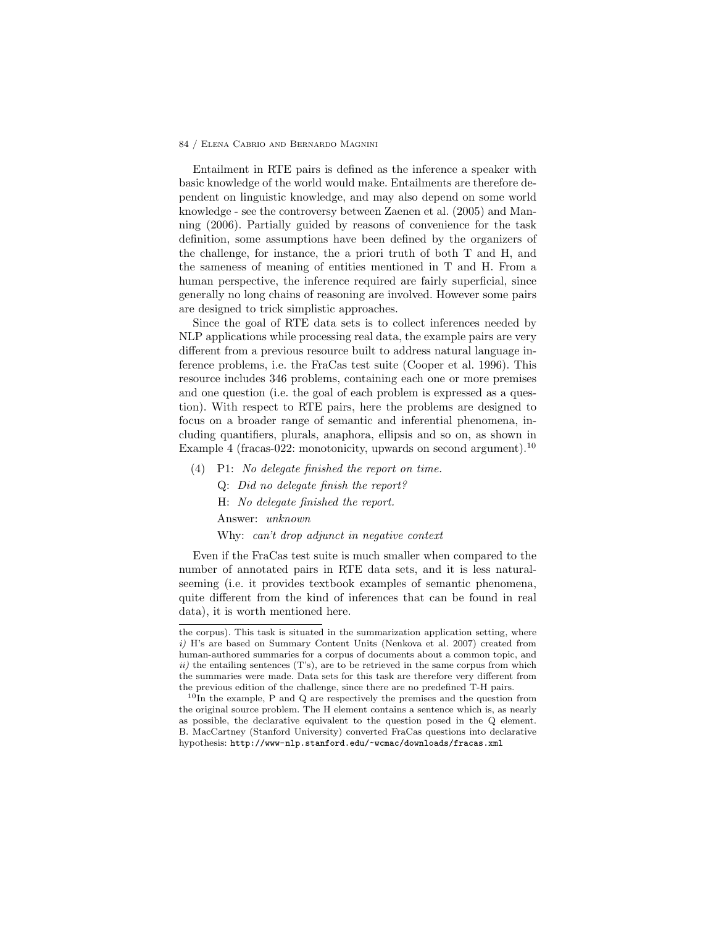Entailment in RTE pairs is defined as the inference a speaker with basic knowledge of the world would make. Entailments are therefore dependent on linguistic knowledge, and may also depend on some world knowledge - see the controversy between Zaenen et al. (2005) and Manning (2006). Partially guided by reasons of convenience for the task definition, some assumptions have been defined by the organizers of the challenge, for instance, the a priori truth of both T and H, and the sameness of meaning of entities mentioned in T and H. From a human perspective, the inference required are fairly superficial, since generally no long chains of reasoning are involved. However some pairs are designed to trick simplistic approaches.

Since the goal of RTE data sets is to collect inferences needed by NLP applications while processing real data, the example pairs are very different from a previous resource built to address natural language inference problems, i.e. the FraCas test suite (Cooper et al. 1996). This resource includes 346 problems, containing each one or more premises and one question (i.e. the goal of each problem is expressed as a question). With respect to RTE pairs, here the problems are designed to focus on a broader range of semantic and inferential phenomena, including quantifiers, plurals, anaphora, ellipsis and so on, as shown in Example 4 (fracas-022: monotonicity, upwards on second argument).<sup>10</sup>

- (4) P1: *No delegate finished the report on time.*
	- Q: *Did no delegate finish the report?*
	- H: *No delegate finished the report.*

Answer: *unknown*

Why: *can't drop adjunct in negative context*

Even if the FraCas test suite is much smaller when compared to the number of annotated pairs in RTE data sets, and it is less naturalseeming (i.e. it provides textbook examples of semantic phenomena, quite different from the kind of inferences that can be found in real data), it is worth mentioned here.

the corpus). This task is situated in the summarization application setting, where *i)* H's are based on Summary Content Units (Nenkova et al. 2007) created from human-authored summaries for a corpus of documents about a common topic, and *ii*) the entailing sentences (T's), are to be retrieved in the same corpus from which the summaries were made. Data sets for this task are therefore very different from the previous edition of the challenge, since there are no predefined T-H pairs.

<sup>&</sup>lt;sup>10</sup>In the example, P and Q are respectively the premises and the question from the original source problem. The H element contains a sentence which is, as nearly as possible, the declarative equivalent to the question posed in the Q element. B. MacCartney (Stanford University) converted FraCas questions into declarative hypothesis: http://www-nlp.stanford.edu/~wcmac/downloads/fracas.xml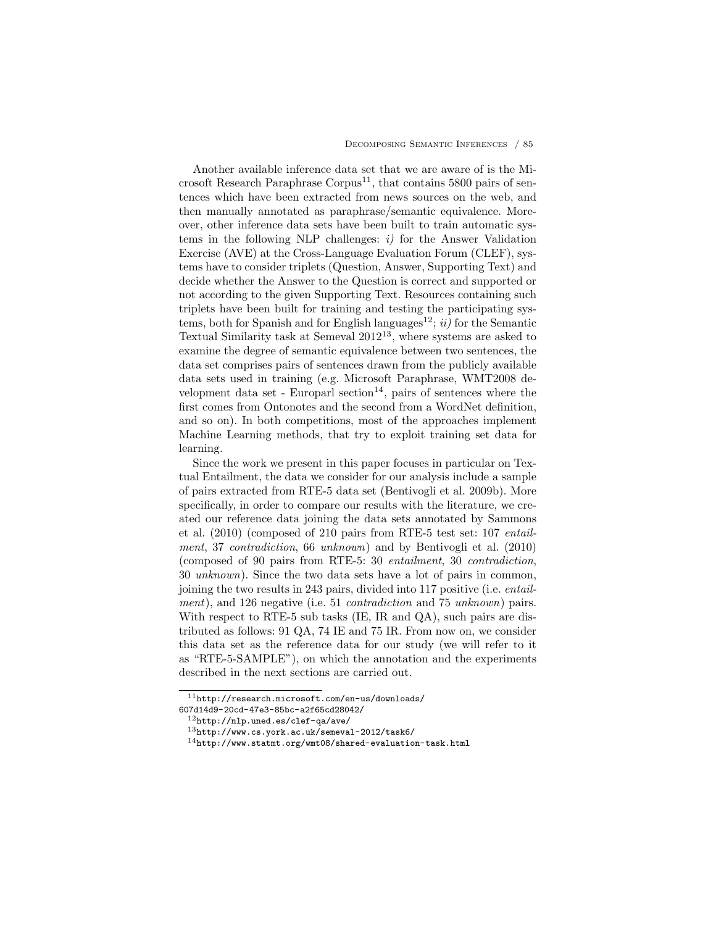Another available inference data set that we are aware of is the Microsoft Research Paraphrase Corpus<sup>11</sup>, that contains  $5800$  pairs of sentences which have been extracted from news sources on the web, and then manually annotated as paraphrase/semantic equivalence. Moreover, other inference data sets have been built to train automatic systems in the following NLP challenges: *i)* for the Answer Validation Exercise (AVE) at the Cross-Language Evaluation Forum (CLEF), systems have to consider triplets (Question, Answer, Supporting Text) and decide whether the Answer to the Question is correct and supported or not according to the given Supporting Text. Resources containing such triplets have been built for training and testing the participating systems, both for Spanish and for English languages<sup>12</sup>; *ii*) for the Semantic Textual Similarity task at Semeval  $2012^{13}$ , where systems are asked to examine the degree of semantic equivalence between two sentences, the data set comprises pairs of sentences drawn from the publicly available data sets used in training (e.g. Microsoft Paraphrase, WMT2008 development data set - Europarl section<sup>14</sup>, pairs of sentences where the first comes from Ontonotes and the second from a WordNet definition, and so on). In both competitions, most of the approaches implement Machine Learning methods, that try to exploit training set data for learning.

Since the work we present in this paper focuses in particular on Textual Entailment, the data we consider for our analysis include a sample of pairs extracted from RTE-5 data set (Bentivogli et al. 2009b). More specifically, in order to compare our results with the literature, we created our reference data joining the data sets annotated by Sammons et al. (2010) (composed of 210 pairs from RTE-5 test set: 107 *entailment*, 37 *contradiction*, 66 *unknown*) and by Bentivogli et al. (2010) (composed of 90 pairs from RTE-5: 30 *entailment*, 30 *contradiction*, 30 *unknown*). Since the two data sets have a lot of pairs in common, joining the two results in 243 pairs, divided into 117 positive (i.e. *entailment*), and 126 negative (i.e. 51 *contradiction* and 75 *unknown*) pairs. With respect to RTE-5 sub tasks (IE, IR and QA), such pairs are distributed as follows: 91 QA, 74 IE and 75 IR. From now on, we consider this data set as the reference data for our study (we will refer to it as "RTE-5-SAMPLE"), on which the annotation and the experiments described in the next sections are carried out.

 $^{11}\mathrm{http://research.microsoft.com/en-us/downloads/}$ 

<sup>607</sup>d14d9-20cd-47e3-85bc-a2f65cd28042/

 $12$ http://nlp.uned.es/clef-qa/ave/

<sup>13</sup>http://www.cs.york.ac.uk/semeval-2012/task6/

<sup>14</sup>http://www.statmt.org/wmt08/shared-evaluation-task.html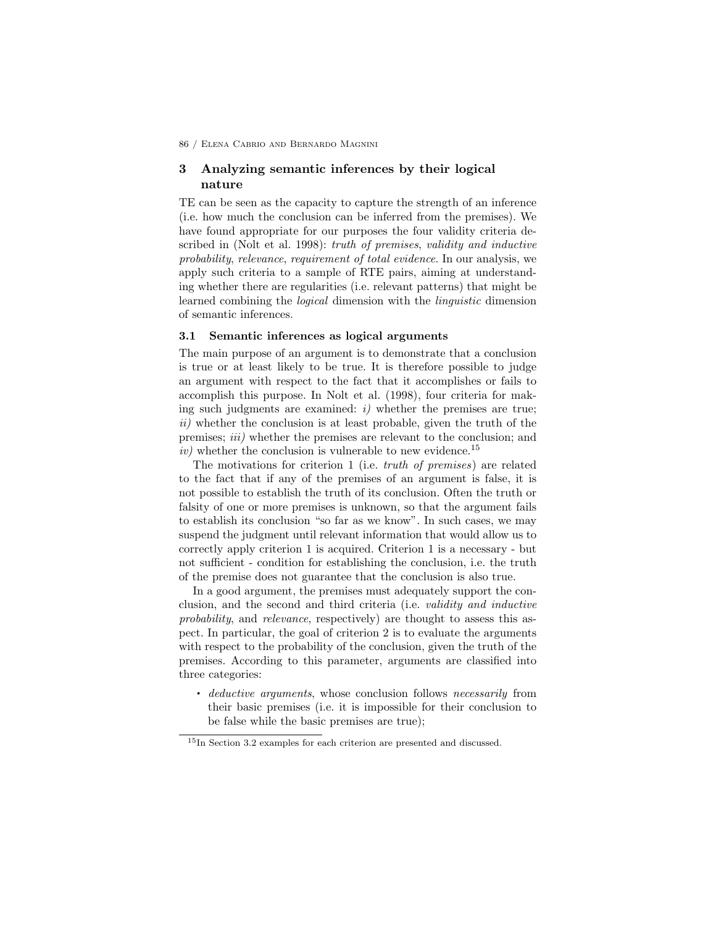# 3 Analyzing semantic inferences by their logical nature

TE can be seen as the capacity to capture the strength of an inference (i.e. how much the conclusion can be inferred from the premises). We have found appropriate for our purposes the four validity criteria described in (Nolt et al. 1998): *truth of premises*, *validity and inductive probability*, *relevance*, *requirement of total evidence*. In our analysis, we apply such criteria to a sample of RTE pairs, aiming at understanding whether there are regularities (i.e. relevant patterns) that might be learned combining the *logical* dimension with the *linguistic* dimension of semantic inferences.

### 3.1 Semantic inferences as logical arguments

The main purpose of an argument is to demonstrate that a conclusion is true or at least likely to be true. It is therefore possible to judge an argument with respect to the fact that it accomplishes or fails to accomplish this purpose. In Nolt et al. (1998), four criteria for making such judgments are examined: *i)* whether the premises are true; *ii)* whether the conclusion is at least probable, given the truth of the premises; *iii)* whether the premises are relevant to the conclusion; and  $iv)$  whether the conclusion is vulnerable to new evidence.<sup>15</sup>

The motivations for criterion 1 (i.e. *truth of premises*) are related to the fact that if any of the premises of an argument is false, it is not possible to establish the truth of its conclusion. Often the truth or falsity of one or more premises is unknown, so that the argument fails to establish its conclusion "so far as we know". In such cases, we may suspend the judgment until relevant information that would allow us to correctly apply criterion 1 is acquired. Criterion 1 is a necessary - but not sufficient - condition for establishing the conclusion, i.e. the truth of the premise does not guarantee that the conclusion is also true.

In a good argument, the premises must adequately support the conclusion, and the second and third criteria (i.e. *validity and inductive probability*, and *relevance*, respectively) are thought to assess this aspect. In particular, the goal of criterion 2 is to evaluate the arguments with respect to the probability of the conclusion, given the truth of the premises. According to this parameter, arguments are classified into three categories:

. *deductive arguments*, whose conclusion follows *necessarily* from their basic premises (i.e. it is impossible for their conclusion to be false while the basic premises are true);

 $^{15}{\rm In}$  Section 3.2 examples for each criterion are presented and discussed.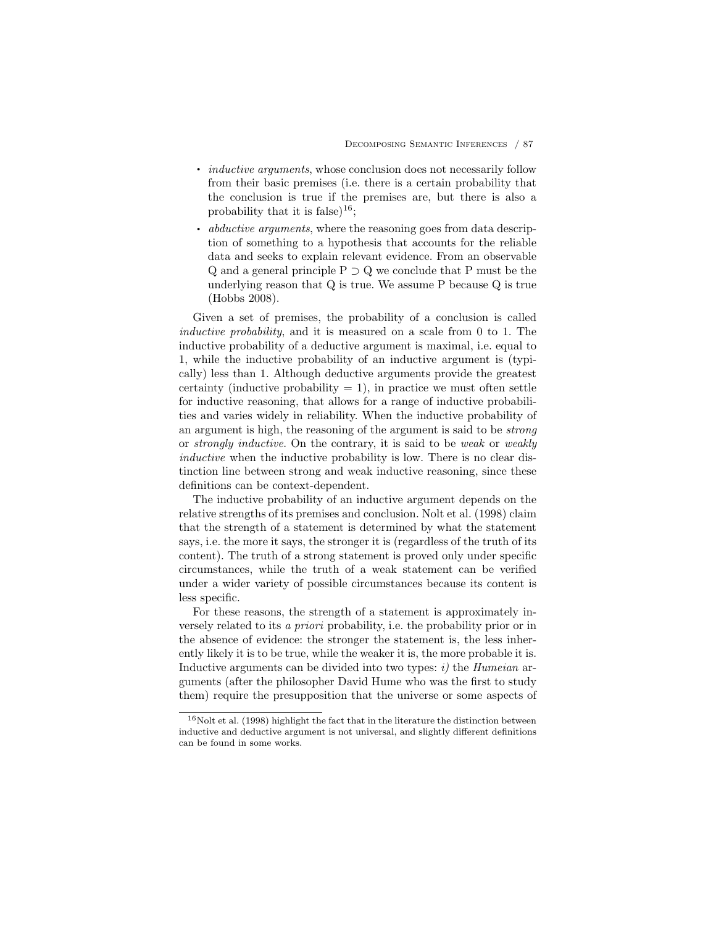- . *inductive arguments*, whose conclusion does not necessarily follow from their basic premises (i.e. there is a certain probability that the conclusion is true if the premises are, but there is also a probability that it is false $16$ ;
- . *abductive arguments*, where the reasoning goes from data description of something to a hypothesis that accounts for the reliable data and seeks to explain relevant evidence. From an observable Q and a general principle  $P \supset Q$  we conclude that P must be the underlying reason that Q is true. We assume P because Q is true (Hobbs 2008).

Given a set of premises, the probability of a conclusion is called *inductive probability*, and it is measured on a scale from 0 to 1. The inductive probability of a deductive argument is maximal, i.e. equal to 1, while the inductive probability of an inductive argument is (typically) less than 1. Although deductive arguments provide the greatest certainty (inductive probability  $= 1$ ), in practice we must often settle for inductive reasoning, that allows for a range of inductive probabilities and varies widely in reliability. When the inductive probability of an argument is high, the reasoning of the argument is said to be *strong* or *strongly inductive*. On the contrary, it is said to be *weak* or *weakly inductive* when the inductive probability is low. There is no clear distinction line between strong and weak inductive reasoning, since these definitions can be context-dependent.

The inductive probability of an inductive argument depends on the relative strengths of its premises and conclusion. Nolt et al. (1998) claim that the strength of a statement is determined by what the statement says, i.e. the more it says, the stronger it is (regardless of the truth of its content). The truth of a strong statement is proved only under specific circumstances, while the truth of a weak statement can be verified under a wider variety of possible circumstances because its content is less specific.

For these reasons, the strength of a statement is approximately inversely related to its *a priori* probability, i.e. the probability prior or in the absence of evidence: the stronger the statement is, the less inherently likely it is to be true, while the weaker it is, the more probable it is. Inductive arguments can be divided into two types: *i)* the *Humeian* arguments (after the philosopher David Hume who was the first to study them) require the presupposition that the universe or some aspects of

 $^{16}\rm{Nolt}$  et al. (1998) highlight the fact that in the literature the distinction between inductive and deductive argument is not universal, and slightly different definitions can be found in some works.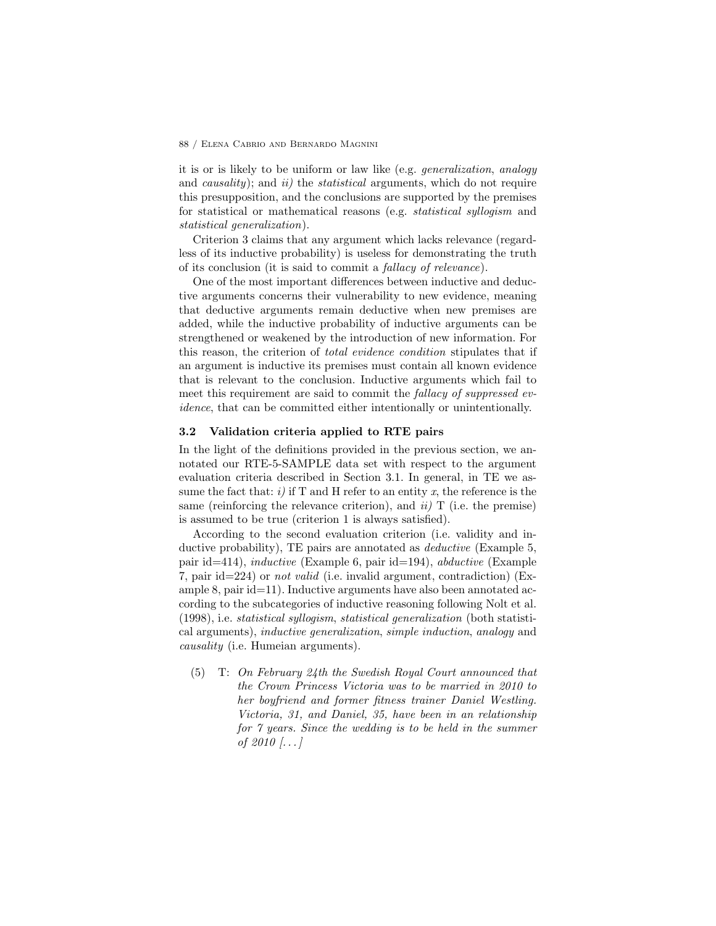it is or is likely to be uniform or law like (e.g. *generalization*, *analogy* and *causality*); and *ii)* the *statistical* arguments, which do not require this presupposition, and the conclusions are supported by the premises for statistical or mathematical reasons (e.g. *statistical syllogism* and *statistical generalization*).

Criterion 3 claims that any argument which lacks relevance (regardless of its inductive probability) is useless for demonstrating the truth of its conclusion (it is said to commit a *fallacy of relevance*).

One of the most important differences between inductive and deductive arguments concerns their vulnerability to new evidence, meaning that deductive arguments remain deductive when new premises are added, while the inductive probability of inductive arguments can be strengthened or weakened by the introduction of new information. For this reason, the criterion of *total evidence condition* stipulates that if an argument is inductive its premises must contain all known evidence that is relevant to the conclusion. Inductive arguments which fail to meet this requirement are said to commit the *fallacy of suppressed evidence*, that can be committed either intentionally or unintentionally.

# 3.2 Validation criteria applied to RTE pairs

In the light of the definitions provided in the previous section, we annotated our RTE-5-SAMPLE data set with respect to the argument evaluation criteria described in Section 3.1. In general, in TE we assume the fact that:  $i$ ) if T and H refer to an entity  $x$ , the reference is the same (reinforcing the relevance criterion), and  $ii$ ) T (i.e. the premise) is assumed to be true (criterion 1 is always satisfied).

According to the second evaluation criterion (i.e. validity and inductive probability), TE pairs are annotated as *deductive* (Example 5, pair id=414), *inductive* (Example 6, pair id=194), *abductive* (Example 7, pair id=224) or *not valid* (i.e. invalid argument, contradiction) (Example 8, pair  $id=11$ ). Inductive arguments have also been annotated according to the subcategories of inductive reasoning following Nolt et al. (1998), i.e. *statistical syllogism*, *statistical generalization* (both statistical arguments), *inductive generalization*, *simple induction*, *analogy* and *causality* (i.e. Humeian arguments).

(5) T: *On February 24th the Swedish Royal Court announced that the Crown Princess Victoria was to be married in 2010 to her boyfriend and former fitness trainer Daniel Westling. Victoria, 31, and Daniel, 35, have been in an relationship for 7 years. Since the wedding is to be held in the summer of 2010 [. . . ]*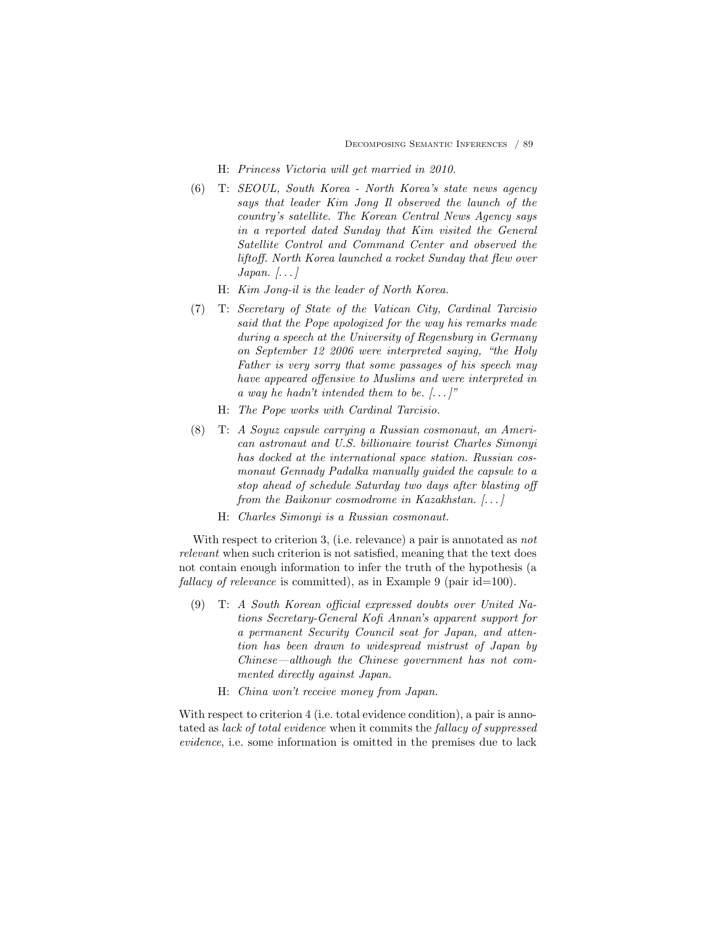- H: *Princess Victoria will get married in 2010.*
- (6) T: *SEOUL, South Korea North Korea's state news agency says that leader Kim Jong Il observed the launch of the country's satellite. The Korean Central News Agency says in a reported dated Sunday that Kim visited the General Satellite Control and Command Center and observed the liftoff.* North Korea launched a rocket Sunday that flew over *Japan. [. . . ]*
	- H: *Kim Jong-il is the leader of North Korea.*
- (7) T: *Secretary of State of the Vatican City, Cardinal Tarcisio said that the Pope apologized for the way his remarks made during a speech at the University of Regensburg in Germany on September 12 2006 were interpreted saying, "the Holy Father is very sorry that some passages of his speech may have appeared offensive to Muslims and were interpreted in a way he hadn't intended them to be. [. . . ]"*
	- H: *The Pope works with Cardinal Tarcisio.*
- (8) T: *A Soyuz capsule carrying a Russian cosmonaut, an American astronaut and U.S. billionaire tourist Charles Simonyi has docked at the international space station. Russian cosmonaut Gennady Padalka manually guided the capsule to a stop ahead of schedule Saturday two days after blasting off from the Baikonur cosmodrome in Kazakhstan. [. . . ]*
	- H: *Charles Simonyi is a Russian cosmonaut.*

With respect to criterion 3, (i.e. relevance) a pair is annotated as *not relevant* when such criterion is not satisfied, meaning that the text does not contain enough information to infer the truth of the hypothesis (a *fallacy of relevance* is committed), as in Example 9 (pair id=100).

- (9) T: *A South Korean ocial expressed doubts over United Nations Secretary-General Kofi Annan's apparent support for a permanent Security Council seat for Japan, and attention has been drawn to widespread mistrust of Japan by Chinese—although the Chinese government has not commented directly against Japan.*
	- H: *China won't receive money from Japan.*

With respect to criterion 4 (i.e. total evidence condition), a pair is annotated as *lack of total evidence* when it commits the *fallacy of suppressed evidence*, i.e. some information is omitted in the premises due to lack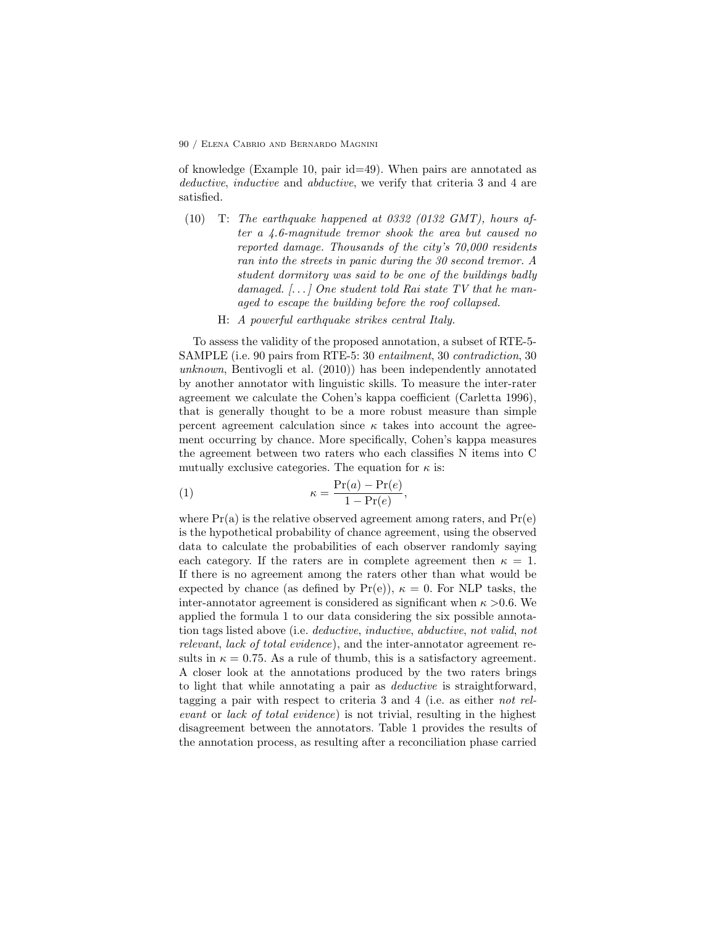of knowledge (Example 10, pair  $id=49$ ). When pairs are annotated as *deductive*, *inductive* and *abductive*, we verify that criteria 3 and 4 are satisfied.

- (10) T: *The earthquake happened at 0332 (0132 GMT), hours after a 4.6-magnitude tremor shook the area but caused no reported damage. Thousands of the city's 70,000 residents ran into the streets in panic during the 30 second tremor. A student dormitory was said to be one of the buildings badly damaged. [. . . ] One student told Rai state TV that he managed to escape the building before the roof collapsed.*
	- H: *A powerful earthquake strikes central Italy.*

To assess the validity of the proposed annotation, a subset of RTE-5- SAMPLE (i.e. 90 pairs from RTE-5: 30 *entailment*, 30 *contradiction*, 30 *unknown*, Bentivogli et al. (2010)) has been independently annotated by another annotator with linguistic skills. To measure the inter-rater agreement we calculate the Cohen's kappa coefficient (Carletta 1996), that is generally thought to be a more robust measure than simple percent agreement calculation since  $\kappa$  takes into account the agreement occurring by chance. More specifically, Cohen's kappa measures the agreement between two raters who each classifies N items into C mutually exclusive categories. The equation for  $\kappa$  is:

(1) 
$$
\kappa = \frac{\Pr(a) - \Pr(e)}{1 - \Pr(e)},
$$

where  $Pr(a)$  is the relative observed agreement among raters, and  $Pr(e)$ is the hypothetical probability of chance agreement, using the observed data to calculate the probabilities of each observer randomly saying each category. If the raters are in complete agreement then  $\kappa = 1$ . If there is no agreement among the raters other than what would be expected by chance (as defined by  $Pr(e)$ ),  $\kappa = 0$ . For NLP tasks, the inter-annotator agreement is considered as significant when  $\kappa > 0.6$ . We applied the formula 1 to our data considering the six possible annotation tags listed above (i.e. *deductive*, *inductive*, *abductive*, *not valid*, *not relevant*, *lack of total evidence*), and the inter-annotator agreement results in  $\kappa = 0.75$ . As a rule of thumb, this is a satisfactory agreement. A closer look at the annotations produced by the two raters brings to light that while annotating a pair as *deductive* is straightforward, tagging a pair with respect to criteria 3 and 4 (i.e. as either *not relevant* or *lack of total evidence*) is not trivial, resulting in the highest disagreement between the annotators. Table 1 provides the results of the annotation process, as resulting after a reconciliation phase carried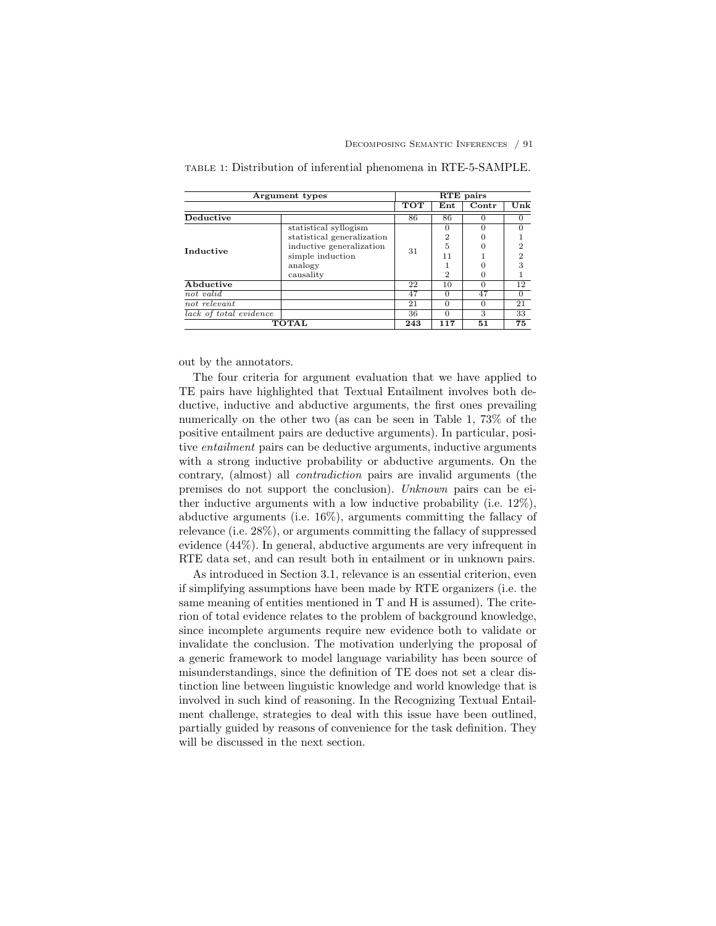| Argument types            |                                                                                                                             |            | RTE pairs                                               |       |                                       |  |
|---------------------------|-----------------------------------------------------------------------------------------------------------------------------|------------|---------------------------------------------------------|-------|---------------------------------------|--|
|                           |                                                                                                                             | <b>TOT</b> | $_{\rm Ent}$                                            | Contr | $\overline{\text{Unk}}$               |  |
| Deductive                 |                                                                                                                             | 86         | 86                                                      |       |                                       |  |
| Inductive                 | statistical syllogism<br>statistical generalization<br>inductive generalization<br>simple induction<br>analogy<br>causality | 31         | $\Omega$<br>$\overline{2}$<br>5<br>11<br>$\overline{2}$ |       | $\overline{2}$<br>$\overline{2}$<br>3 |  |
| Abductive                 |                                                                                                                             | 22         | 10                                                      |       | 12                                    |  |
| not valid                 |                                                                                                                             | 47         | 0                                                       | 47    | $\Omega$                              |  |
| $\overline{not}$ relevant |                                                                                                                             | 21         | $\Omega$                                                | 0     | 21                                    |  |
| lack of total evidence    |                                                                                                                             | 36         | $\Omega$                                                | 3     | 33                                    |  |
|                           | <b>TOTAL</b>                                                                                                                | 243        | 117                                                     | 51    | 75                                    |  |

# TABLE 1: Distribution of inferential phenomena in RTE-5-SAMPLE.

out by the annotators.

The four criteria for argument evaluation that we have applied to TE pairs have highlighted that Textual Entailment involves both deductive, inductive and abductive arguments, the first ones prevailing numerically on the other two (as can be seen in Table 1, 73% of the positive entailment pairs are deductive arguments). In particular, positive *entailment* pairs can be deductive arguments, inductive arguments with a strong inductive probability or abductive arguments. On the contrary, (almost) all *contradiction* pairs are invalid arguments (the premises do not support the conclusion). *Unknown* pairs can be either inductive arguments with a low inductive probability (i.e. 12%), abductive arguments (i.e. 16%), arguments committing the fallacy of relevance (i.e. 28%), or arguments committing the fallacy of suppressed evidence (44%). In general, abductive arguments are very infrequent in RTE data set, and can result both in entailment or in unknown pairs.

As introduced in Section 3.1, relevance is an essential criterion, even if simplifying assumptions have been made by RTE organizers (i.e. the same meaning of entities mentioned in T and H is assumed). The criterion of total evidence relates to the problem of background knowledge, since incomplete arguments require new evidence both to validate or invalidate the conclusion. The motivation underlying the proposal of a generic framework to model language variability has been source of misunderstandings, since the definition of TE does not set a clear distinction line between linguistic knowledge and world knowledge that is involved in such kind of reasoning. In the Recognizing Textual Entailment challenge, strategies to deal with this issue have been outlined, partially guided by reasons of convenience for the task definition. They will be discussed in the next section.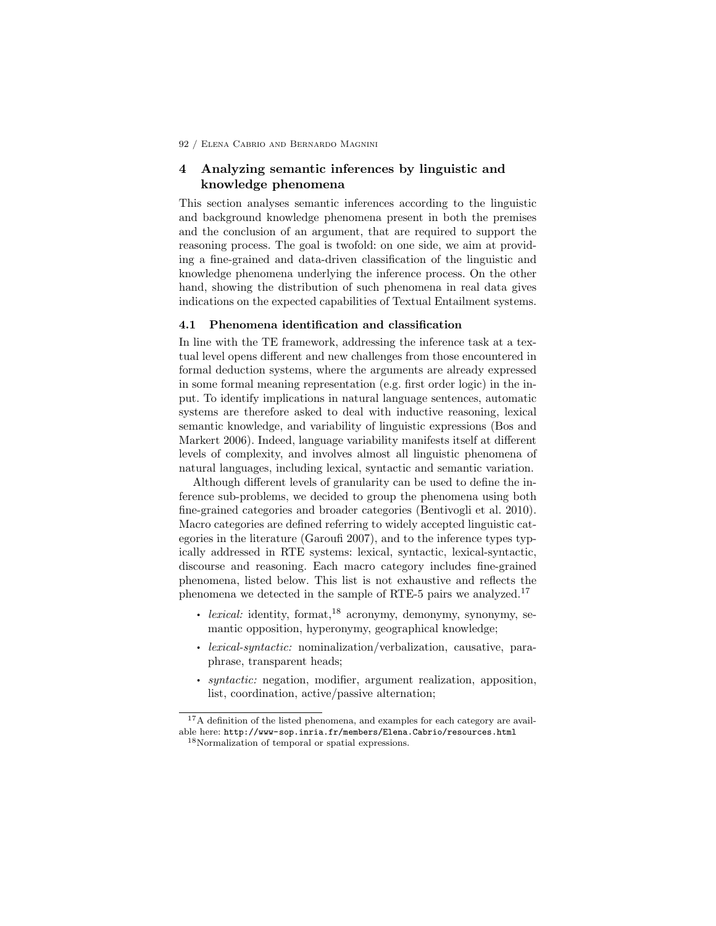# 4 Analyzing semantic inferences by linguistic and knowledge phenomena

This section analyses semantic inferences according to the linguistic and background knowledge phenomena present in both the premises and the conclusion of an argument, that are required to support the reasoning process. The goal is twofold: on one side, we aim at providing a fine-grained and data-driven classification of the linguistic and knowledge phenomena underlying the inference process. On the other hand, showing the distribution of such phenomena in real data gives indications on the expected capabilities of Textual Entailment systems.

# 4.1 Phenomena identification and classification

In line with the TE framework, addressing the inference task at a textual level opens different and new challenges from those encountered in formal deduction systems, where the arguments are already expressed in some formal meaning representation (e.g. first order logic) in the input. To identify implications in natural language sentences, automatic systems are therefore asked to deal with inductive reasoning, lexical semantic knowledge, and variability of linguistic expressions (Bos and Markert 2006). Indeed, language variability manifests itself at different levels of complexity, and involves almost all linguistic phenomena of natural languages, including lexical, syntactic and semantic variation.

Although different levels of granularity can be used to define the inference sub-problems, we decided to group the phenomena using both fine-grained categories and broader categories (Bentivogli et al. 2010). Macro categories are defined referring to widely accepted linguistic categories in the literature (Garoufi 2007), and to the inference types typically addressed in RTE systems: lexical, syntactic, lexical-syntactic, discourse and reasoning. Each macro category includes fine-grained phenomena, listed below. This list is not exhaustive and reflects the phenomena we detected in the sample of RTE-5 pairs we analyzed.<sup>17</sup>

- . *lexical:* identity, format,<sup>18</sup> acronymy, demonymy, synonymy, semantic opposition, hyperonymy, geographical knowledge;
- . *lexical-syntactic:* nominalization/verbalization, causative, paraphrase, transparent heads;
- . *syntactic:* negation, modifier, argument realization, apposition, list, coordination, active/passive alternation;

<sup>&</sup>lt;sup>17</sup>A definition of the listed phenomena, and examples for each category are available here: http://www-sop.inria.fr/members/Elena.Cabrio/resources.html

<sup>&</sup>lt;sup>18</sup>Normalization of temporal or spatial expressions.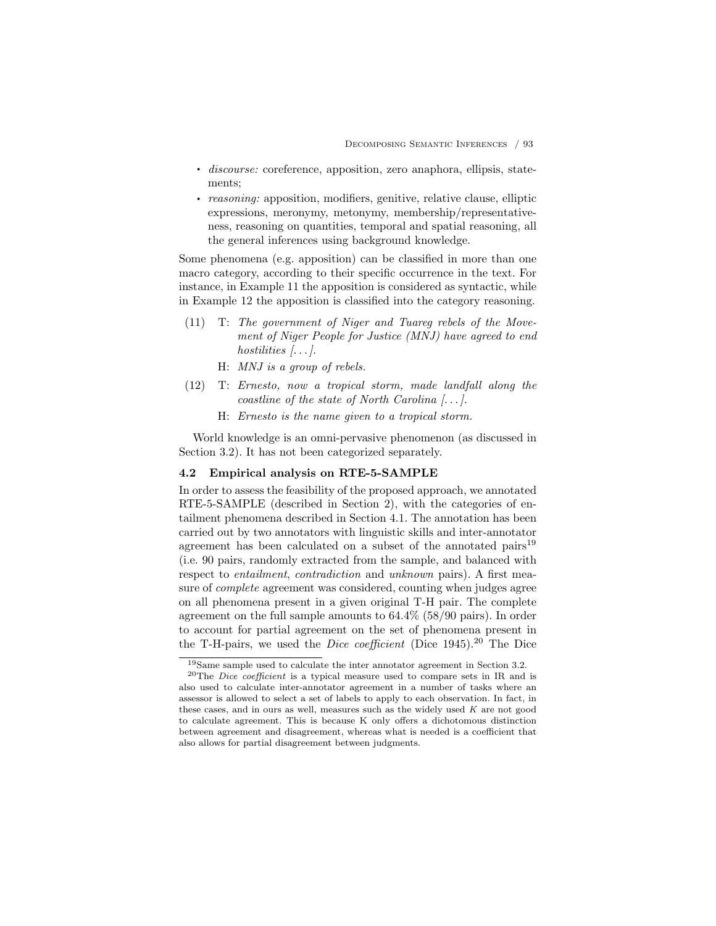- . *discourse:* coreference, apposition, zero anaphora, ellipsis, statements;
- . *reasoning:* apposition, modifiers, genitive, relative clause, elliptic expressions, meronymy, metonymy, membership/representativeness, reasoning on quantities, temporal and spatial reasoning, all the general inferences using background knowledge.

Some phenomena (e.g. apposition) can be classified in more than one macro category, according to their specific occurrence in the text. For instance, in Example 11 the apposition is considered as syntactic, while in Example 12 the apposition is classified into the category reasoning.

- (11) T: *The government of Niger and Tuareg rebels of the Movement of Niger People for Justice (MNJ) have agreed to end hostilities [. . . ].*
	- H: *MNJ is a group of rebels.*
- (12) T: *Ernesto, now a tropical storm, made landfall along the coastline of the state of North Carolina [. . . ].*
	- H: *Ernesto is the name given to a tropical storm.*

World knowledge is an omni-pervasive phenomenon (as discussed in Section 3.2). It has not been categorized separately.

### 4.2 Empirical analysis on RTE-5-SAMPLE

In order to assess the feasibility of the proposed approach, we annotated RTE-5-SAMPLE (described in Section 2), with the categories of entailment phenomena described in Section 4.1. The annotation has been carried out by two annotators with linguistic skills and inter-annotator agreement has been calculated on a subset of the annotated pairs<sup>19</sup> (i.e. 90 pairs, randomly extracted from the sample, and balanced with respect to *entailment*, *contradiction* and *unknown* pairs). A first measure of *complete* agreement was considered, counting when judges agree on all phenomena present in a given original T-H pair. The complete agreement on the full sample amounts to 64.4% (58/90 pairs). In order to account for partial agreement on the set of phenomena present in the T-H-pairs, we used the *Dice coefficient* (Dice 1945).<sup>20</sup> The Dice

<sup>19</sup>Same sample used to calculate the inter annotator agreement in Section 3.2.

<sup>&</sup>lt;sup>20</sup>The *Dice coefficient* is a typical measure used to compare sets in IR and is also used to calculate inter-annotator agreement in a number of tasks where an assessor is allowed to select a set of labels to apply to each observation. In fact, in these cases, and in ours as well, measures such as the widely used *K* are not good to calculate agreement. This is because K only offers a dichotomous distinction between agreement and disagreement, whereas what is needed is a coefficient that also allows for partial disagreement between judgments.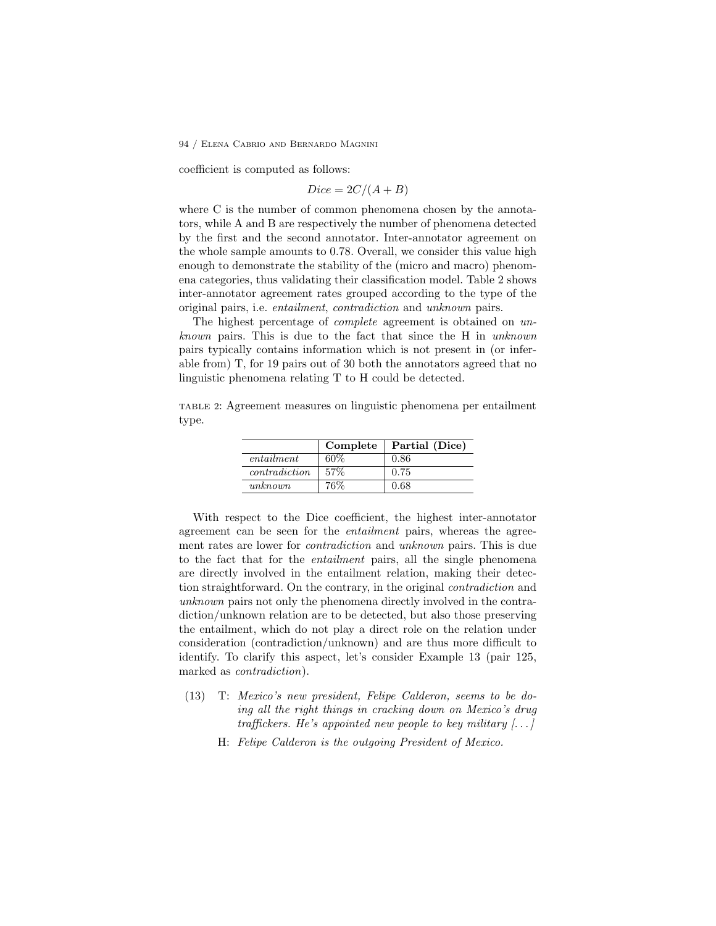coefficient is computed as follows:

 $Dice = 2C/(A + B)$ 

where C is the number of common phenomena chosen by the annotators, while A and B are respectively the number of phenomena detected by the first and the second annotator. Inter-annotator agreement on the whole sample amounts to 0.78. Overall, we consider this value high enough to demonstrate the stability of the (micro and macro) phenomena categories, thus validating their classification model. Table 2 shows inter-annotator agreement rates grouped according to the type of the original pairs, i.e. *entailment*, *contradiction* and *unknown* pairs.

The highest percentage of *complete* agreement is obtained on *unknown* pairs. This is due to the fact that since the H in *unknown* pairs typically contains information which is not present in (or inferable from) T, for 19 pairs out of 30 both the annotators agreed that no linguistic phenomena relating T to H could be detected.

TABLE 2: Agreement measures on linguistic phenomena per entailment type.

|               | Complete | Partial (Dice) |
|---------------|----------|----------------|
| entailment    | $60\%$   | 0.86           |
| contradiction | 57%      | 0.75           |
| unknoun       | $76\%$   | 0.68           |

With respect to the Dice coefficient, the highest inter-annotator agreement can be seen for the *entailment* pairs, whereas the agreement rates are lower for *contradiction* and *unknown* pairs. This is due to the fact that for the *entailment* pairs, all the single phenomena are directly involved in the entailment relation, making their detection straightforward. On the contrary, in the original *contradiction* and *unknown* pairs not only the phenomena directly involved in the contradiction/unknown relation are to be detected, but also those preserving the entailment, which do not play a direct role on the relation under consideration (contradiction/unknown) and are thus more difficult to identify. To clarify this aspect, let's consider Example 13 (pair 125, marked as *contradiction*).

- (13) T: *Mexico's new president, Felipe Calderon, seems to be doing all the right things in cracking down on Mexico's drug traffickers. He's appointed new people to key military*  $|...|$ 
	- H: *Felipe Calderon is the outgoing President of Mexico.*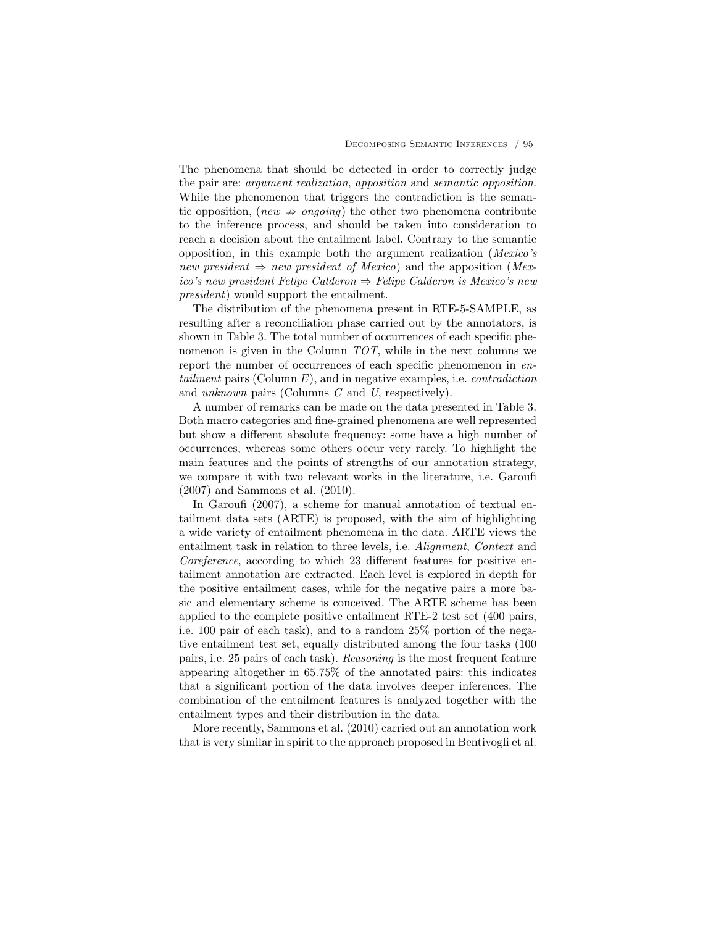The phenomena that should be detected in order to correctly judge the pair are: *argument realization*, *apposition* and *semantic opposition*. While the phenomenon that triggers the contradiction is the semantic opposition, (*new*  $\Rightarrow$  *ongoing*) the other two phenomena contribute to the inference process, and should be taken into consideration to reach a decision about the entailment label. Contrary to the semantic opposition, in this example both the argument realization (*Mexico's new president*  $\Rightarrow$  *new president of Mexico*) and the apposition (*Mexico's new president Felipe Calderon*  $\Rightarrow$  *Felipe Calderon is Mexico's new president*) would support the entailment.

The distribution of the phenomena present in RTE-5-SAMPLE, as resulting after a reconciliation phase carried out by the annotators, is shown in Table 3. The total number of occurrences of each specific phenomenon is given in the Column *TOT*, while in the next columns we report the number of occurrences of each specific phenomenon in *entailment* pairs (Column *E*), and in negative examples, i.e. *contradiction* and *unknown* pairs (Columns *C* and *U*, respectively).

A number of remarks can be made on the data presented in Table 3. Both macro categories and fine-grained phenomena are well represented but show a different absolute frequency: some have a high number of occurrences, whereas some others occur very rarely. To highlight the main features and the points of strengths of our annotation strategy, we compare it with two relevant works in the literature, i.e. Garoufi (2007) and Sammons et al. (2010).

In Garoufi (2007), a scheme for manual annotation of textual entailment data sets (ARTE) is proposed, with the aim of highlighting a wide variety of entailment phenomena in the data. ARTE views the entailment task in relation to three levels, i.e. *Alignment*, *Context* and *Coreference*, according to which 23 different features for positive entailment annotation are extracted. Each level is explored in depth for the positive entailment cases, while for the negative pairs a more basic and elementary scheme is conceived. The ARTE scheme has been applied to the complete positive entailment RTE-2 test set (400 pairs, i.e. 100 pair of each task), and to a random 25% portion of the negative entailment test set, equally distributed among the four tasks (100 pairs, i.e. 25 pairs of each task). *Reasoning* is the most frequent feature appearing altogether in 65.75% of the annotated pairs: this indicates that a significant portion of the data involves deeper inferences. The combination of the entailment features is analyzed together with the entailment types and their distribution in the data.

More recently, Sammons et al. (2010) carried out an annotation work that is very similar in spirit to the approach proposed in Bentivogli et al.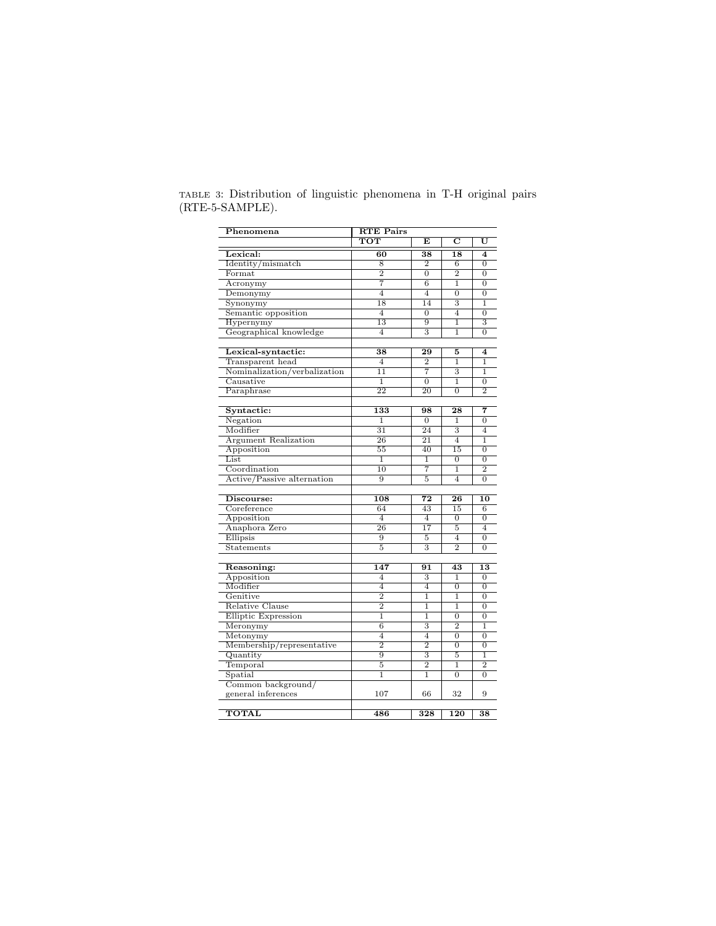| Phenomena                    | <b>RTE Pairs</b> |                           |                           |                    |  |
|------------------------------|------------------|---------------------------|---------------------------|--------------------|--|
|                              | <b>TOT</b>       | E                         | C                         | U                  |  |
| Lexical:                     | 60               | 38                        | 18                        | $\overline{\bf 4}$ |  |
| Identity/mismatch            | 8                | $\overline{2}$            | 6                         | $\overline{0}$     |  |
| Format                       | $\overline{2}$   | $\overline{0}$            | $\overline{2}$            | $\overline{0}$     |  |
| Acronymy                     | 7                | 6                         | $\mathbf{1}$              | $\overline{0}$     |  |
| Demonymy                     | $\overline{4}$   | $\overline{4}$            | $\overline{0}$            | $\overline{0}$     |  |
| Synonymy                     | 18               | 14                        | $\overline{3}$            | ī                  |  |
| Semantic opposition          | $\overline{4}$   | $\boldsymbol{0}$          | $\overline{4}$            | $\boldsymbol{0}$   |  |
| Hypernymy                    | 13               | 9                         | $\overline{1}$            | 3                  |  |
| Geographical knowledge       | $\overline{4}$   | $\overline{\overline{3}}$ | $\overline{1}$            | $\overline{0}$     |  |
|                              |                  |                           |                           |                    |  |
| Lexical-syntactic:           | 38               | 29                        | 5                         | $\overline{\bf 4}$ |  |
| Transparent head             | $\overline{4}$   | $\overline{2}$            | $\overline{1}$            | 1                  |  |
| Nominalization/verbalization | $\overline{11}$  | 7                         | 3                         | 1                  |  |
| Causative                    | $\mathbf{1}$     | $\overline{0}$            | $\mathbf{1}$              | $\overline{0}$     |  |
| Paraphrase                   | $\overline{22}$  | $\overline{20}$           | $\overline{0}$            | $\overline{2}$     |  |
|                              |                  |                           |                           |                    |  |
| Syntactic:                   | 133              | 98                        | 28                        | 7                  |  |
| Negation                     | 1                | $\overline{0}$            | 1                         | $\overline{0}$     |  |
| Modifier                     | 31               | 24                        | $\overline{\overline{3}}$ | $\overline{4}$     |  |
| <b>Argument Realization</b>  | 26               | 21                        | $\overline{4}$            | 1                  |  |
| Apposition                   | 55               | 40                        | 15                        | $\overline{0}$     |  |
| $_{\rm List}$                | $\overline{1}$   | 1                         | $\boldsymbol{0}$          | $\overline{0}$     |  |
| Coordination                 | 10               | 7                         | $\mathbf{1}$              | $\overline{2}$     |  |
| Active/Passive alternation   | 9                | 5                         | $\overline{4}$            | $\overline{0}$     |  |
|                              |                  |                           |                           |                    |  |
| Discourse:                   | 108              | 72                        | 26                        | 10                 |  |
| Coreference                  | 64               | 43                        | 15                        | 6                  |  |
| Apposition                   | $\overline{4}$   | $\overline{4}$            | $\overline{0}$            | $\overline{0}$     |  |
| Anaphora Zero                | 26               | 17                        | 5                         | $\overline{4}$     |  |
| Ellipsis                     | 9                | 5                         | $\overline{4}$            | $\overline{0}$     |  |
| Statements                   | 5                | $\overline{\overline{3}}$ | $\overline{2}$            | $\overline{0}$     |  |
|                              |                  |                           |                           |                    |  |
| Reasoning:                   | 147              | 91                        | 43                        | 13                 |  |
| Apposition                   | 4                | 3                         | 1                         | 0                  |  |
| Modifier                     | $\overline{4}$   | $\overline{4}$            | $\overline{0}$            | $\overline{0}$     |  |
| Genitive                     | $\overline{2}$   | $\mathbf{1}$              | $\mathbf{1}$              | $\boldsymbol{0}$   |  |
| Relative Clause              | $\overline{2}$   | $\overline{1}$            | $\overline{1}$            | $\overline{0}$     |  |
| <b>Elliptic Expression</b>   | $\overline{1}$   | $\overline{1}$            | $\overline{0}$            | $\overline{0}$     |  |
| Meronymy                     | 6                | 3                         | $\overline{2}$            | 1                  |  |
| Metonymy                     | $\overline{4}$   | $\overline{4}$            | $\overline{0}$            | $\overline{0}$     |  |
| Membership/representative    | $\overline{2}$   | $\overline{2}$            | $\overline{0}$            | $\overline{0}$     |  |
| Quantity                     | $\overline{9}$   | 3                         | 5                         | $\overline{1}$     |  |
| Temporal                     | $\overline{5}$   | $\overline{2}$            | $\overline{1}$            | $\overline{2}$     |  |
| Spatial                      | 1                | $\overline{1}$            | $\overline{0}$            | $\overline{0}$     |  |
| Common background/           |                  |                           |                           |                    |  |
| general inferences           | 107              | 66                        | 32                        | 9                  |  |
|                              |                  |                           |                           |                    |  |
| <b>TOTAL</b>                 | 486              | 328                       | 120                       | 38                 |  |

TABLE 3: Distribution of linguistic phenomena in T-H original pairs (RTE-5-SAMPLE).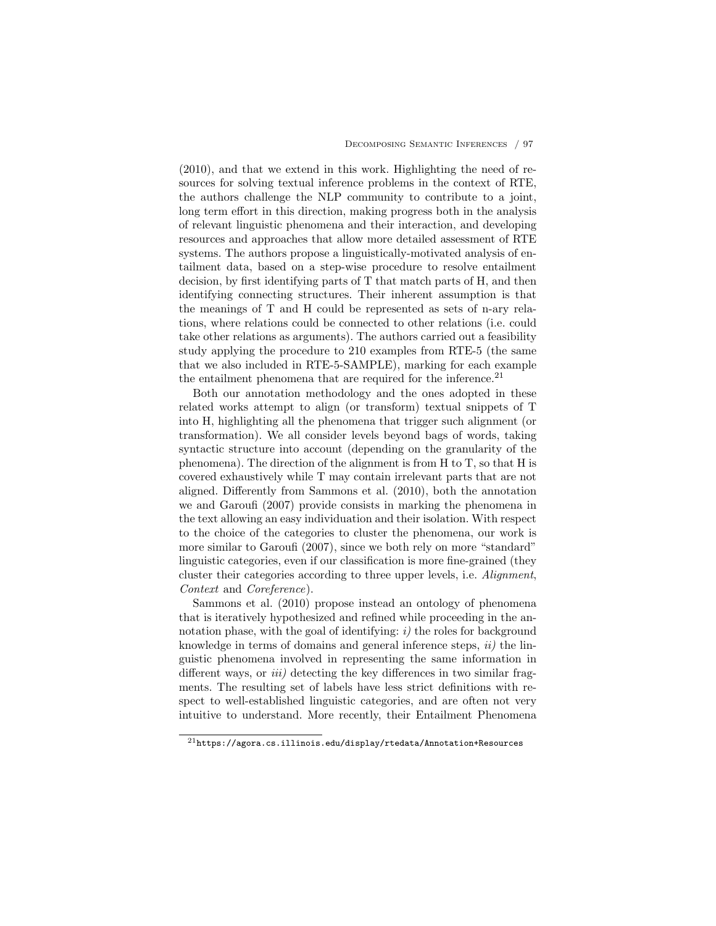(2010), and that we extend in this work. Highlighting the need of resources for solving textual inference problems in the context of RTE, the authors challenge the NLP community to contribute to a joint, long term effort in this direction, making progress both in the analysis of relevant linguistic phenomena and their interaction, and developing resources and approaches that allow more detailed assessment of RTE systems. The authors propose a linguistically-motivated analysis of entailment data, based on a step-wise procedure to resolve entailment decision, by first identifying parts of T that match parts of H, and then identifying connecting structures. Their inherent assumption is that the meanings of T and H could be represented as sets of n-ary relations, where relations could be connected to other relations (i.e. could take other relations as arguments). The authors carried out a feasibility study applying the procedure to 210 examples from RTE-5 (the same that we also included in RTE-5-SAMPLE), marking for each example the entailment phenomena that are required for the inference.<sup>21</sup>

Both our annotation methodology and the ones adopted in these related works attempt to align (or transform) textual snippets of T into H, highlighting all the phenomena that trigger such alignment (or transformation). We all consider levels beyond bags of words, taking syntactic structure into account (depending on the granularity of the phenomena). The direction of the alignment is from H to T, so that H is covered exhaustively while T may contain irrelevant parts that are not aligned. Differently from Sammons et al.  $(2010)$ , both the annotation we and Garoufi (2007) provide consists in marking the phenomena in the text allowing an easy individuation and their isolation. With respect to the choice of the categories to cluster the phenomena, our work is more similar to Garoufi (2007), since we both rely on more "standard" linguistic categories, even if our classification is more fine-grained (they cluster their categories according to three upper levels, i.e. *Alignment*, *Context* and *Coreference*).

Sammons et al. (2010) propose instead an ontology of phenomena that is iteratively hypothesized and refined while proceeding in the annotation phase, with the goal of identifying: *i)* the roles for background knowledge in terms of domains and general inference steps, *ii)* the linguistic phenomena involved in representing the same information in different ways, or  $iii)$  detecting the key differences in two similar fragments. The resulting set of labels have less strict definitions with respect to well-established linguistic categories, and are often not very intuitive to understand. More recently, their Entailment Phenomena

 $^{21}$ https://agora.cs.illinois.edu/display/rtedata/Annotation+Resources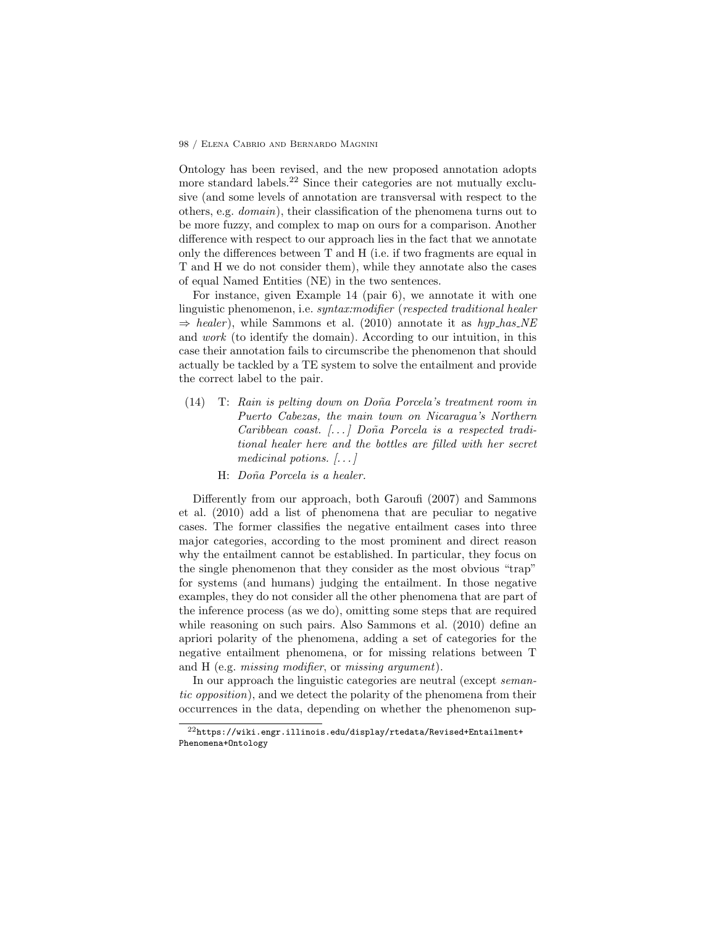Ontology has been revised, and the new proposed annotation adopts more standard labels.<sup>22</sup> Since their categories are not mutually exclusive (and some levels of annotation are transversal with respect to the others, e.g. *domain*), their classification of the phenomena turns out to be more fuzzy, and complex to map on ours for a comparison. Another difference with respect to our approach lies in the fact that we annotate only the differences between  $T$  and  $H$  (i.e. if two fragments are equal in T and H we do not consider them), while they annotate also the cases of equal Named Entities (NE) in the two sentences.

For instance, given Example 14 (pair 6), we annotate it with one linguistic phenomenon, i.e. *syntax:modifier* (*respected traditional healer*  $\Rightarrow$  *healer*), while Sammons et al. (2010) annotate it as  $hyp\_has\_NE$ and *work* (to identify the domain). According to our intuition, in this case their annotation fails to circumscribe the phenomenon that should actually be tackled by a TE system to solve the entailment and provide the correct label to the pair.

- (14) T: *Rain is pelting down on Do˜na Porcela's treatment room in Puerto Cabezas, the main town on Nicaragua's Northern Caribbean coast. [. . . ] Do˜na Porcela is a respected traditional healer here and the bottles are filled with her secret medicinal potions. [. . . ]*
	- H: *Do˜na Porcela is a healer.*

Differently from our approach, both Garoufi (2007) and Sammons et al. (2010) add a list of phenomena that are peculiar to negative cases. The former classifies the negative entailment cases into three major categories, according to the most prominent and direct reason why the entailment cannot be established. In particular, they focus on the single phenomenon that they consider as the most obvious "trap" for systems (and humans) judging the entailment. In those negative examples, they do not consider all the other phenomena that are part of the inference process (as we do), omitting some steps that are required while reasoning on such pairs. Also Sammons et al. (2010) define an apriori polarity of the phenomena, adding a set of categories for the negative entailment phenomena, or for missing relations between T and H (e.g. *missing modifier*, or *missing argument*).

In our approach the linguistic categories are neutral (except *semantic opposition*), and we detect the polarity of the phenomena from their occurrences in the data, depending on whether the phenomenon sup-

 $^{22}$ https://wiki.engr.illinois.edu/display/rtedata/Revised+Entailment+ Phenomena+Ontology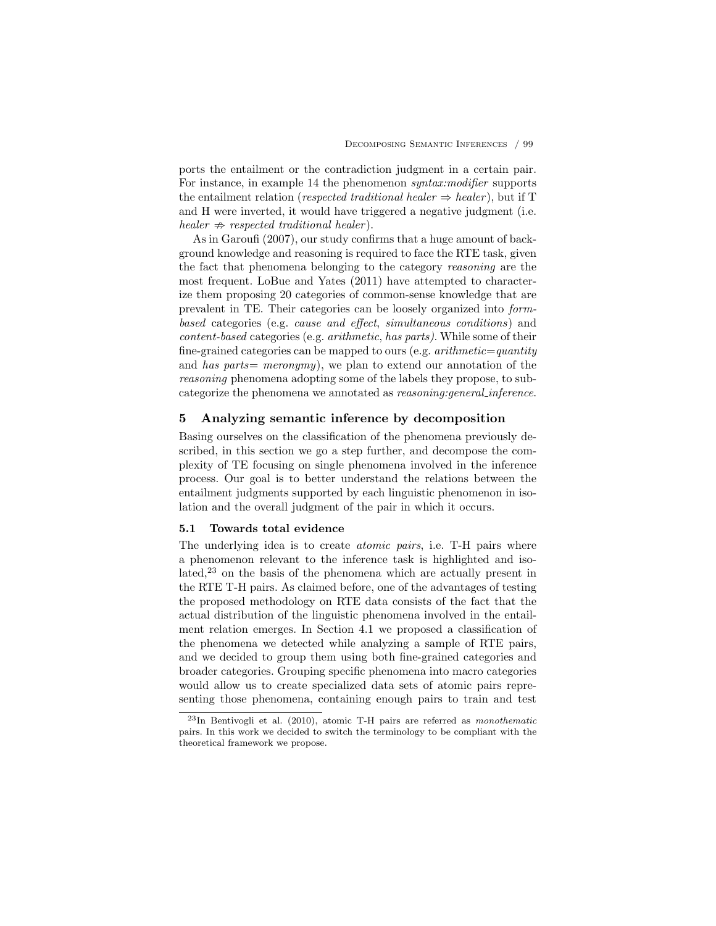ports the entailment or the contradiction judgment in a certain pair. For instance, in example 14 the phenomenon *syntax:modifier* supports the entailment relation (*respected traditional healer*  $\Rightarrow$  *healer*), but if T and H were inverted, it would have triggered a negative judgment (i.e. *healer*  $\Rightarrow$  *respected traditional healer*).

As in Garoufi (2007), our study confirms that a huge amount of background knowledge and reasoning is required to face the RTE task, given the fact that phenomena belonging to the category *reasoning* are the most frequent. LoBue and Yates (2011) have attempted to characterize them proposing 20 categories of common-sense knowledge that are prevalent in TE. Their categories can be loosely organized into *formbased* categories (e.g. *cause and effect*, *simultaneous conditions*) and *content-based* categories (e.g. *arithmetic*, *has parts)*. While some of their fine-grained categories can be mapped to ours (e.g. *arithmetic*=*quantity* and *has parts*= *meronymy*), we plan to extend our annotation of the *reasoning* phenomena adopting some of the labels they propose, to subcategorize the phenomena we annotated as *reasoning:general inference*.

### 5 Analyzing semantic inference by decomposition

Basing ourselves on the classification of the phenomena previously described, in this section we go a step further, and decompose the complexity of TE focusing on single phenomena involved in the inference process. Our goal is to better understand the relations between the entailment judgments supported by each linguistic phenomenon in isolation and the overall judgment of the pair in which it occurs.

### 5.1 Towards total evidence

The underlying idea is to create *atomic pairs*, i.e. T-H pairs where a phenomenon relevant to the inference task is highlighted and isolated,<sup>23</sup> on the basis of the phenomena which are actually present in the RTE T-H pairs. As claimed before, one of the advantages of testing the proposed methodology on RTE data consists of the fact that the actual distribution of the linguistic phenomena involved in the entailment relation emerges. In Section 4.1 we proposed a classification of the phenomena we detected while analyzing a sample of RTE pairs, and we decided to group them using both fine-grained categories and broader categories. Grouping specific phenomena into macro categories would allow us to create specialized data sets of atomic pairs representing those phenomena, containing enough pairs to train and test

<sup>23</sup>In Bentivogli et al. (2010), atomic T-H pairs are referred as *monothematic* pairs. In this work we decided to switch the terminology to be compliant with the theoretical framework we propose.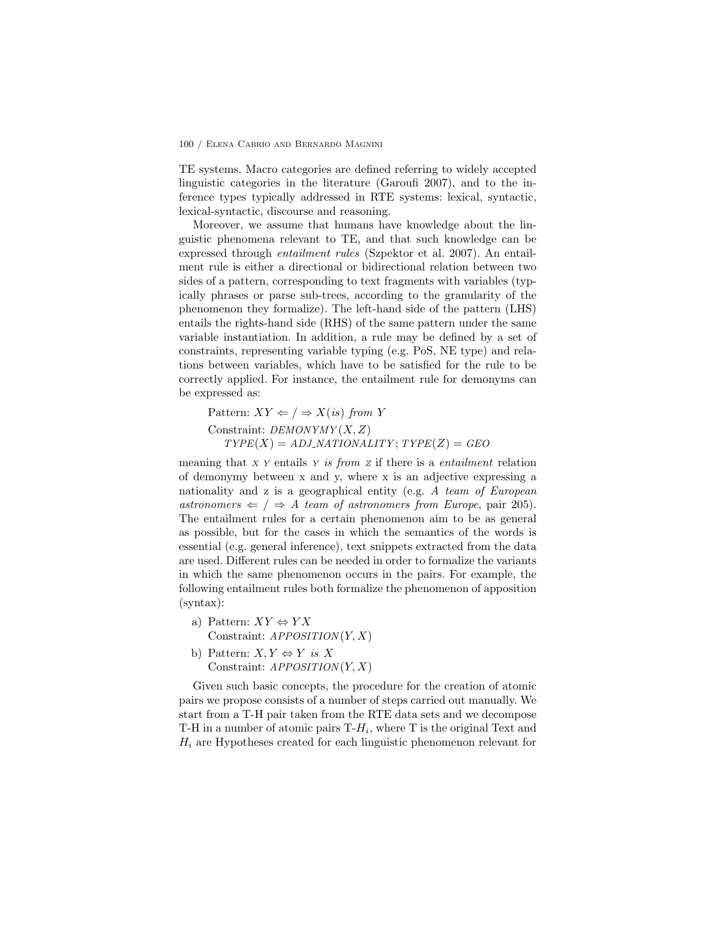TE systems. Macro categories are defined referring to widely accepted linguistic categories in the literature (Garoufi 2007), and to the inference types typically addressed in RTE systems: lexical, syntactic, lexical-syntactic, discourse and reasoning.

Moreover, we assume that humans have knowledge about the linguistic phenomena relevant to TE, and that such knowledge can be expressed through *entailment rules* (Szpektor et al. 2007). An entailment rule is either a directional or bidirectional relation between two sides of a pattern, corresponding to text fragments with variables (typically phrases or parse sub-trees, according to the granularity of the phenomenon they formalize). The left-hand side of the pattern (LHS) entails the rights-hand side (RHS) of the same pattern under the same variable instantiation. In addition, a rule may be defined by a set of constraints, representing variable typing (e.g. PoS, NE type) and relations between variables, which have to be satisfied for the rule to be correctly applied. For instance, the entailment rule for demonyms can be expressed as:

Pattern:  $XY \Leftarrow / \Rightarrow X(is)$  *from Y* Constraint: *DEMONYMY* (*X, Z*)  $TYPE(X) = ADJ_NATIONALITY$ ;  $TYPE(Z) = GEO$ 

meaning that *X Y* entails *<sup>Y</sup> is from <sup>Z</sup>* if there is a *entailment* relation of demonymy between x and y, where x is an adjective expressing a nationality and z is a geographical entity (e.g. *A team of European astronomers*  $\Leftarrow$  /  $\Rightarrow$  *A team of astronomers from Europe*, pair 205). The entailment rules for a certain phenomenon aim to be as general as possible, but for the cases in which the semantics of the words is essential (e.g. general inference), text snippets extracted from the data are used. Different rules can be needed in order to formalize the variants in which the same phenomenon occurs in the pairs. For example, the following entailment rules both formalize the phenomenon of apposition (syntax):

- a) Pattern:  $XY \Leftrightarrow YX$ Constraint: *APPOSITION* (*Y,X*)
- b) Pattern:  $X, Y \Leftrightarrow Y$  *is* X Constraint: *APPOSITION* (*Y,X*)

Given such basic concepts, the procedure for the creation of atomic pairs we propose consists of a number of steps carried out manually. We start from a T-H pair taken from the RTE data sets and we decompose T-H in a number of atomic pairs T-*Hi*, where T is the original Text and  $H_i$  are Hypotheses created for each linguistic phenomenon relevant for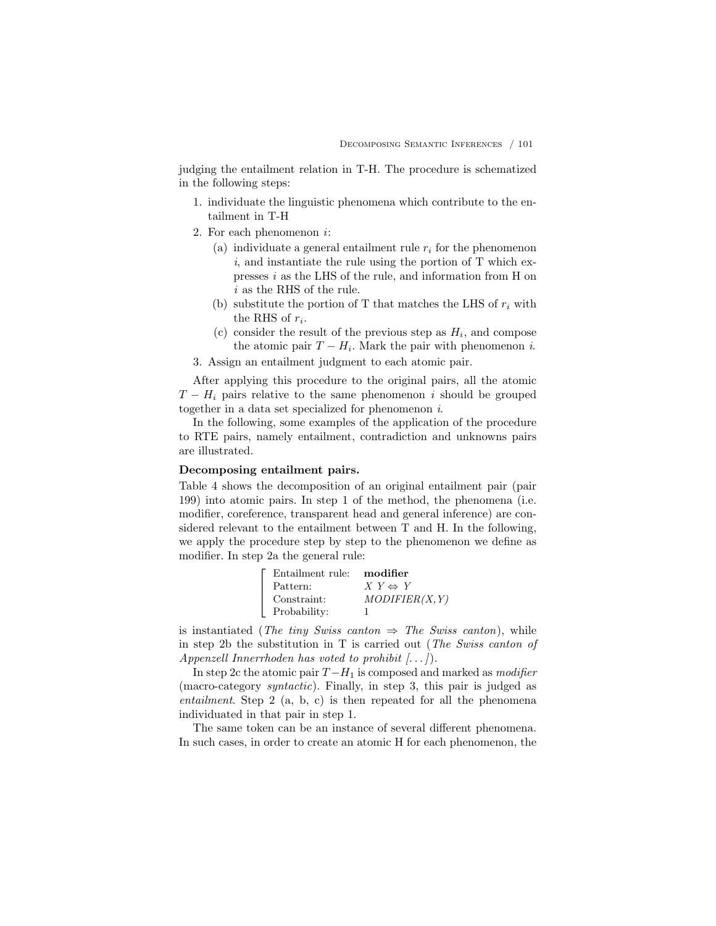judging the entailment relation in T-H. The procedure is schematized in the following steps:

- 1. individuate the linguistic phenomena which contribute to the entailment in T-H
- 2. For each phenomenon *i*:
	- (a) individuate a general entailment rule  $r_i$  for the phenomenon *i*, and instantiate the rule using the portion of T which expresses *i* as the LHS of the rule, and information from H on *i* as the RHS of the rule.
	- (b) substitute the portion of T that matches the LHS of  $r_i$  with the RHS of *ri*.
	- (c) consider the result of the previous step as  $H_i$ , and compose the atomic pair  $T - H_i$ . Mark the pair with phenomenon *i*.
- 3. Assign an entailment judgment to each atomic pair.

After applying this procedure to the original pairs, all the atomic  $T - H_i$  pairs relative to the same phenomenon *i* should be grouped together in a data set specialized for phenomenon *i*.

In the following, some examples of the application of the procedure to RTE pairs, namely entailment, contradiction and unknowns pairs are illustrated.

# Decomposing entailment pairs.

Table 4 shows the decomposition of an original entailment pair (pair 199) into atomic pairs. In step 1 of the method, the phenomena (i.e. modifier, coreference, transparent head and general inference) are considered relevant to the entailment between T and H. In the following, we apply the procedure step by step to the phenomenon we define as modifier. In step 2a the general rule:

| Entailment rule: | modifier                |
|------------------|-------------------------|
| Pattern:         | $X Y \Leftrightarrow Y$ |
| Constraint:      | MODIFIER(X, Y)          |
| Probability:     |                         |

is instantiated (*The tiny Swiss canton*  $\Rightarrow$  *The Swiss canton*), while in step 2b the substitution in T is carried out (*The Swiss canton of Appenzell Innerrhoden has voted to prohibit [. . . ]*).

In step 2c the atomic pair  $T - H_1$  is composed and marked as *modifier* (macro-category *syntactic*). Finally, in step 3, this pair is judged as *entailment*. Step 2 (a, b, c) is then repeated for all the phenomena individuated in that pair in step 1.

The same token can be an instance of several different phenomena. In such cases, in order to create an atomic H for each phenomenon, the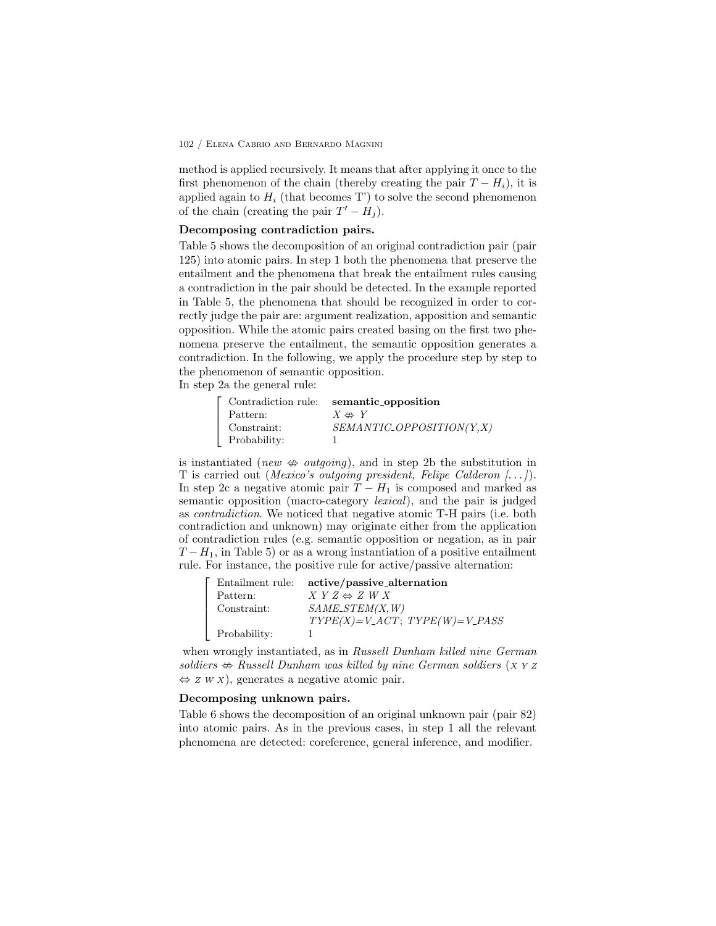method is applied recursively. It means that after applying it once to the first phenomenon of the chain (thereby creating the pair  $T - H_i$ ), it is applied again to  $H_i$  (that becomes T') to solve the second phenomenon of the chain (creating the pair  $T' - H_i$ ).

# Decomposing contradiction pairs.

Table 5 shows the decomposition of an original contradiction pair (pair 125) into atomic pairs. In step 1 both the phenomena that preserve the entailment and the phenomena that break the entailment rules causing a contradiction in the pair should be detected. In the example reported in Table 5, the phenomena that should be recognized in order to correctly judge the pair are: argument realization, apposition and semantic opposition. While the atomic pairs created basing on the first two phenomena preserve the entailment, the semantic opposition generates a contradiction. In the following, we apply the procedure step by step to the phenomenon of semantic opposition.

In step 2a the general rule:

 $\Gamma$  $\overline{1}$  $\mathbf{I}$ 4

 $\Gamma$  $\overline{1}$  $\frac{1}{2}$  $\mathbf{i}$  $\frac{1}{2}$ 4

| Contradiction rule: | semantic <sub>-opposition</sub> |
|---------------------|---------------------------------|
| Pattern:            | $X \nleftrightarrow Y$          |
| Constraint:         | SEMANTIC_OPPOSITION(Y,X)        |
| Probability:        |                                 |

is instantiated (*new*  $\Leftrightarrow$  *outgoing*), and in step 2b the substitution in T is carried out (*Mexico's outgoing president, Felipe Calderon [. . . ]*). In step 2c a negative atomic pair  $T - H_1$  is composed and marked as semantic opposition (macro-category *lexical*), and the pair is judged as *contradiction*. We noticed that negative atomic T-H pairs (i.e. both contradiction and unknown) may originate either from the application of contradiction rules (e.g. semantic opposition or negation, as in pair  $T - H_1$ , in Table 5) or as a wrong instantiation of a positive entailment rule. For instance, the positive rule for active/passive alternation:

| Entailment rule: | active/passive_alternation                  |
|------------------|---------------------------------------------|
| Pattern:         | $X Y Z \Leftrightarrow Z W X$               |
| Constraint:      | $SAME\_STEM(X, W)$                          |
|                  | $TYPE(X) = V \_ACT$ ; $TYPE(W) = V \_P ASS$ |
| Probability:     |                                             |

when wrongly instantiated, as in *Russell Dunham killed nine German soldiers* < *Russell Dunham was killed by nine German soldiers* (*XYZ*  $\Leftrightarrow$  *z w x*), generates a negative atomic pair.

### Decomposing unknown pairs.

Table 6 shows the decomposition of an original unknown pair (pair 82) into atomic pairs. As in the previous cases, in step 1 all the relevant phenomena are detected: coreference, general inference, and modifier.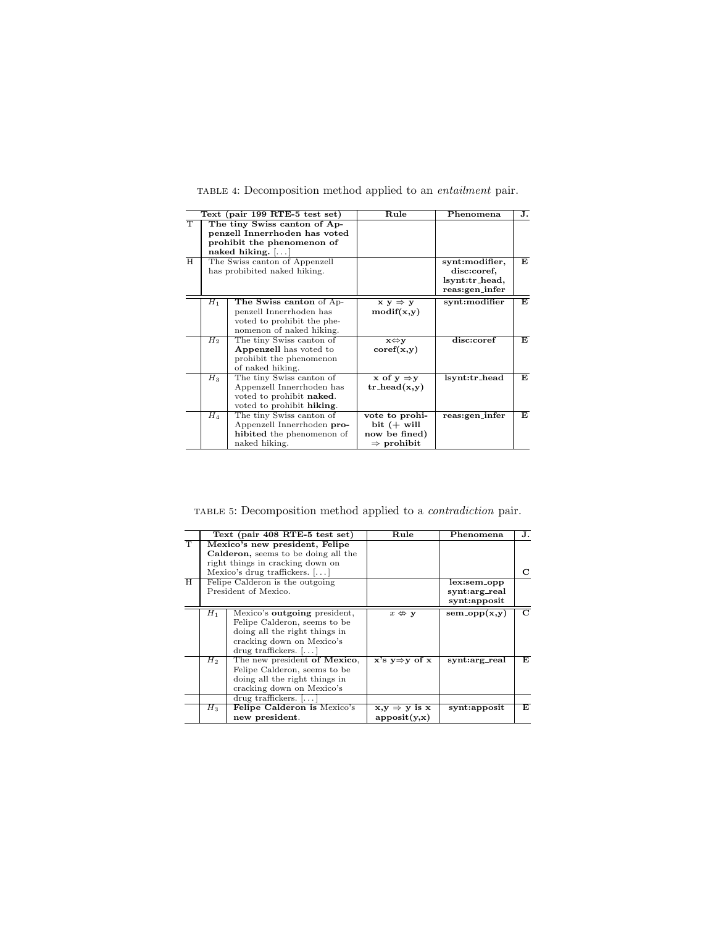|                |       | Text (pair 199 RTE-5 test set)                                                                                    | Rule                                                                       | Phenomena                                                         | J.             |
|----------------|-------|-------------------------------------------------------------------------------------------------------------------|----------------------------------------------------------------------------|-------------------------------------------------------------------|----------------|
| T              |       | The tiny Swiss canton of Ap-<br>penzell Innerrhoden has voted<br>prohibit the phenomenon of<br>naked hiking. $[]$ |                                                                            |                                                                   |                |
| $\overline{H}$ |       | The Swiss canton of Appenzell<br>has prohibited naked hiking.                                                     |                                                                            | synt:modifier,<br>disc:coref,<br>lsynt:tr_head,<br>reas:gen_infer | Е              |
|                | $H_1$ | The Swiss canton of Ap-<br>penzell Innerrhoden has<br>voted to prohibit the phe-<br>nomenon of naked hiking.      | $x y \Rightarrow y$<br>$\text{modif}(x,y)$                                 | synt:modifier                                                     | $\overline{E}$ |
|                | $H_2$ | The tiny Swiss canton of<br>Appenzell has voted to<br>prohibit the phenomenon<br>of naked hiking.                 | $\mathbf{x} \Leftrightarrow \mathbf{y}$<br>coref(x,y)                      | disc:coref                                                        | $\overline{E}$ |
|                | $H_3$ | The tiny Swiss canton of<br>Appenzell Innerrhoden has<br>voted to prohibit naked.<br>voted to prohibit hiking.    | x of $y \Rightarrow y$<br>$tr\_head(x,y)$                                  | lsynt:tr_head                                                     | E.             |
|                | $H_4$ | The tiny Swiss canton of<br>Appenzell Innerrhoden pro-<br>hibited the phenomenon of<br>naked hiking.              | vote to prohi-<br>$bit (+ will$<br>now be fined)<br>$\Rightarrow$ prohibit | reas:gen_infer                                                    | $\overline{E}$ |

TABLE 4: Decomposition method applied to an *entailment* pair.

TABLE 5: Decomposition method applied to a *contradiction* pair.

|                |       | Text (pair 408 RTE-5 test set)                                                                                                                                         | Rule                                     | Phenomena                                    | J.             |
|----------------|-------|------------------------------------------------------------------------------------------------------------------------------------------------------------------------|------------------------------------------|----------------------------------------------|----------------|
| $\overline{T}$ |       | Mexico's new president, Felipe<br>Calderon, seems to be doing all the<br>right things in cracking down on<br>Mexico's drug traffickers. $[\dots]$                      |                                          |                                              | С              |
| $\overline{H}$ |       | Felipe Calderon is the outgoing<br>President of Mexico.                                                                                                                |                                          | lex:sem_opp<br>synt:arg_real<br>synt:apposit |                |
|                | $H_1$ | Mexico's <b>outgoing</b> president,<br>Felipe Calderon, seems to be<br>doing all the right things in<br>cracking down on Mexico's<br>drug traffickers. $[\dots]$       | $x \Leftrightarrow y$                    | $sem\_opp(x,y)$                              | $\overline{C}$ |
|                | $H_2$ | The new president of Mexico,<br>Felipe Calderon, seems to be<br>doing all the right things in<br>cracking down on Mexico's<br>$drug$ traffickers. $\left[\dots\right]$ | $x's y \Rightarrow y \text{ of } x$      | synt:arg_real                                | E              |
|                | $H_3$ | Felipe Calderon is Mexico's<br>new president.                                                                                                                          | $x,y \Rightarrow y$ is x<br>apposit(y,x) | synt:apposit                                 | E              |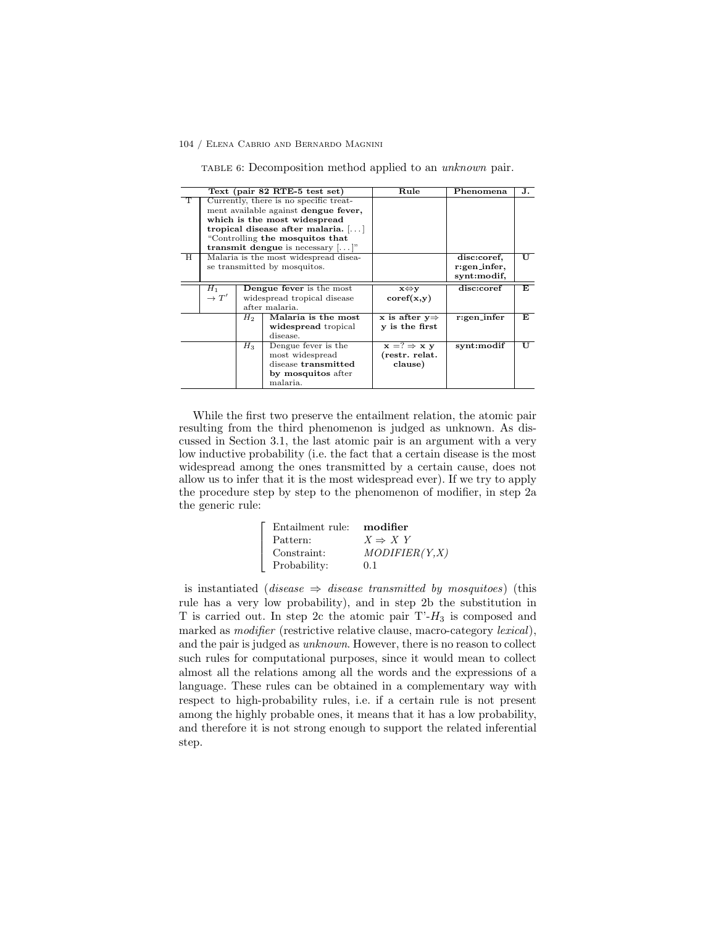TABLE 6: Decomposition method applied to an *unknown* pair.

|   |                              |         | Text (pair 82 RTE-5 test set)            | Rule                                    | Phenomena    | J.             |
|---|------------------------------|---------|------------------------------------------|-----------------------------------------|--------------|----------------|
| T |                              |         | Currently, there is no specific treat-   |                                         |              |                |
|   |                              |         | ment available against dengue fever,     |                                         |              |                |
|   |                              |         | which is the most widespread             |                                         |              |                |
|   |                              |         | tropical disease after malaria. []       |                                         |              |                |
|   |                              |         | "Controlling the mosquitos that          |                                         |              |                |
|   |                              |         | transmit dengue is necessary $[\dots]$ " |                                         |              |                |
| H |                              |         | Malaria is the most widespread disea-    |                                         | disc:coref,  | $\overline{U}$ |
|   | se transmitted by mosquitos. |         |                                          |                                         | r:gen_infer, |                |
|   |                              |         |                                          |                                         | synt:modif,  |                |
|   | $H_1$                        |         | <b>Dengue fever</b> is the most          | $\mathbf{x} \Leftrightarrow \mathbf{y}$ | disc:coref   | $\overline{E}$ |
|   | $\rightarrow T'$             |         | widespread tropical disease              | coref(x,y)                              |              |                |
|   |                              |         | after malaria.                           |                                         |              |                |
|   |                              | $H_2$   | Malaria is the most                      | x is after $y \Rightarrow$              | r:gen_infer  | E              |
|   |                              |         | widespread tropical                      | y is the first                          |              |                |
|   |                              |         | disease.                                 |                                         |              |                |
|   |                              | $H_{3}$ | Dengue fever is the                      | $x = ? \Rightarrow x y$                 | synt:modif   | U              |
|   |                              |         | most widespread                          | (restr. relat.                          |              |                |
|   |                              |         | disease transmitted                      | clause)                                 |              |                |
|   |                              |         | by mosquitos after                       |                                         |              |                |
|   |                              |         | malaria.                                 |                                         |              |                |

While the first two preserve the entailment relation, the atomic pair resulting from the third phenomenon is judged as unknown. As discussed in Section 3.1, the last atomic pair is an argument with a very low inductive probability (i.e. the fact that a certain disease is the most widespread among the ones transmitted by a certain cause, does not allow us to infer that it is the most widespread ever). If we try to apply the procedure step by step to the phenomenon of modifier, in step 2a the generic rule:

| Entailment rule: modifier |                     |
|---------------------------|---------------------|
| Pattern:                  | $X \Rightarrow X Y$ |
| Constraint:               | MODIFIER(Y, X)      |
| Probability:              | 0.1                 |

is instantiated (*disease*  $\Rightarrow$  *disease transmitted by mosquitoes*) (this rule has a very low probability), and in step 2b the substitution in T is carried out. In step 2c the atomic pair T'-*H*<sup>3</sup> is composed and marked as *modifier* (restrictive relative clause, macro-category *lexical*), and the pair is judged as *unknown*. However, there is no reason to collect such rules for computational purposes, since it would mean to collect almost all the relations among all the words and the expressions of a language. These rules can be obtained in a complementary way with respect to high-probability rules, i.e. if a certain rule is not present among the highly probable ones, it means that it has a low probability, and therefore it is not strong enough to support the related inferential step.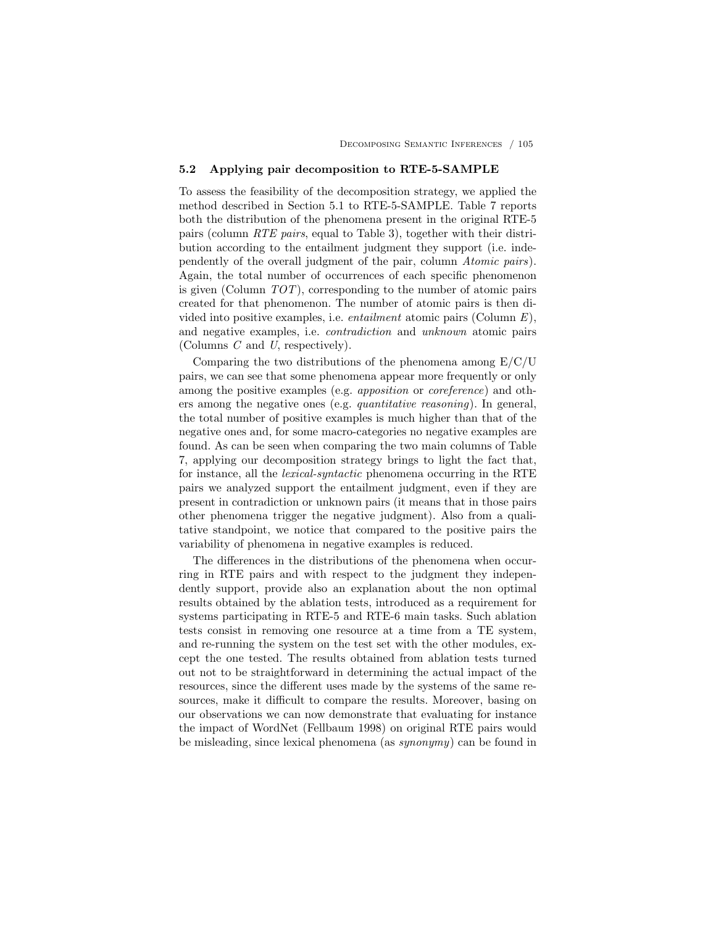### 5.2 Applying pair decomposition to RTE-5-SAMPLE

To assess the feasibility of the decomposition strategy, we applied the method described in Section 5.1 to RTE-5-SAMPLE. Table 7 reports both the distribution of the phenomena present in the original RTE-5 pairs (column *RTE pairs*, equal to Table 3), together with their distribution according to the entailment judgment they support (i.e. independently of the overall judgment of the pair, column *Atomic pairs*). Again, the total number of occurrences of each specific phenomenon is given (Column *TOT*), corresponding to the number of atomic pairs created for that phenomenon. The number of atomic pairs is then divided into positive examples, i.e. *entailment* atomic pairs (Column *E*), and negative examples, i.e. *contradiction* and *unknown* atomic pairs (Columns *C* and *U*, respectively).

Comparing the two distributions of the phenomena among  $E/C/U$ pairs, we can see that some phenomena appear more frequently or only among the positive examples (e.g. *apposition* or *coreference*) and others among the negative ones (e.g. *quantitative reasoning*). In general, the total number of positive examples is much higher than that of the negative ones and, for some macro-categories no negative examples are found. As can be seen when comparing the two main columns of Table 7, applying our decomposition strategy brings to light the fact that, for instance, all the *lexical-syntactic* phenomena occurring in the RTE pairs we analyzed support the entailment judgment, even if they are present in contradiction or unknown pairs (it means that in those pairs other phenomena trigger the negative judgment). Also from a qualitative standpoint, we notice that compared to the positive pairs the variability of phenomena in negative examples is reduced.

The differences in the distributions of the phenomena when occurring in RTE pairs and with respect to the judgment they independently support, provide also an explanation about the non optimal results obtained by the ablation tests, introduced as a requirement for systems participating in RTE-5 and RTE-6 main tasks. Such ablation tests consist in removing one resource at a time from a TE system, and re-running the system on the test set with the other modules, except the one tested. The results obtained from ablation tests turned out not to be straightforward in determining the actual impact of the resources, since the different uses made by the systems of the same resources, make it difficult to compare the results. Moreover, basing on our observations we can now demonstrate that evaluating for instance the impact of WordNet (Fellbaum 1998) on original RTE pairs would be misleading, since lexical phenomena (as *synonymy*) can be found in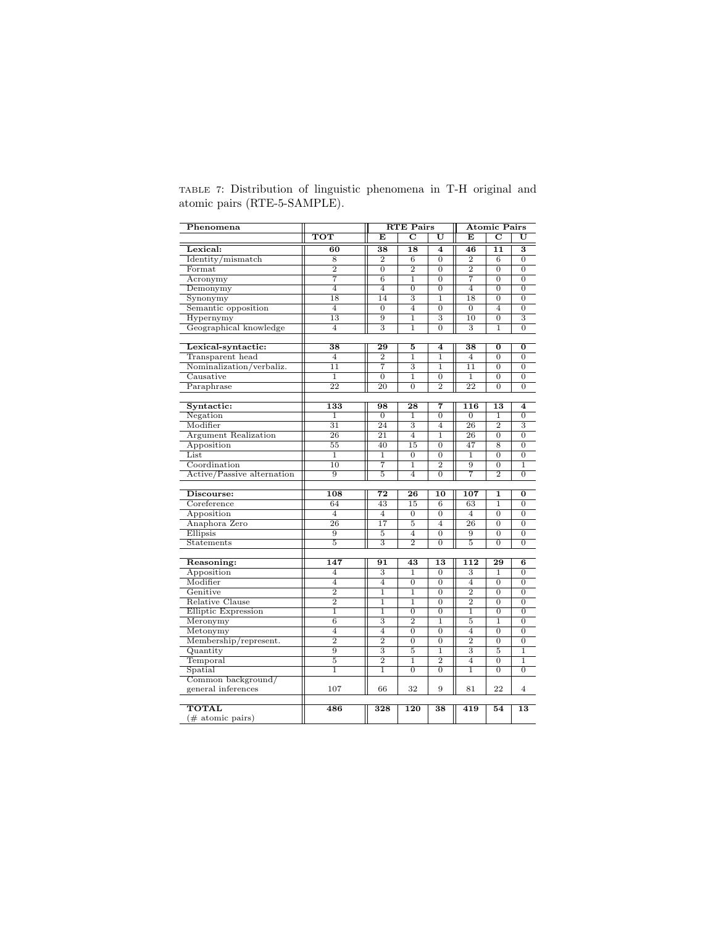| $\overline{\text{c}}$<br>$\overline{\mathtt{U}}$<br>$\overline{\mathbf{E}}$<br>Е<br>$\overline{\text{c}}$<br>$\overline{\mathtt{U}}$<br>Lexical:<br>38<br>18<br>46<br>11<br>60<br>$\overline{\bf 4}$<br>3<br>Identity/mismatch<br>$\overline{0}$<br>$\overline{2}$<br>$\overline{6}$<br>$\overline{0}$<br>8<br>$\overline{2}$<br>6<br>Format<br>$\overline{2}$<br>$\overline{2}$<br>$\overline{2}$<br>$\mathbf{0}$<br>$\overline{0}$<br>$\boldsymbol{0}$<br>$\overline{0}$<br>$\overline{0}$<br>7<br>7<br>$\overline{6}$<br>$\overline{1}$<br>$\overline{0}$<br>$\overline{0}$<br>Acronymy<br>$\overline{4}$<br>$\overline{4}$<br>$\overline{0}$<br>$\overline{0}$<br>$\overline{4}$<br>$\overline{0}$<br>$\overline{0}$<br>Demonymy<br>3<br>$\overline{1}$<br>18<br>$\overline{0}$<br>$\overline{0}$<br>18<br>14<br>Synonymy<br>Semantic opposition<br>$\overline{4}$<br>$\overline{4}$<br>$\overline{0}$<br>$\overline{4}$<br>$\overline{0}$<br>$\overline{0}$<br>$\overline{0}$<br>$\overline{3}$<br>$\overline{3}$<br>$\overline{13}$<br>$\overline{9}$<br>$\overline{10}$<br>$\overline{1}$<br>$\overline{0}$<br>Hypernymy<br>Geographical knowledge<br>3<br>3<br>$\overline{4}$<br>$\mathbf{1}$<br>$\overline{0}$<br>$\mathbf{1}$<br>$\Omega$<br>Lexical-syntactic:<br>38<br>29<br>5<br>$\boldsymbol{4}$<br>38<br>0<br>0<br>$\overline{4}$<br>$\overline{2}$<br>$\overline{1}$<br>$\overline{1}$<br>$\overline{4}$<br>$\overline{0}$<br>$\overline{0}$<br>Transparent head<br>$\overline{11}$<br>7<br>3<br>$\overline{1}$<br>11<br>$\overline{0}$<br>$\overline{0}$<br>Nominalization/verbaliz.<br>$\overline{0}$<br>$\overline{1}$<br>$\overline{0}$<br>$\overline{0}$<br>$\overline{0}$<br>Causative<br>$\overline{1}$<br>$\overline{1}$<br>$\overline{2}$<br>$\overline{22}$<br>22<br>20<br>$\overline{0}$<br>$\overline{0}$<br>$\overline{0}$<br>Paraphrase<br>Syntactic:<br>133<br>28<br>13<br>$\overline{4}$<br>98<br>7<br>116<br>Negation<br>$\overline{1}$<br>$\overline{0}$<br>1<br>$\overline{0}$<br>$\overline{0}$<br>$\overline{1}$<br>$\overline{0}$<br>Modifier<br>31<br>3<br>$\overline{2}$<br>3<br>24<br>$\overline{4}$<br>26<br><b>Argument Realization</b><br>26<br>21<br>$\overline{4}$<br>$\overline{1}$<br>26<br>$\overline{0}$<br>$\overline{0}$<br>Apposition<br>55<br>40<br>$\overline{15}$<br>$\overline{0}$<br>47<br>$\overline{8}$<br>$\overline{0}$<br>List<br>$\overline{1}$<br>$\overline{0}$<br>$\overline{0}$<br>$\overline{0}$<br>$\mathbf{1}$<br>$\overline{0}$<br>$\mathbf{1}$<br>7<br>$\overline{2}$<br>$\overline{9}$<br>$\overline{1}$<br>Coordination<br>10<br>$\mathbf{1}$<br>$\overline{0}$<br>$\overline{4}$<br>7<br>$\overline{2}$<br>Active/Passive alternation<br>$\overline{9}$<br>$\overline{5}$<br>$\overline{0}$<br>$\overline{0}$<br>Discourse:<br>108<br>72<br>26<br>10<br>107<br>$\bf{0}$<br>1<br>43<br>Coreference<br>64<br>15<br>$\overline{6}$<br>63<br>$\overline{1}$<br>$\overline{0}$<br>$\overline{0}$<br>$\overline{4}$<br>$\overline{4}$<br>$\overline{0}$<br>$\overline{4}$<br>$\overline{0}$<br>$\overline{0}$<br>Apposition<br>Anaphora Zero<br>26<br>17<br>$\overline{4}$<br>26<br>$\overline{0}$<br>5<br>$\overline{0}$<br>Ellipsis<br>$\overline{4}$<br>$\overline{0}$<br>$\overline{9}$<br>$\overline{0}$<br>$\overline{0}$<br>$_{9}$<br>$\overline{5}$<br>$\overline{\overline{3}}$<br>$\overline{5}$<br>$\overline{2}$<br>$\overline{0}$<br>$\overline{5}$<br>$\overline{0}$<br>Statements<br>$\mathbf{0}$<br>147<br>91<br>43<br>$\overline{13}$<br>112<br>29<br>$\overline{6}$<br>Reasoning:<br>$\overline{\overline{3}}$<br>$\overline{0}$<br>$\overline{\overline{3}}$<br>$\overline{1}$<br>Apposition<br>$\overline{4}$<br>$\mathbf{1}$<br>$\Omega$<br>Modifier<br>$\overline{4}$<br>$\overline{0}$<br>$\overline{4}$<br>$\overline{0}$<br>$\overline{4}$<br>$\overline{0}$<br>$\overline{0}$<br>$\overline{2}$<br>Genitive<br>$\overline{2}$<br>$\overline{1}$<br>$\overline{1}$<br>$\overline{0}$<br>$\overline{0}$<br>$\overline{0}$<br>$\overline{2}$<br>$\overline{2}$<br>Relative Clause<br>$\overline{1}$<br>$\overline{1}$<br>$\overline{0}$<br>$\overline{0}$<br>$\overline{0}$<br>Elliptic Expression<br>$\mathbf 1$<br>$\mathbf{1}$<br>$\mathbf{0}$<br>$\overline{0}$<br>$\mathbf{1}$<br>$\boldsymbol{0}$<br>$\overline{0}$<br>$\overline{\overline{3}}$<br>$\overline{2}$<br>$\overline{5}$<br>$\overline{6}$<br>$\overline{1}$<br>$\overline{1}$<br>$\overline{0}$<br>Meronymy<br>Metonymy<br>$\overline{4}$<br>$\overline{4}$<br>$\overline{0}$<br>$\overline{0}$<br>$\overline{4}$<br>$\overline{0}$<br>$\overline{0}$<br>$\overline{2}$<br>$\overline{2}$<br>$\overline{0}$<br>Membership/represent.<br>$\overline{0}$<br>$\overline{2}$<br>$\overline{0}$<br>$\overline{0}$<br>$\overline{9}$<br>$\overline{3}$<br>$\overline{5}$<br>$\overline{1}$<br>$\overline{3}$<br>$\overline{5}$<br>$\overline{1}$<br>Quantity<br>$\overline{5}$<br>$\overline{2}$<br>$\overline{2}$<br>$\overline{1}$<br>$\overline{4}$<br>$\overline{0}$<br>ī<br>Temporal<br>Spatial<br>$\mathbf{1}$<br>$\mathbf{1}$<br>$\overline{0}$<br>$\overline{0}$<br>$\mathbf{1}$<br>$\overline{0}$<br>$\overline{0}$<br>Common background/<br>32<br>9<br>81<br>22<br>general inferences<br>107<br>66<br>4<br><b>TOTAL</b><br>486<br>328<br>120<br>38<br>419<br>13<br>54 | Phenomena                |                         | <b>RTE Pairs</b> | <b>Atomic Pairs</b> |  |  |
|-------------------------------------------------------------------------------------------------------------------------------------------------------------------------------------------------------------------------------------------------------------------------------------------------------------------------------------------------------------------------------------------------------------------------------------------------------------------------------------------------------------------------------------------------------------------------------------------------------------------------------------------------------------------------------------------------------------------------------------------------------------------------------------------------------------------------------------------------------------------------------------------------------------------------------------------------------------------------------------------------------------------------------------------------------------------------------------------------------------------------------------------------------------------------------------------------------------------------------------------------------------------------------------------------------------------------------------------------------------------------------------------------------------------------------------------------------------------------------------------------------------------------------------------------------------------------------------------------------------------------------------------------------------------------------------------------------------------------------------------------------------------------------------------------------------------------------------------------------------------------------------------------------------------------------------------------------------------------------------------------------------------------------------------------------------------------------------------------------------------------------------------------------------------------------------------------------------------------------------------------------------------------------------------------------------------------------------------------------------------------------------------------------------------------------------------------------------------------------------------------------------------------------------------------------------------------------------------------------------------------------------------------------------------------------------------------------------------------------------------------------------------------------------------------------------------------------------------------------------------------------------------------------------------------------------------------------------------------------------------------------------------------------------------------------------------------------------------------------------------------------------------------------------------------------------------------------------------------------------------------------------------------------------------------------------------------------------------------------------------------------------------------------------------------------------------------------------------------------------------------------------------------------------------------------------------------------------------------------------------------------------------------------------------------------------------------------------------------------------------------------------------------------------------------------------------------------------------------------------------------------------------------------------------------------------------------------------------------------------------------------------------------------------------------------------------------------------------------------------------------------------------------------------------------------------------------------------------------------------------------------------------------------------------------------------------------------------------------------------------------------------------------------------------------------------------------------------------------------------------------------------------------------------------------------------------------------------------------------------------------------------------------------------------------------------------------------------------------------------------------------------------------------------------------------------------------------------------------------------------------------------------------------------------------------------------------------------------------------------------------------------------------------------------------------------------------------------------------------------------------------------------------------------------------------------------------------------------------------------------------------------------------------------------------------------------------------------------|--------------------------|-------------------------|------------------|---------------------|--|--|
|                                                                                                                                                                                                                                                                                                                                                                                                                                                                                                                                                                                                                                                                                                                                                                                                                                                                                                                                                                                                                                                                                                                                                                                                                                                                                                                                                                                                                                                                                                                                                                                                                                                                                                                                                                                                                                                                                                                                                                                                                                                                                                                                                                                                                                                                                                                                                                                                                                                                                                                                                                                                                                                                                                                                                                                                                                                                                                                                                                                                                                                                                                                                                                                                                                                                                                                                                                                                                                                                                                                                                                                                                                                                                                                                                                                                                                                                                                                                                                                                                                                                                                                                                                                                                                                                                                                                                                                                                                                                                                                                                                                                                                                                                                                                                                                                                                                                                                                                                                                                                                                                                                                                                                                                                                                                                                                                           |                          | $\overline{\text{TOT}}$ |                  |                     |  |  |
|                                                                                                                                                                                                                                                                                                                                                                                                                                                                                                                                                                                                                                                                                                                                                                                                                                                                                                                                                                                                                                                                                                                                                                                                                                                                                                                                                                                                                                                                                                                                                                                                                                                                                                                                                                                                                                                                                                                                                                                                                                                                                                                                                                                                                                                                                                                                                                                                                                                                                                                                                                                                                                                                                                                                                                                                                                                                                                                                                                                                                                                                                                                                                                                                                                                                                                                                                                                                                                                                                                                                                                                                                                                                                                                                                                                                                                                                                                                                                                                                                                                                                                                                                                                                                                                                                                                                                                                                                                                                                                                                                                                                                                                                                                                                                                                                                                                                                                                                                                                                                                                                                                                                                                                                                                                                                                                                           |                          |                         |                  |                     |  |  |
|                                                                                                                                                                                                                                                                                                                                                                                                                                                                                                                                                                                                                                                                                                                                                                                                                                                                                                                                                                                                                                                                                                                                                                                                                                                                                                                                                                                                                                                                                                                                                                                                                                                                                                                                                                                                                                                                                                                                                                                                                                                                                                                                                                                                                                                                                                                                                                                                                                                                                                                                                                                                                                                                                                                                                                                                                                                                                                                                                                                                                                                                                                                                                                                                                                                                                                                                                                                                                                                                                                                                                                                                                                                                                                                                                                                                                                                                                                                                                                                                                                                                                                                                                                                                                                                                                                                                                                                                                                                                                                                                                                                                                                                                                                                                                                                                                                                                                                                                                                                                                                                                                                                                                                                                                                                                                                                                           |                          |                         |                  |                     |  |  |
|                                                                                                                                                                                                                                                                                                                                                                                                                                                                                                                                                                                                                                                                                                                                                                                                                                                                                                                                                                                                                                                                                                                                                                                                                                                                                                                                                                                                                                                                                                                                                                                                                                                                                                                                                                                                                                                                                                                                                                                                                                                                                                                                                                                                                                                                                                                                                                                                                                                                                                                                                                                                                                                                                                                                                                                                                                                                                                                                                                                                                                                                                                                                                                                                                                                                                                                                                                                                                                                                                                                                                                                                                                                                                                                                                                                                                                                                                                                                                                                                                                                                                                                                                                                                                                                                                                                                                                                                                                                                                                                                                                                                                                                                                                                                                                                                                                                                                                                                                                                                                                                                                                                                                                                                                                                                                                                                           |                          |                         |                  |                     |  |  |
|                                                                                                                                                                                                                                                                                                                                                                                                                                                                                                                                                                                                                                                                                                                                                                                                                                                                                                                                                                                                                                                                                                                                                                                                                                                                                                                                                                                                                                                                                                                                                                                                                                                                                                                                                                                                                                                                                                                                                                                                                                                                                                                                                                                                                                                                                                                                                                                                                                                                                                                                                                                                                                                                                                                                                                                                                                                                                                                                                                                                                                                                                                                                                                                                                                                                                                                                                                                                                                                                                                                                                                                                                                                                                                                                                                                                                                                                                                                                                                                                                                                                                                                                                                                                                                                                                                                                                                                                                                                                                                                                                                                                                                                                                                                                                                                                                                                                                                                                                                                                                                                                                                                                                                                                                                                                                                                                           |                          |                         |                  |                     |  |  |
|                                                                                                                                                                                                                                                                                                                                                                                                                                                                                                                                                                                                                                                                                                                                                                                                                                                                                                                                                                                                                                                                                                                                                                                                                                                                                                                                                                                                                                                                                                                                                                                                                                                                                                                                                                                                                                                                                                                                                                                                                                                                                                                                                                                                                                                                                                                                                                                                                                                                                                                                                                                                                                                                                                                                                                                                                                                                                                                                                                                                                                                                                                                                                                                                                                                                                                                                                                                                                                                                                                                                                                                                                                                                                                                                                                                                                                                                                                                                                                                                                                                                                                                                                                                                                                                                                                                                                                                                                                                                                                                                                                                                                                                                                                                                                                                                                                                                                                                                                                                                                                                                                                                                                                                                                                                                                                                                           |                          |                         |                  |                     |  |  |
|                                                                                                                                                                                                                                                                                                                                                                                                                                                                                                                                                                                                                                                                                                                                                                                                                                                                                                                                                                                                                                                                                                                                                                                                                                                                                                                                                                                                                                                                                                                                                                                                                                                                                                                                                                                                                                                                                                                                                                                                                                                                                                                                                                                                                                                                                                                                                                                                                                                                                                                                                                                                                                                                                                                                                                                                                                                                                                                                                                                                                                                                                                                                                                                                                                                                                                                                                                                                                                                                                                                                                                                                                                                                                                                                                                                                                                                                                                                                                                                                                                                                                                                                                                                                                                                                                                                                                                                                                                                                                                                                                                                                                                                                                                                                                                                                                                                                                                                                                                                                                                                                                                                                                                                                                                                                                                                                           |                          |                         |                  |                     |  |  |
|                                                                                                                                                                                                                                                                                                                                                                                                                                                                                                                                                                                                                                                                                                                                                                                                                                                                                                                                                                                                                                                                                                                                                                                                                                                                                                                                                                                                                                                                                                                                                                                                                                                                                                                                                                                                                                                                                                                                                                                                                                                                                                                                                                                                                                                                                                                                                                                                                                                                                                                                                                                                                                                                                                                                                                                                                                                                                                                                                                                                                                                                                                                                                                                                                                                                                                                                                                                                                                                                                                                                                                                                                                                                                                                                                                                                                                                                                                                                                                                                                                                                                                                                                                                                                                                                                                                                                                                                                                                                                                                                                                                                                                                                                                                                                                                                                                                                                                                                                                                                                                                                                                                                                                                                                                                                                                                                           |                          |                         |                  |                     |  |  |
|                                                                                                                                                                                                                                                                                                                                                                                                                                                                                                                                                                                                                                                                                                                                                                                                                                                                                                                                                                                                                                                                                                                                                                                                                                                                                                                                                                                                                                                                                                                                                                                                                                                                                                                                                                                                                                                                                                                                                                                                                                                                                                                                                                                                                                                                                                                                                                                                                                                                                                                                                                                                                                                                                                                                                                                                                                                                                                                                                                                                                                                                                                                                                                                                                                                                                                                                                                                                                                                                                                                                                                                                                                                                                                                                                                                                                                                                                                                                                                                                                                                                                                                                                                                                                                                                                                                                                                                                                                                                                                                                                                                                                                                                                                                                                                                                                                                                                                                                                                                                                                                                                                                                                                                                                                                                                                                                           |                          |                         |                  |                     |  |  |
|                                                                                                                                                                                                                                                                                                                                                                                                                                                                                                                                                                                                                                                                                                                                                                                                                                                                                                                                                                                                                                                                                                                                                                                                                                                                                                                                                                                                                                                                                                                                                                                                                                                                                                                                                                                                                                                                                                                                                                                                                                                                                                                                                                                                                                                                                                                                                                                                                                                                                                                                                                                                                                                                                                                                                                                                                                                                                                                                                                                                                                                                                                                                                                                                                                                                                                                                                                                                                                                                                                                                                                                                                                                                                                                                                                                                                                                                                                                                                                                                                                                                                                                                                                                                                                                                                                                                                                                                                                                                                                                                                                                                                                                                                                                                                                                                                                                                                                                                                                                                                                                                                                                                                                                                                                                                                                                                           |                          |                         |                  |                     |  |  |
|                                                                                                                                                                                                                                                                                                                                                                                                                                                                                                                                                                                                                                                                                                                                                                                                                                                                                                                                                                                                                                                                                                                                                                                                                                                                                                                                                                                                                                                                                                                                                                                                                                                                                                                                                                                                                                                                                                                                                                                                                                                                                                                                                                                                                                                                                                                                                                                                                                                                                                                                                                                                                                                                                                                                                                                                                                                                                                                                                                                                                                                                                                                                                                                                                                                                                                                                                                                                                                                                                                                                                                                                                                                                                                                                                                                                                                                                                                                                                                                                                                                                                                                                                                                                                                                                                                                                                                                                                                                                                                                                                                                                                                                                                                                                                                                                                                                                                                                                                                                                                                                                                                                                                                                                                                                                                                                                           |                          |                         |                  |                     |  |  |
|                                                                                                                                                                                                                                                                                                                                                                                                                                                                                                                                                                                                                                                                                                                                                                                                                                                                                                                                                                                                                                                                                                                                                                                                                                                                                                                                                                                                                                                                                                                                                                                                                                                                                                                                                                                                                                                                                                                                                                                                                                                                                                                                                                                                                                                                                                                                                                                                                                                                                                                                                                                                                                                                                                                                                                                                                                                                                                                                                                                                                                                                                                                                                                                                                                                                                                                                                                                                                                                                                                                                                                                                                                                                                                                                                                                                                                                                                                                                                                                                                                                                                                                                                                                                                                                                                                                                                                                                                                                                                                                                                                                                                                                                                                                                                                                                                                                                                                                                                                                                                                                                                                                                                                                                                                                                                                                                           |                          |                         |                  |                     |  |  |
|                                                                                                                                                                                                                                                                                                                                                                                                                                                                                                                                                                                                                                                                                                                                                                                                                                                                                                                                                                                                                                                                                                                                                                                                                                                                                                                                                                                                                                                                                                                                                                                                                                                                                                                                                                                                                                                                                                                                                                                                                                                                                                                                                                                                                                                                                                                                                                                                                                                                                                                                                                                                                                                                                                                                                                                                                                                                                                                                                                                                                                                                                                                                                                                                                                                                                                                                                                                                                                                                                                                                                                                                                                                                                                                                                                                                                                                                                                                                                                                                                                                                                                                                                                                                                                                                                                                                                                                                                                                                                                                                                                                                                                                                                                                                                                                                                                                                                                                                                                                                                                                                                                                                                                                                                                                                                                                                           |                          |                         |                  |                     |  |  |
|                                                                                                                                                                                                                                                                                                                                                                                                                                                                                                                                                                                                                                                                                                                                                                                                                                                                                                                                                                                                                                                                                                                                                                                                                                                                                                                                                                                                                                                                                                                                                                                                                                                                                                                                                                                                                                                                                                                                                                                                                                                                                                                                                                                                                                                                                                                                                                                                                                                                                                                                                                                                                                                                                                                                                                                                                                                                                                                                                                                                                                                                                                                                                                                                                                                                                                                                                                                                                                                                                                                                                                                                                                                                                                                                                                                                                                                                                                                                                                                                                                                                                                                                                                                                                                                                                                                                                                                                                                                                                                                                                                                                                                                                                                                                                                                                                                                                                                                                                                                                                                                                                                                                                                                                                                                                                                                                           |                          |                         |                  |                     |  |  |
|                                                                                                                                                                                                                                                                                                                                                                                                                                                                                                                                                                                                                                                                                                                                                                                                                                                                                                                                                                                                                                                                                                                                                                                                                                                                                                                                                                                                                                                                                                                                                                                                                                                                                                                                                                                                                                                                                                                                                                                                                                                                                                                                                                                                                                                                                                                                                                                                                                                                                                                                                                                                                                                                                                                                                                                                                                                                                                                                                                                                                                                                                                                                                                                                                                                                                                                                                                                                                                                                                                                                                                                                                                                                                                                                                                                                                                                                                                                                                                                                                                                                                                                                                                                                                                                                                                                                                                                                                                                                                                                                                                                                                                                                                                                                                                                                                                                                                                                                                                                                                                                                                                                                                                                                                                                                                                                                           |                          |                         |                  |                     |  |  |
|                                                                                                                                                                                                                                                                                                                                                                                                                                                                                                                                                                                                                                                                                                                                                                                                                                                                                                                                                                                                                                                                                                                                                                                                                                                                                                                                                                                                                                                                                                                                                                                                                                                                                                                                                                                                                                                                                                                                                                                                                                                                                                                                                                                                                                                                                                                                                                                                                                                                                                                                                                                                                                                                                                                                                                                                                                                                                                                                                                                                                                                                                                                                                                                                                                                                                                                                                                                                                                                                                                                                                                                                                                                                                                                                                                                                                                                                                                                                                                                                                                                                                                                                                                                                                                                                                                                                                                                                                                                                                                                                                                                                                                                                                                                                                                                                                                                                                                                                                                                                                                                                                                                                                                                                                                                                                                                                           |                          |                         |                  |                     |  |  |
|                                                                                                                                                                                                                                                                                                                                                                                                                                                                                                                                                                                                                                                                                                                                                                                                                                                                                                                                                                                                                                                                                                                                                                                                                                                                                                                                                                                                                                                                                                                                                                                                                                                                                                                                                                                                                                                                                                                                                                                                                                                                                                                                                                                                                                                                                                                                                                                                                                                                                                                                                                                                                                                                                                                                                                                                                                                                                                                                                                                                                                                                                                                                                                                                                                                                                                                                                                                                                                                                                                                                                                                                                                                                                                                                                                                                                                                                                                                                                                                                                                                                                                                                                                                                                                                                                                                                                                                                                                                                                                                                                                                                                                                                                                                                                                                                                                                                                                                                                                                                                                                                                                                                                                                                                                                                                                                                           |                          |                         |                  |                     |  |  |
|                                                                                                                                                                                                                                                                                                                                                                                                                                                                                                                                                                                                                                                                                                                                                                                                                                                                                                                                                                                                                                                                                                                                                                                                                                                                                                                                                                                                                                                                                                                                                                                                                                                                                                                                                                                                                                                                                                                                                                                                                                                                                                                                                                                                                                                                                                                                                                                                                                                                                                                                                                                                                                                                                                                                                                                                                                                                                                                                                                                                                                                                                                                                                                                                                                                                                                                                                                                                                                                                                                                                                                                                                                                                                                                                                                                                                                                                                                                                                                                                                                                                                                                                                                                                                                                                                                                                                                                                                                                                                                                                                                                                                                                                                                                                                                                                                                                                                                                                                                                                                                                                                                                                                                                                                                                                                                                                           |                          |                         |                  |                     |  |  |
|                                                                                                                                                                                                                                                                                                                                                                                                                                                                                                                                                                                                                                                                                                                                                                                                                                                                                                                                                                                                                                                                                                                                                                                                                                                                                                                                                                                                                                                                                                                                                                                                                                                                                                                                                                                                                                                                                                                                                                                                                                                                                                                                                                                                                                                                                                                                                                                                                                                                                                                                                                                                                                                                                                                                                                                                                                                                                                                                                                                                                                                                                                                                                                                                                                                                                                                                                                                                                                                                                                                                                                                                                                                                                                                                                                                                                                                                                                                                                                                                                                                                                                                                                                                                                                                                                                                                                                                                                                                                                                                                                                                                                                                                                                                                                                                                                                                                                                                                                                                                                                                                                                                                                                                                                                                                                                                                           |                          |                         |                  |                     |  |  |
|                                                                                                                                                                                                                                                                                                                                                                                                                                                                                                                                                                                                                                                                                                                                                                                                                                                                                                                                                                                                                                                                                                                                                                                                                                                                                                                                                                                                                                                                                                                                                                                                                                                                                                                                                                                                                                                                                                                                                                                                                                                                                                                                                                                                                                                                                                                                                                                                                                                                                                                                                                                                                                                                                                                                                                                                                                                                                                                                                                                                                                                                                                                                                                                                                                                                                                                                                                                                                                                                                                                                                                                                                                                                                                                                                                                                                                                                                                                                                                                                                                                                                                                                                                                                                                                                                                                                                                                                                                                                                                                                                                                                                                                                                                                                                                                                                                                                                                                                                                                                                                                                                                                                                                                                                                                                                                                                           |                          |                         |                  |                     |  |  |
|                                                                                                                                                                                                                                                                                                                                                                                                                                                                                                                                                                                                                                                                                                                                                                                                                                                                                                                                                                                                                                                                                                                                                                                                                                                                                                                                                                                                                                                                                                                                                                                                                                                                                                                                                                                                                                                                                                                                                                                                                                                                                                                                                                                                                                                                                                                                                                                                                                                                                                                                                                                                                                                                                                                                                                                                                                                                                                                                                                                                                                                                                                                                                                                                                                                                                                                                                                                                                                                                                                                                                                                                                                                                                                                                                                                                                                                                                                                                                                                                                                                                                                                                                                                                                                                                                                                                                                                                                                                                                                                                                                                                                                                                                                                                                                                                                                                                                                                                                                                                                                                                                                                                                                                                                                                                                                                                           |                          |                         |                  |                     |  |  |
|                                                                                                                                                                                                                                                                                                                                                                                                                                                                                                                                                                                                                                                                                                                                                                                                                                                                                                                                                                                                                                                                                                                                                                                                                                                                                                                                                                                                                                                                                                                                                                                                                                                                                                                                                                                                                                                                                                                                                                                                                                                                                                                                                                                                                                                                                                                                                                                                                                                                                                                                                                                                                                                                                                                                                                                                                                                                                                                                                                                                                                                                                                                                                                                                                                                                                                                                                                                                                                                                                                                                                                                                                                                                                                                                                                                                                                                                                                                                                                                                                                                                                                                                                                                                                                                                                                                                                                                                                                                                                                                                                                                                                                                                                                                                                                                                                                                                                                                                                                                                                                                                                                                                                                                                                                                                                                                                           |                          |                         |                  |                     |  |  |
|                                                                                                                                                                                                                                                                                                                                                                                                                                                                                                                                                                                                                                                                                                                                                                                                                                                                                                                                                                                                                                                                                                                                                                                                                                                                                                                                                                                                                                                                                                                                                                                                                                                                                                                                                                                                                                                                                                                                                                                                                                                                                                                                                                                                                                                                                                                                                                                                                                                                                                                                                                                                                                                                                                                                                                                                                                                                                                                                                                                                                                                                                                                                                                                                                                                                                                                                                                                                                                                                                                                                                                                                                                                                                                                                                                                                                                                                                                                                                                                                                                                                                                                                                                                                                                                                                                                                                                                                                                                                                                                                                                                                                                                                                                                                                                                                                                                                                                                                                                                                                                                                                                                                                                                                                                                                                                                                           |                          |                         |                  |                     |  |  |
|                                                                                                                                                                                                                                                                                                                                                                                                                                                                                                                                                                                                                                                                                                                                                                                                                                                                                                                                                                                                                                                                                                                                                                                                                                                                                                                                                                                                                                                                                                                                                                                                                                                                                                                                                                                                                                                                                                                                                                                                                                                                                                                                                                                                                                                                                                                                                                                                                                                                                                                                                                                                                                                                                                                                                                                                                                                                                                                                                                                                                                                                                                                                                                                                                                                                                                                                                                                                                                                                                                                                                                                                                                                                                                                                                                                                                                                                                                                                                                                                                                                                                                                                                                                                                                                                                                                                                                                                                                                                                                                                                                                                                                                                                                                                                                                                                                                                                                                                                                                                                                                                                                                                                                                                                                                                                                                                           |                          |                         |                  |                     |  |  |
|                                                                                                                                                                                                                                                                                                                                                                                                                                                                                                                                                                                                                                                                                                                                                                                                                                                                                                                                                                                                                                                                                                                                                                                                                                                                                                                                                                                                                                                                                                                                                                                                                                                                                                                                                                                                                                                                                                                                                                                                                                                                                                                                                                                                                                                                                                                                                                                                                                                                                                                                                                                                                                                                                                                                                                                                                                                                                                                                                                                                                                                                                                                                                                                                                                                                                                                                                                                                                                                                                                                                                                                                                                                                                                                                                                                                                                                                                                                                                                                                                                                                                                                                                                                                                                                                                                                                                                                                                                                                                                                                                                                                                                                                                                                                                                                                                                                                                                                                                                                                                                                                                                                                                                                                                                                                                                                                           |                          |                         |                  |                     |  |  |
|                                                                                                                                                                                                                                                                                                                                                                                                                                                                                                                                                                                                                                                                                                                                                                                                                                                                                                                                                                                                                                                                                                                                                                                                                                                                                                                                                                                                                                                                                                                                                                                                                                                                                                                                                                                                                                                                                                                                                                                                                                                                                                                                                                                                                                                                                                                                                                                                                                                                                                                                                                                                                                                                                                                                                                                                                                                                                                                                                                                                                                                                                                                                                                                                                                                                                                                                                                                                                                                                                                                                                                                                                                                                                                                                                                                                                                                                                                                                                                                                                                                                                                                                                                                                                                                                                                                                                                                                                                                                                                                                                                                                                                                                                                                                                                                                                                                                                                                                                                                                                                                                                                                                                                                                                                                                                                                                           |                          |                         |                  |                     |  |  |
|                                                                                                                                                                                                                                                                                                                                                                                                                                                                                                                                                                                                                                                                                                                                                                                                                                                                                                                                                                                                                                                                                                                                                                                                                                                                                                                                                                                                                                                                                                                                                                                                                                                                                                                                                                                                                                                                                                                                                                                                                                                                                                                                                                                                                                                                                                                                                                                                                                                                                                                                                                                                                                                                                                                                                                                                                                                                                                                                                                                                                                                                                                                                                                                                                                                                                                                                                                                                                                                                                                                                                                                                                                                                                                                                                                                                                                                                                                                                                                                                                                                                                                                                                                                                                                                                                                                                                                                                                                                                                                                                                                                                                                                                                                                                                                                                                                                                                                                                                                                                                                                                                                                                                                                                                                                                                                                                           |                          |                         |                  |                     |  |  |
|                                                                                                                                                                                                                                                                                                                                                                                                                                                                                                                                                                                                                                                                                                                                                                                                                                                                                                                                                                                                                                                                                                                                                                                                                                                                                                                                                                                                                                                                                                                                                                                                                                                                                                                                                                                                                                                                                                                                                                                                                                                                                                                                                                                                                                                                                                                                                                                                                                                                                                                                                                                                                                                                                                                                                                                                                                                                                                                                                                                                                                                                                                                                                                                                                                                                                                                                                                                                                                                                                                                                                                                                                                                                                                                                                                                                                                                                                                                                                                                                                                                                                                                                                                                                                                                                                                                                                                                                                                                                                                                                                                                                                                                                                                                                                                                                                                                                                                                                                                                                                                                                                                                                                                                                                                                                                                                                           |                          |                         |                  |                     |  |  |
|                                                                                                                                                                                                                                                                                                                                                                                                                                                                                                                                                                                                                                                                                                                                                                                                                                                                                                                                                                                                                                                                                                                                                                                                                                                                                                                                                                                                                                                                                                                                                                                                                                                                                                                                                                                                                                                                                                                                                                                                                                                                                                                                                                                                                                                                                                                                                                                                                                                                                                                                                                                                                                                                                                                                                                                                                                                                                                                                                                                                                                                                                                                                                                                                                                                                                                                                                                                                                                                                                                                                                                                                                                                                                                                                                                                                                                                                                                                                                                                                                                                                                                                                                                                                                                                                                                                                                                                                                                                                                                                                                                                                                                                                                                                                                                                                                                                                                                                                                                                                                                                                                                                                                                                                                                                                                                                                           |                          |                         |                  |                     |  |  |
|                                                                                                                                                                                                                                                                                                                                                                                                                                                                                                                                                                                                                                                                                                                                                                                                                                                                                                                                                                                                                                                                                                                                                                                                                                                                                                                                                                                                                                                                                                                                                                                                                                                                                                                                                                                                                                                                                                                                                                                                                                                                                                                                                                                                                                                                                                                                                                                                                                                                                                                                                                                                                                                                                                                                                                                                                                                                                                                                                                                                                                                                                                                                                                                                                                                                                                                                                                                                                                                                                                                                                                                                                                                                                                                                                                                                                                                                                                                                                                                                                                                                                                                                                                                                                                                                                                                                                                                                                                                                                                                                                                                                                                                                                                                                                                                                                                                                                                                                                                                                                                                                                                                                                                                                                                                                                                                                           |                          |                         |                  |                     |  |  |
|                                                                                                                                                                                                                                                                                                                                                                                                                                                                                                                                                                                                                                                                                                                                                                                                                                                                                                                                                                                                                                                                                                                                                                                                                                                                                                                                                                                                                                                                                                                                                                                                                                                                                                                                                                                                                                                                                                                                                                                                                                                                                                                                                                                                                                                                                                                                                                                                                                                                                                                                                                                                                                                                                                                                                                                                                                                                                                                                                                                                                                                                                                                                                                                                                                                                                                                                                                                                                                                                                                                                                                                                                                                                                                                                                                                                                                                                                                                                                                                                                                                                                                                                                                                                                                                                                                                                                                                                                                                                                                                                                                                                                                                                                                                                                                                                                                                                                                                                                                                                                                                                                                                                                                                                                                                                                                                                           |                          |                         |                  |                     |  |  |
|                                                                                                                                                                                                                                                                                                                                                                                                                                                                                                                                                                                                                                                                                                                                                                                                                                                                                                                                                                                                                                                                                                                                                                                                                                                                                                                                                                                                                                                                                                                                                                                                                                                                                                                                                                                                                                                                                                                                                                                                                                                                                                                                                                                                                                                                                                                                                                                                                                                                                                                                                                                                                                                                                                                                                                                                                                                                                                                                                                                                                                                                                                                                                                                                                                                                                                                                                                                                                                                                                                                                                                                                                                                                                                                                                                                                                                                                                                                                                                                                                                                                                                                                                                                                                                                                                                                                                                                                                                                                                                                                                                                                                                                                                                                                                                                                                                                                                                                                                                                                                                                                                                                                                                                                                                                                                                                                           |                          |                         |                  |                     |  |  |
|                                                                                                                                                                                                                                                                                                                                                                                                                                                                                                                                                                                                                                                                                                                                                                                                                                                                                                                                                                                                                                                                                                                                                                                                                                                                                                                                                                                                                                                                                                                                                                                                                                                                                                                                                                                                                                                                                                                                                                                                                                                                                                                                                                                                                                                                                                                                                                                                                                                                                                                                                                                                                                                                                                                                                                                                                                                                                                                                                                                                                                                                                                                                                                                                                                                                                                                                                                                                                                                                                                                                                                                                                                                                                                                                                                                                                                                                                                                                                                                                                                                                                                                                                                                                                                                                                                                                                                                                                                                                                                                                                                                                                                                                                                                                                                                                                                                                                                                                                                                                                                                                                                                                                                                                                                                                                                                                           |                          |                         |                  |                     |  |  |
|                                                                                                                                                                                                                                                                                                                                                                                                                                                                                                                                                                                                                                                                                                                                                                                                                                                                                                                                                                                                                                                                                                                                                                                                                                                                                                                                                                                                                                                                                                                                                                                                                                                                                                                                                                                                                                                                                                                                                                                                                                                                                                                                                                                                                                                                                                                                                                                                                                                                                                                                                                                                                                                                                                                                                                                                                                                                                                                                                                                                                                                                                                                                                                                                                                                                                                                                                                                                                                                                                                                                                                                                                                                                                                                                                                                                                                                                                                                                                                                                                                                                                                                                                                                                                                                                                                                                                                                                                                                                                                                                                                                                                                                                                                                                                                                                                                                                                                                                                                                                                                                                                                                                                                                                                                                                                                                                           |                          |                         |                  |                     |  |  |
|                                                                                                                                                                                                                                                                                                                                                                                                                                                                                                                                                                                                                                                                                                                                                                                                                                                                                                                                                                                                                                                                                                                                                                                                                                                                                                                                                                                                                                                                                                                                                                                                                                                                                                                                                                                                                                                                                                                                                                                                                                                                                                                                                                                                                                                                                                                                                                                                                                                                                                                                                                                                                                                                                                                                                                                                                                                                                                                                                                                                                                                                                                                                                                                                                                                                                                                                                                                                                                                                                                                                                                                                                                                                                                                                                                                                                                                                                                                                                                                                                                                                                                                                                                                                                                                                                                                                                                                                                                                                                                                                                                                                                                                                                                                                                                                                                                                                                                                                                                                                                                                                                                                                                                                                                                                                                                                                           |                          |                         |                  |                     |  |  |
|                                                                                                                                                                                                                                                                                                                                                                                                                                                                                                                                                                                                                                                                                                                                                                                                                                                                                                                                                                                                                                                                                                                                                                                                                                                                                                                                                                                                                                                                                                                                                                                                                                                                                                                                                                                                                                                                                                                                                                                                                                                                                                                                                                                                                                                                                                                                                                                                                                                                                                                                                                                                                                                                                                                                                                                                                                                                                                                                                                                                                                                                                                                                                                                                                                                                                                                                                                                                                                                                                                                                                                                                                                                                                                                                                                                                                                                                                                                                                                                                                                                                                                                                                                                                                                                                                                                                                                                                                                                                                                                                                                                                                                                                                                                                                                                                                                                                                                                                                                                                                                                                                                                                                                                                                                                                                                                                           |                          |                         |                  |                     |  |  |
|                                                                                                                                                                                                                                                                                                                                                                                                                                                                                                                                                                                                                                                                                                                                                                                                                                                                                                                                                                                                                                                                                                                                                                                                                                                                                                                                                                                                                                                                                                                                                                                                                                                                                                                                                                                                                                                                                                                                                                                                                                                                                                                                                                                                                                                                                                                                                                                                                                                                                                                                                                                                                                                                                                                                                                                                                                                                                                                                                                                                                                                                                                                                                                                                                                                                                                                                                                                                                                                                                                                                                                                                                                                                                                                                                                                                                                                                                                                                                                                                                                                                                                                                                                                                                                                                                                                                                                                                                                                                                                                                                                                                                                                                                                                                                                                                                                                                                                                                                                                                                                                                                                                                                                                                                                                                                                                                           |                          |                         |                  |                     |  |  |
|                                                                                                                                                                                                                                                                                                                                                                                                                                                                                                                                                                                                                                                                                                                                                                                                                                                                                                                                                                                                                                                                                                                                                                                                                                                                                                                                                                                                                                                                                                                                                                                                                                                                                                                                                                                                                                                                                                                                                                                                                                                                                                                                                                                                                                                                                                                                                                                                                                                                                                                                                                                                                                                                                                                                                                                                                                                                                                                                                                                                                                                                                                                                                                                                                                                                                                                                                                                                                                                                                                                                                                                                                                                                                                                                                                                                                                                                                                                                                                                                                                                                                                                                                                                                                                                                                                                                                                                                                                                                                                                                                                                                                                                                                                                                                                                                                                                                                                                                                                                                                                                                                                                                                                                                                                                                                                                                           |                          |                         |                  |                     |  |  |
|                                                                                                                                                                                                                                                                                                                                                                                                                                                                                                                                                                                                                                                                                                                                                                                                                                                                                                                                                                                                                                                                                                                                                                                                                                                                                                                                                                                                                                                                                                                                                                                                                                                                                                                                                                                                                                                                                                                                                                                                                                                                                                                                                                                                                                                                                                                                                                                                                                                                                                                                                                                                                                                                                                                                                                                                                                                                                                                                                                                                                                                                                                                                                                                                                                                                                                                                                                                                                                                                                                                                                                                                                                                                                                                                                                                                                                                                                                                                                                                                                                                                                                                                                                                                                                                                                                                                                                                                                                                                                                                                                                                                                                                                                                                                                                                                                                                                                                                                                                                                                                                                                                                                                                                                                                                                                                                                           |                          |                         |                  |                     |  |  |
|                                                                                                                                                                                                                                                                                                                                                                                                                                                                                                                                                                                                                                                                                                                                                                                                                                                                                                                                                                                                                                                                                                                                                                                                                                                                                                                                                                                                                                                                                                                                                                                                                                                                                                                                                                                                                                                                                                                                                                                                                                                                                                                                                                                                                                                                                                                                                                                                                                                                                                                                                                                                                                                                                                                                                                                                                                                                                                                                                                                                                                                                                                                                                                                                                                                                                                                                                                                                                                                                                                                                                                                                                                                                                                                                                                                                                                                                                                                                                                                                                                                                                                                                                                                                                                                                                                                                                                                                                                                                                                                                                                                                                                                                                                                                                                                                                                                                                                                                                                                                                                                                                                                                                                                                                                                                                                                                           |                          |                         |                  |                     |  |  |
|                                                                                                                                                                                                                                                                                                                                                                                                                                                                                                                                                                                                                                                                                                                                                                                                                                                                                                                                                                                                                                                                                                                                                                                                                                                                                                                                                                                                                                                                                                                                                                                                                                                                                                                                                                                                                                                                                                                                                                                                                                                                                                                                                                                                                                                                                                                                                                                                                                                                                                                                                                                                                                                                                                                                                                                                                                                                                                                                                                                                                                                                                                                                                                                                                                                                                                                                                                                                                                                                                                                                                                                                                                                                                                                                                                                                                                                                                                                                                                                                                                                                                                                                                                                                                                                                                                                                                                                                                                                                                                                                                                                                                                                                                                                                                                                                                                                                                                                                                                                                                                                                                                                                                                                                                                                                                                                                           |                          |                         |                  |                     |  |  |
|                                                                                                                                                                                                                                                                                                                                                                                                                                                                                                                                                                                                                                                                                                                                                                                                                                                                                                                                                                                                                                                                                                                                                                                                                                                                                                                                                                                                                                                                                                                                                                                                                                                                                                                                                                                                                                                                                                                                                                                                                                                                                                                                                                                                                                                                                                                                                                                                                                                                                                                                                                                                                                                                                                                                                                                                                                                                                                                                                                                                                                                                                                                                                                                                                                                                                                                                                                                                                                                                                                                                                                                                                                                                                                                                                                                                                                                                                                                                                                                                                                                                                                                                                                                                                                                                                                                                                                                                                                                                                                                                                                                                                                                                                                                                                                                                                                                                                                                                                                                                                                                                                                                                                                                                                                                                                                                                           |                          |                         |                  |                     |  |  |
|                                                                                                                                                                                                                                                                                                                                                                                                                                                                                                                                                                                                                                                                                                                                                                                                                                                                                                                                                                                                                                                                                                                                                                                                                                                                                                                                                                                                                                                                                                                                                                                                                                                                                                                                                                                                                                                                                                                                                                                                                                                                                                                                                                                                                                                                                                                                                                                                                                                                                                                                                                                                                                                                                                                                                                                                                                                                                                                                                                                                                                                                                                                                                                                                                                                                                                                                                                                                                                                                                                                                                                                                                                                                                                                                                                                                                                                                                                                                                                                                                                                                                                                                                                                                                                                                                                                                                                                                                                                                                                                                                                                                                                                                                                                                                                                                                                                                                                                                                                                                                                                                                                                                                                                                                                                                                                                                           |                          |                         |                  |                     |  |  |
|                                                                                                                                                                                                                                                                                                                                                                                                                                                                                                                                                                                                                                                                                                                                                                                                                                                                                                                                                                                                                                                                                                                                                                                                                                                                                                                                                                                                                                                                                                                                                                                                                                                                                                                                                                                                                                                                                                                                                                                                                                                                                                                                                                                                                                                                                                                                                                                                                                                                                                                                                                                                                                                                                                                                                                                                                                                                                                                                                                                                                                                                                                                                                                                                                                                                                                                                                                                                                                                                                                                                                                                                                                                                                                                                                                                                                                                                                                                                                                                                                                                                                                                                                                                                                                                                                                                                                                                                                                                                                                                                                                                                                                                                                                                                                                                                                                                                                                                                                                                                                                                                                                                                                                                                                                                                                                                                           |                          |                         |                  |                     |  |  |
|                                                                                                                                                                                                                                                                                                                                                                                                                                                                                                                                                                                                                                                                                                                                                                                                                                                                                                                                                                                                                                                                                                                                                                                                                                                                                                                                                                                                                                                                                                                                                                                                                                                                                                                                                                                                                                                                                                                                                                                                                                                                                                                                                                                                                                                                                                                                                                                                                                                                                                                                                                                                                                                                                                                                                                                                                                                                                                                                                                                                                                                                                                                                                                                                                                                                                                                                                                                                                                                                                                                                                                                                                                                                                                                                                                                                                                                                                                                                                                                                                                                                                                                                                                                                                                                                                                                                                                                                                                                                                                                                                                                                                                                                                                                                                                                                                                                                                                                                                                                                                                                                                                                                                                                                                                                                                                                                           |                          |                         |                  |                     |  |  |
|                                                                                                                                                                                                                                                                                                                                                                                                                                                                                                                                                                                                                                                                                                                                                                                                                                                                                                                                                                                                                                                                                                                                                                                                                                                                                                                                                                                                                                                                                                                                                                                                                                                                                                                                                                                                                                                                                                                                                                                                                                                                                                                                                                                                                                                                                                                                                                                                                                                                                                                                                                                                                                                                                                                                                                                                                                                                                                                                                                                                                                                                                                                                                                                                                                                                                                                                                                                                                                                                                                                                                                                                                                                                                                                                                                                                                                                                                                                                                                                                                                                                                                                                                                                                                                                                                                                                                                                                                                                                                                                                                                                                                                                                                                                                                                                                                                                                                                                                                                                                                                                                                                                                                                                                                                                                                                                                           |                          |                         |                  |                     |  |  |
|                                                                                                                                                                                                                                                                                                                                                                                                                                                                                                                                                                                                                                                                                                                                                                                                                                                                                                                                                                                                                                                                                                                                                                                                                                                                                                                                                                                                                                                                                                                                                                                                                                                                                                                                                                                                                                                                                                                                                                                                                                                                                                                                                                                                                                                                                                                                                                                                                                                                                                                                                                                                                                                                                                                                                                                                                                                                                                                                                                                                                                                                                                                                                                                                                                                                                                                                                                                                                                                                                                                                                                                                                                                                                                                                                                                                                                                                                                                                                                                                                                                                                                                                                                                                                                                                                                                                                                                                                                                                                                                                                                                                                                                                                                                                                                                                                                                                                                                                                                                                                                                                                                                                                                                                                                                                                                                                           |                          |                         |                  |                     |  |  |
|                                                                                                                                                                                                                                                                                                                                                                                                                                                                                                                                                                                                                                                                                                                                                                                                                                                                                                                                                                                                                                                                                                                                                                                                                                                                                                                                                                                                                                                                                                                                                                                                                                                                                                                                                                                                                                                                                                                                                                                                                                                                                                                                                                                                                                                                                                                                                                                                                                                                                                                                                                                                                                                                                                                                                                                                                                                                                                                                                                                                                                                                                                                                                                                                                                                                                                                                                                                                                                                                                                                                                                                                                                                                                                                                                                                                                                                                                                                                                                                                                                                                                                                                                                                                                                                                                                                                                                                                                                                                                                                                                                                                                                                                                                                                                                                                                                                                                                                                                                                                                                                                                                                                                                                                                                                                                                                                           | $(\# \t{ atomic pairs})$ |                         |                  |                     |  |  |

TABLE 7: Distribution of linguistic phenomena in T-H original and atomic pairs (RTE-5-SAMPLE).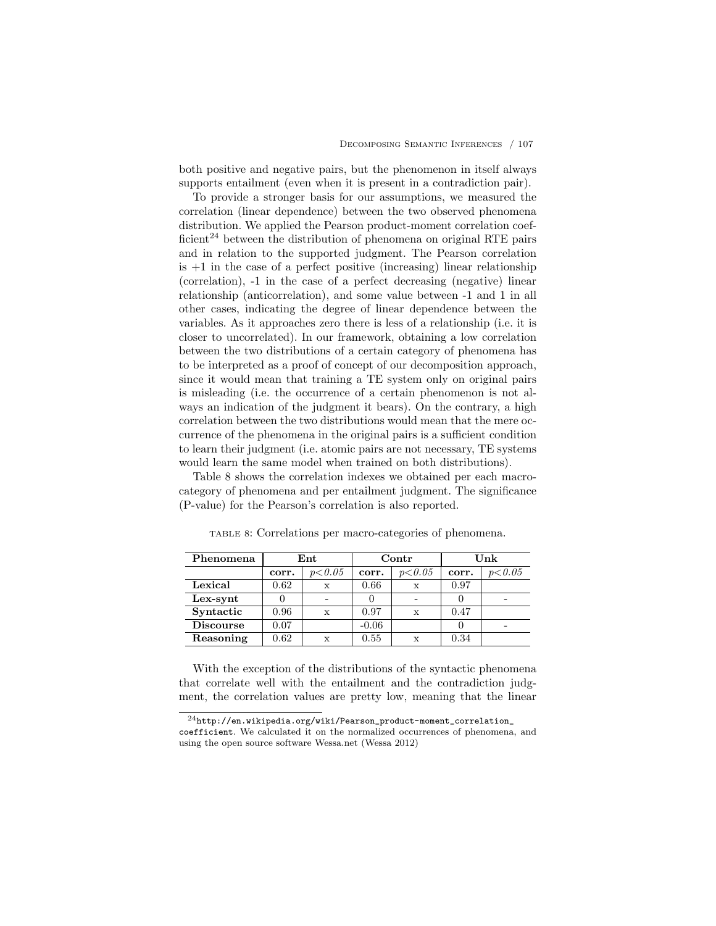both positive and negative pairs, but the phenomenon in itself always supports entailment (even when it is present in a contradiction pair).

To provide a stronger basis for our assumptions, we measured the correlation (linear dependence) between the two observed phenomena distribution. We applied the Pearson product-moment correlation coefficient<sup>24</sup> between the distribution of phenomena on original RTE pairs and in relation to the supported judgment. The Pearson correlation is  $+1$  in the case of a perfect positive (increasing) linear relationship (correlation), -1 in the case of a perfect decreasing (negative) linear relationship (anticorrelation), and some value between -1 and 1 in all other cases, indicating the degree of linear dependence between the variables. As it approaches zero there is less of a relationship (i.e. it is closer to uncorrelated). In our framework, obtaining a low correlation between the two distributions of a certain category of phenomena has to be interpreted as a proof of concept of our decomposition approach, since it would mean that training a TE system only on original pairs is misleading (i.e. the occurrence of a certain phenomenon is not always an indication of the judgment it bears). On the contrary, a high correlation between the two distributions would mean that the mere occurrence of the phenomena in the original pairs is a sufficient condition to learn their judgment (i.e. atomic pairs are not necessary, TE systems would learn the same model when trained on both distributions).

Table 8 shows the correlation indexes we obtained per each macrocategory of phenomena and per entailment judgment. The significance (P-value) for the Pearson's correlation is also reported.

| Phenomena        | Ent   |          | $\operatorname{Contr}$ |             | Unk   |          |
|------------------|-------|----------|------------------------|-------------|-------|----------|
|                  | corr. | p < 0.05 | corr.                  | p < 0.05    | corr. | p < 0.05 |
| Lexical          | 0.62  | X        | 0.66                   | X           | 0.97  |          |
| Lex-synt         |       |          |                        |             |       | -        |
| Syntactic        | 0.96  | X        | 0.97                   | $\mathbf x$ | 0.47  |          |
| <b>Discourse</b> | 0.07  |          | $-0.06$                |             |       |          |
| Reasoning        | 0.62  | X        | 0.55                   | X           | 0.34  |          |

TABLE 8: Correlations per macro-categories of phenomena.

With the exception of the distributions of the syntactic phenomena that correlate well with the entailment and the contradiction judgment, the correlation values are pretty low, meaning that the linear

 $^{24}\mathrm{http://en.wikipedia.org/wiki/Pearson\_product-moment\_correlation\_$ coefficient. We calculated it on the normalized occurrences of phenomena, and using the open source software Wessa.net (Wessa 2012)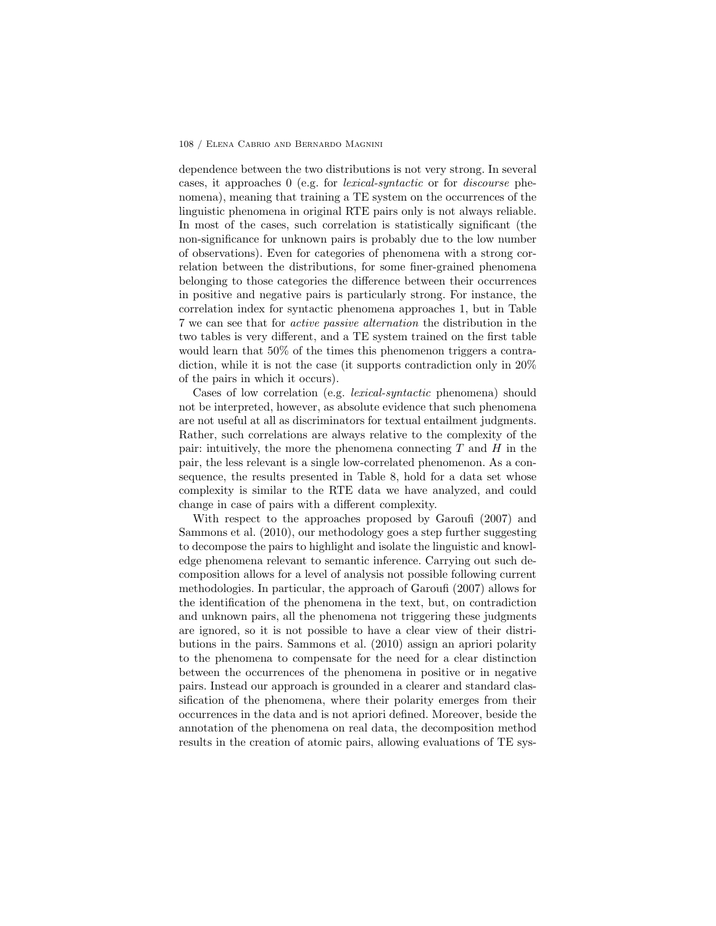dependence between the two distributions is not very strong. In several cases, it approaches 0 (e.g. for *lexical-syntactic* or for *discourse* phenomena), meaning that training a TE system on the occurrences of the linguistic phenomena in original RTE pairs only is not always reliable. In most of the cases, such correlation is statistically significant (the non-significance for unknown pairs is probably due to the low number of observations). Even for categories of phenomena with a strong correlation between the distributions, for some finer-grained phenomena belonging to those categories the difference between their occurrences in positive and negative pairs is particularly strong. For instance, the correlation index for syntactic phenomena approaches 1, but in Table 7 we can see that for *active passive alternation* the distribution in the two tables is very different, and a TE system trained on the first table would learn that 50% of the times this phenomenon triggers a contradiction, while it is not the case (it supports contradiction only in 20% of the pairs in which it occurs).

Cases of low correlation (e.g. *lexical-syntactic* phenomena) should not be interpreted, however, as absolute evidence that such phenomena are not useful at all as discriminators for textual entailment judgments. Rather, such correlations are always relative to the complexity of the pair: intuitively, the more the phenomena connecting *T* and *H* in the pair, the less relevant is a single low-correlated phenomenon. As a consequence, the results presented in Table 8, hold for a data set whose complexity is similar to the RTE data we have analyzed, and could change in case of pairs with a different complexity.

With respect to the approaches proposed by Garoufi (2007) and Sammons et al. (2010), our methodology goes a step further suggesting to decompose the pairs to highlight and isolate the linguistic and knowledge phenomena relevant to semantic inference. Carrying out such decomposition allows for a level of analysis not possible following current methodologies. In particular, the approach of Garoufi (2007) allows for the identification of the phenomena in the text, but, on contradiction and unknown pairs, all the phenomena not triggering these judgments are ignored, so it is not possible to have a clear view of their distributions in the pairs. Sammons et al. (2010) assign an apriori polarity to the phenomena to compensate for the need for a clear distinction between the occurrences of the phenomena in positive or in negative pairs. Instead our approach is grounded in a clearer and standard classification of the phenomena, where their polarity emerges from their occurrences in the data and is not apriori defined. Moreover, beside the annotation of the phenomena on real data, the decomposition method results in the creation of atomic pairs, allowing evaluations of TE sys-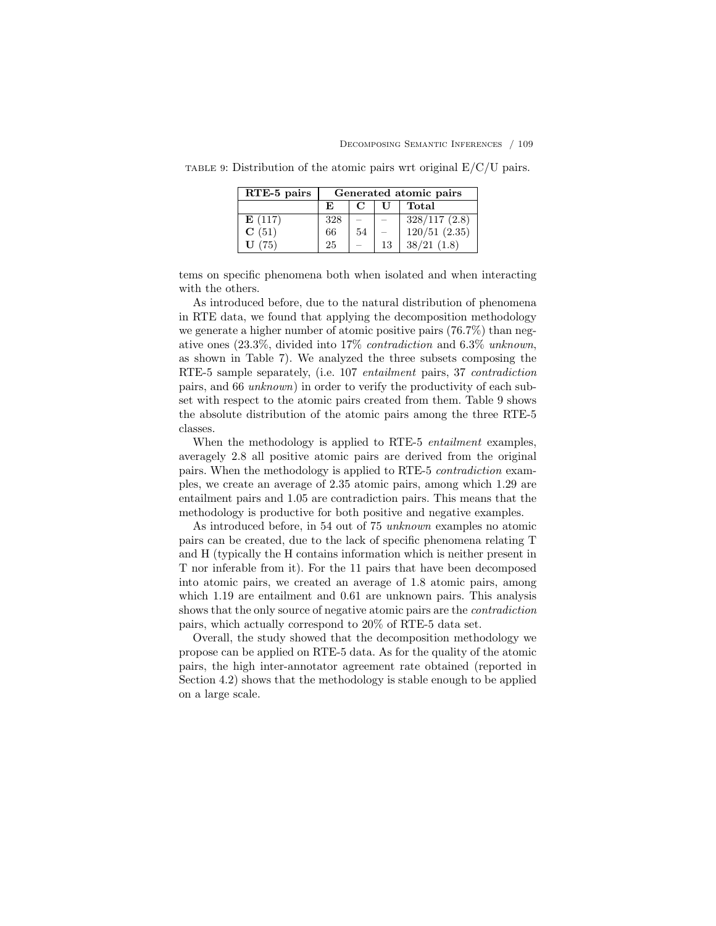| RTE-5 pairs        | Generated atomic pairs |             |    |                   |
|--------------------|------------------------|-------------|----|-------------------|
|                    | E,                     | $\mathbf C$ | ŦТ | Total             |
| $\mathbf{E}$ (117) | 328                    |             |    | 328/117(2.8)      |
| C(51)              | 66                     | 54          |    | $120/51$ $(2.35)$ |
| U(75)              | 25                     |             | 13 | 38/21(1.8)        |

TABLE 9: Distribution of the atomic pairs wrt original  $E/C/U$  pairs.

tems on specific phenomena both when isolated and when interacting with the others.

As introduced before, due to the natural distribution of phenomena in RTE data, we found that applying the decomposition methodology we generate a higher number of atomic positive pairs (76.7%) than negative ones (23.3%, divided into 17% *contradiction* and 6.3% *unknown*, as shown in Table 7). We analyzed the three subsets composing the RTE-5 sample separately, (i.e. 107 *entailment* pairs, 37 *contradiction* pairs, and 66 *unknown*) in order to verify the productivity of each subset with respect to the atomic pairs created from them. Table 9 shows the absolute distribution of the atomic pairs among the three RTE-5 classes.

When the methodology is applied to RTE-5 *entailment* examples, averagely 2.8 all positive atomic pairs are derived from the original pairs. When the methodology is applied to RTE-5 *contradiction* examples, we create an average of 2.35 atomic pairs, among which 1.29 are entailment pairs and 1.05 are contradiction pairs. This means that the methodology is productive for both positive and negative examples.

As introduced before, in 54 out of 75 *unknown* examples no atomic pairs can be created, due to the lack of specific phenomena relating T and H (typically the H contains information which is neither present in T nor inferable from it). For the 11 pairs that have been decomposed into atomic pairs, we created an average of 1.8 atomic pairs, among which 1.19 are entailment and 0.61 are unknown pairs. This analysis shows that the only source of negative atomic pairs are the *contradiction* pairs, which actually correspond to 20% of RTE-5 data set.

Overall, the study showed that the decomposition methodology we propose can be applied on RTE-5 data. As for the quality of the atomic pairs, the high inter-annotator agreement rate obtained (reported in Section 4.2) shows that the methodology is stable enough to be applied on a large scale.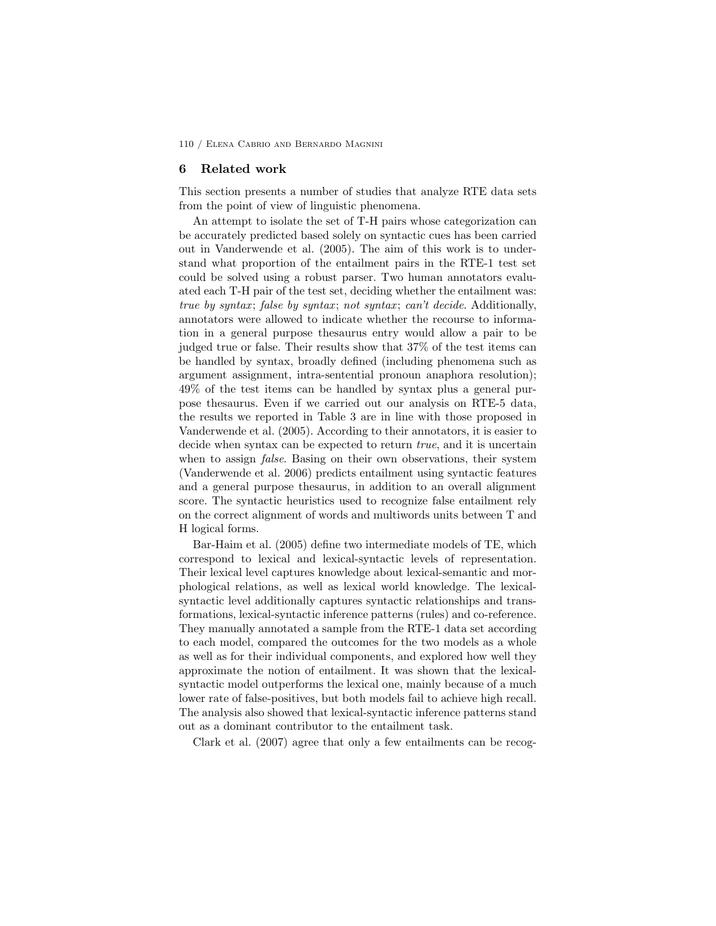### 6 Related work

This section presents a number of studies that analyze RTE data sets from the point of view of linguistic phenomena.

An attempt to isolate the set of T-H pairs whose categorization can be accurately predicted based solely on syntactic cues has been carried out in Vanderwende et al. (2005). The aim of this work is to understand what proportion of the entailment pairs in the RTE-1 test set could be solved using a robust parser. Two human annotators evaluated each T-H pair of the test set, deciding whether the entailment was: *true by syntax* ; *false by syntax* ; *not syntax* ; *can't decide*. Additionally, annotators were allowed to indicate whether the recourse to information in a general purpose thesaurus entry would allow a pair to be judged true or false. Their results show that 37% of the test items can be handled by syntax, broadly defined (including phenomena such as argument assignment, intra-sentential pronoun anaphora resolution); 49% of the test items can be handled by syntax plus a general purpose thesaurus. Even if we carried out our analysis on RTE-5 data, the results we reported in Table 3 are in line with those proposed in Vanderwende et al. (2005). According to their annotators, it is easier to decide when syntax can be expected to return *true*, and it is uncertain when to assign *false*. Basing on their own observations, their system (Vanderwende et al. 2006) predicts entailment using syntactic features and a general purpose thesaurus, in addition to an overall alignment score. The syntactic heuristics used to recognize false entailment rely on the correct alignment of words and multiwords units between T and H logical forms.

Bar-Haim et al. (2005) define two intermediate models of TE, which correspond to lexical and lexical-syntactic levels of representation. Their lexical level captures knowledge about lexical-semantic and morphological relations, as well as lexical world knowledge. The lexicalsyntactic level additionally captures syntactic relationships and transformations, lexical-syntactic inference patterns (rules) and co-reference. They manually annotated a sample from the RTE-1 data set according to each model, compared the outcomes for the two models as a whole as well as for their individual components, and explored how well they approximate the notion of entailment. It was shown that the lexicalsyntactic model outperforms the lexical one, mainly because of a much lower rate of false-positives, but both models fail to achieve high recall. The analysis also showed that lexical-syntactic inference patterns stand out as a dominant contributor to the entailment task.

Clark et al. (2007) agree that only a few entailments can be recog-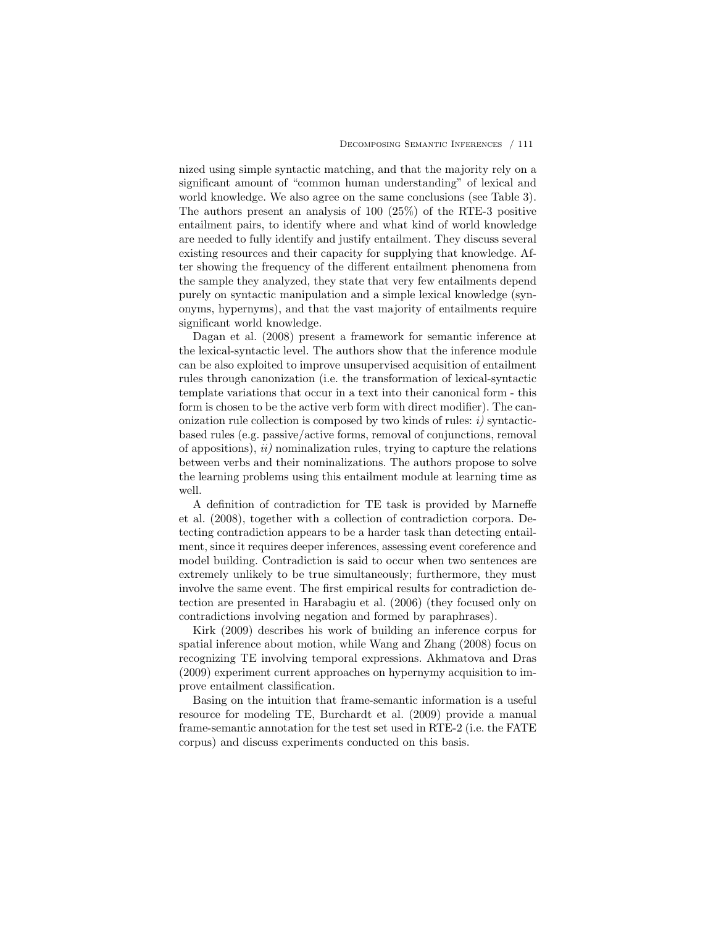nized using simple syntactic matching, and that the majority rely on a significant amount of "common human understanding" of lexical and world knowledge. We also agree on the same conclusions (see Table 3). The authors present an analysis of 100 (25%) of the RTE-3 positive entailment pairs, to identify where and what kind of world knowledge are needed to fully identify and justify entailment. They discuss several existing resources and their capacity for supplying that knowledge. After showing the frequency of the different entailment phenomena from the sample they analyzed, they state that very few entailments depend purely on syntactic manipulation and a simple lexical knowledge (synonyms, hypernyms), and that the vast majority of entailments require significant world knowledge.

Dagan et al. (2008) present a framework for semantic inference at the lexical-syntactic level. The authors show that the inference module can be also exploited to improve unsupervised acquisition of entailment rules through canonization (i.e. the transformation of lexical-syntactic template variations that occur in a text into their canonical form - this form is chosen to be the active verb form with direct modifier). The canonization rule collection is composed by two kinds of rules: *i)* syntacticbased rules (e.g. passive/active forms, removal of conjunctions, removal of appositions), *ii)* nominalization rules, trying to capture the relations between verbs and their nominalizations. The authors propose to solve the learning problems using this entailment module at learning time as well.

A definition of contradiction for TE task is provided by Marneffe et al. (2008), together with a collection of contradiction corpora. Detecting contradiction appears to be a harder task than detecting entailment, since it requires deeper inferences, assessing event coreference and model building. Contradiction is said to occur when two sentences are extremely unlikely to be true simultaneously; furthermore, they must involve the same event. The first empirical results for contradiction detection are presented in Harabagiu et al. (2006) (they focused only on contradictions involving negation and formed by paraphrases).

Kirk (2009) describes his work of building an inference corpus for spatial inference about motion, while Wang and Zhang (2008) focus on recognizing TE involving temporal expressions. Akhmatova and Dras (2009) experiment current approaches on hypernymy acquisition to improve entailment classification.

Basing on the intuition that frame-semantic information is a useful resource for modeling TE, Burchardt et al. (2009) provide a manual frame-semantic annotation for the test set used in RTE-2 (i.e. the FATE corpus) and discuss experiments conducted on this basis.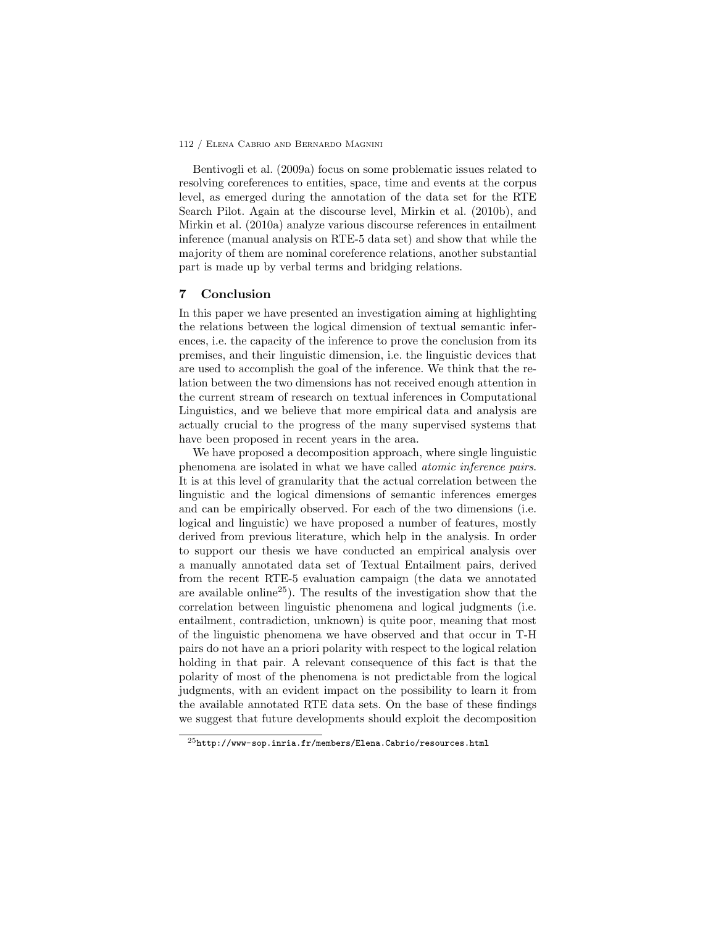Bentivogli et al. (2009a) focus on some problematic issues related to resolving coreferences to entities, space, time and events at the corpus level, as emerged during the annotation of the data set for the RTE Search Pilot. Again at the discourse level, Mirkin et al. (2010b), and Mirkin et al. (2010a) analyze various discourse references in entailment inference (manual analysis on RTE-5 data set) and show that while the majority of them are nominal coreference relations, another substantial part is made up by verbal terms and bridging relations.

# 7 Conclusion

In this paper we have presented an investigation aiming at highlighting the relations between the logical dimension of textual semantic inferences, i.e. the capacity of the inference to prove the conclusion from its premises, and their linguistic dimension, i.e. the linguistic devices that are used to accomplish the goal of the inference. We think that the relation between the two dimensions has not received enough attention in the current stream of research on textual inferences in Computational Linguistics, and we believe that more empirical data and analysis are actually crucial to the progress of the many supervised systems that have been proposed in recent years in the area.

We have proposed a decomposition approach, where single linguistic phenomena are isolated in what we have called *atomic inference pairs*. It is at this level of granularity that the actual correlation between the linguistic and the logical dimensions of semantic inferences emerges and can be empirically observed. For each of the two dimensions (i.e. logical and linguistic) we have proposed a number of features, mostly derived from previous literature, which help in the analysis. In order to support our thesis we have conducted an empirical analysis over a manually annotated data set of Textual Entailment pairs, derived from the recent RTE-5 evaluation campaign (the data we annotated are available online<sup>25</sup>). The results of the investigation show that the correlation between linguistic phenomena and logical judgments (i.e. entailment, contradiction, unknown) is quite poor, meaning that most of the linguistic phenomena we have observed and that occur in T-H pairs do not have an a priori polarity with respect to the logical relation holding in that pair. A relevant consequence of this fact is that the polarity of most of the phenomena is not predictable from the logical judgments, with an evident impact on the possibility to learn it from the available annotated RTE data sets. On the base of these findings we suggest that future developments should exploit the decomposition

 $^{25}\mathrm{http://www-sop.inria.fr/members/Elena.Cabrio/resources.html}$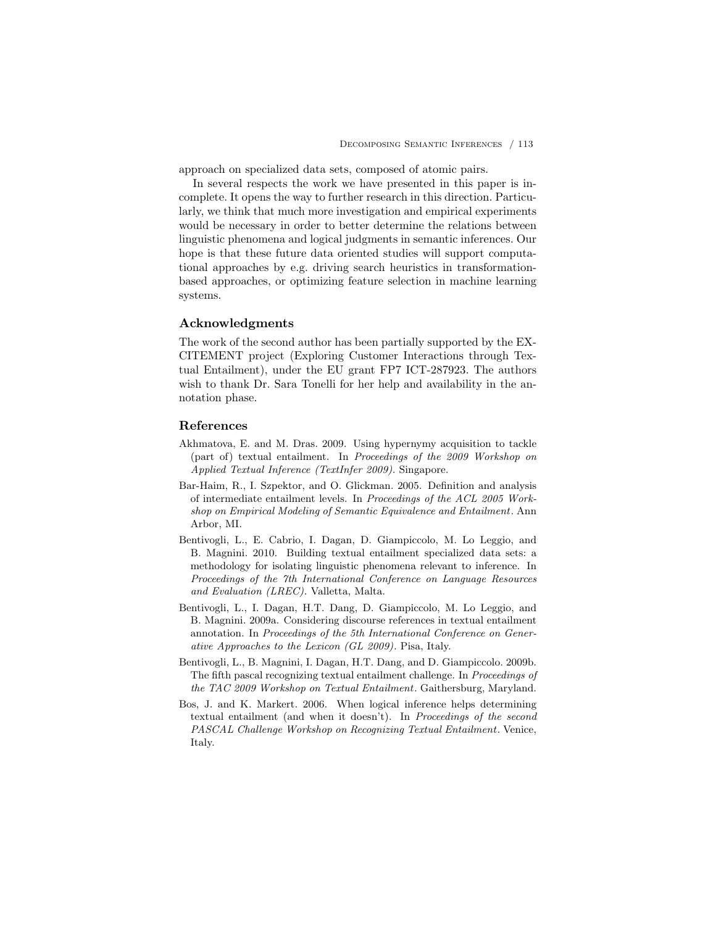approach on specialized data sets, composed of atomic pairs.

In several respects the work we have presented in this paper is incomplete. It opens the way to further research in this direction. Particularly, we think that much more investigation and empirical experiments would be necessary in order to better determine the relations between linguistic phenomena and logical judgments in semantic inferences. Our hope is that these future data oriented studies will support computational approaches by e.g. driving search heuristics in transformationbased approaches, or optimizing feature selection in machine learning systems.

### Acknowledgments

The work of the second author has been partially supported by the EX-CITEMENT project (Exploring Customer Interactions through Textual Entailment), under the EU grant FP7 ICT-287923. The authors wish to thank Dr. Sara Tonelli for her help and availability in the annotation phase.

### References

- Akhmatova, E. and M. Dras. 2009. Using hypernymy acquisition to tackle (part of) textual entailment. In *Proceedings of the 2009 Workshop on Applied Textual Inference (TextInfer 2009)*. Singapore.
- Bar-Haim, R., I. Szpektor, and O. Glickman. 2005. Definition and analysis of intermediate entailment levels. In *Proceedings of the ACL 2005 Workshop on Empirical Modeling of Semantic Equivalence and Entailment*. Ann Arbor, MI.
- Bentivogli, L., E. Cabrio, I. Dagan, D. Giampiccolo, M. Lo Leggio, and B. Magnini. 2010. Building textual entailment specialized data sets: a methodology for isolating linguistic phenomena relevant to inference. In *Proceedings of the 7th International Conference on Language Resources and Evaluation (LREC)*. Valletta, Malta.
- Bentivogli, L., I. Dagan, H.T. Dang, D. Giampiccolo, M. Lo Leggio, and B. Magnini. 2009a. Considering discourse references in textual entailment annotation. In *Proceedings of the 5th International Conference on Generative Approaches to the Lexicon (GL 2009)*. Pisa, Italy.
- Bentivogli, L., B. Magnini, I. Dagan, H.T. Dang, and D. Giampiccolo. 2009b. The fifth pascal recognizing textual entailment challenge. In *Proceedings of the TAC 2009 Workshop on Textual Entailment*. Gaithersburg, Maryland.
- Bos, J. and K. Markert. 2006. When logical inference helps determining textual entailment (and when it doesn't). In *Proceedings of the second PASCAL Challenge Workshop on Recognizing Textual Entailment*. Venice, Italy.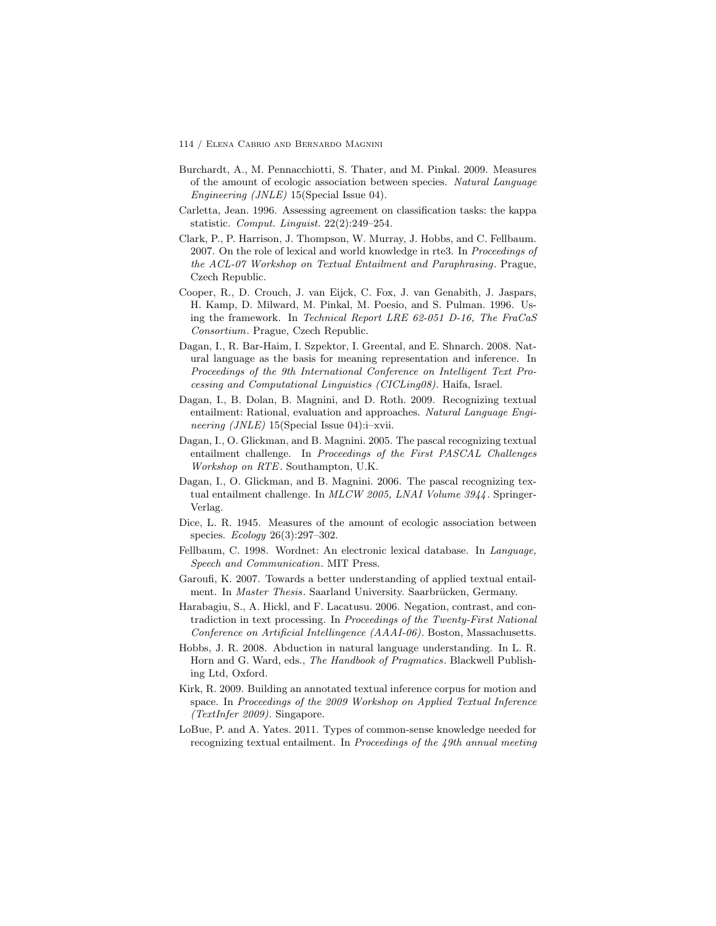- Burchardt, A., M. Pennacchiotti, S. Thater, and M. Pinkal. 2009. Measures of the amount of ecologic association between species. *Natural Language Engineering (JNLE)* 15(Special Issue 04).
- Carletta, Jean. 1996. Assessing agreement on classification tasks: the kappa statistic. *Comput. Linguist.* 22(2):249–254.
- Clark, P., P. Harrison, J. Thompson, W. Murray, J. Hobbs, and C. Fellbaum. 2007. On the role of lexical and world knowledge in rte3. In *Proceedings of the ACL-07 Workshop on Textual Entailment and Paraphrasing*. Prague, Czech Republic.
- Cooper, R., D. Crouch, J. van Eijck, C. Fox, J. van Genabith, J. Jaspars, H. Kamp, D. Milward, M. Pinkal, M. Poesio, and S. Pulman. 1996. Using the framework. In *Technical Report LRE 62-051 D-16, The FraCaS Consortium*. Prague, Czech Republic.
- Dagan, I., R. Bar-Haim, I. Szpektor, I. Greental, and E. Shnarch. 2008. Natural language as the basis for meaning representation and inference. In *Proceedings of the 9th International Conference on Intelligent Text Processing and Computational Linguistics (CICLing08)*. Haifa, Israel.
- Dagan, I., B. Dolan, B. Magnini, and D. Roth. 2009. Recognizing textual entailment: Rational, evaluation and approaches. *Natural Language Engineering (JNLE)* 15(Special Issue 04):i–xvii.
- Dagan, I., O. Glickman, and B. Magnini. 2005. The pascal recognizing textual entailment challenge. In *Proceedings of the First PASCAL Challenges Workshop on RTE*. Southampton, U.K.
- Dagan, I., O. Glickman, and B. Magnini. 2006. The pascal recognizing textual entailment challenge. In *MLCW 2005, LNAI Volume 3944* . Springer-Verlag.
- Dice, L. R. 1945. Measures of the amount of ecologic association between species. *Ecology* 26(3):297–302.
- Fellbaum, C. 1998. Wordnet: An electronic lexical database. In *Language, Speech and Communication*. MIT Press.
- Garoufi, K. 2007. Towards a better understanding of applied textual entailment. In *Master Thesis*. Saarland University. Saarbrücken, Germany.
- Harabagiu, S., A. Hickl, and F. Lacatusu. 2006. Negation, contrast, and contradiction in text processing. In *Proceedings of the Twenty-First National Conference on Artificial Intellingence (AAAI-06)*. Boston, Massachusetts.
- Hobbs, J. R. 2008. Abduction in natural language understanding. In L. R. Horn and G. Ward, eds., *The Handbook of Pragmatics*. Blackwell Publishing Ltd, Oxford.
- Kirk, R. 2009. Building an annotated textual inference corpus for motion and space. In *Proceedings of the 2009 Workshop on Applied Textual Inference (TextInfer 2009)*. Singapore.
- LoBue, P. and A. Yates. 2011. Types of common-sense knowledge needed for recognizing textual entailment. In *Proceedings of the 49th annual meeting*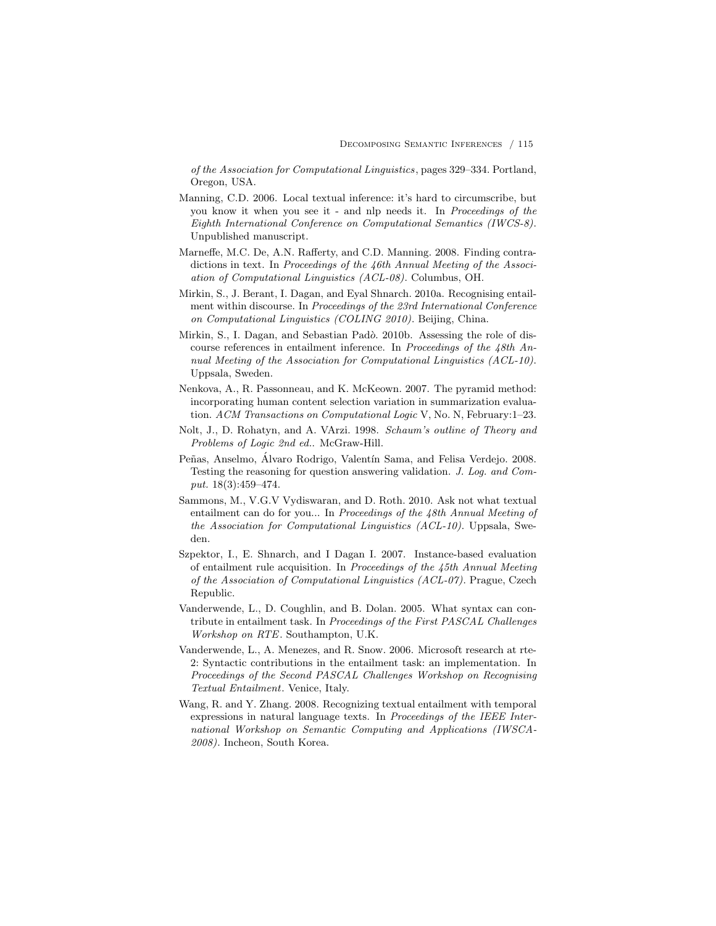*of the Association for Computational Linguistics*, pages 329–334. Portland, Oregon, USA.

- Manning, C.D. 2006. Local textual inference: it's hard to circumscribe, but you know it when you see it - and nlp needs it. In *Proceedings of the Eighth International Conference on Computational Semantics (IWCS-8)*. Unpublished manuscript.
- Marneffe, M.C. De, A.N. Rafferty, and C.D. Manning. 2008. Finding contradictions in text. In *Proceedings of the 46th Annual Meeting of the Association of Computational Linguistics (ACL-08)*. Columbus, OH.
- Mirkin, S., J. Berant, I. Dagan, and Eyal Shnarch. 2010a. Recognising entailment within discourse. In *Proceedings of the 23rd International Conference on Computational Linguistics (COLING 2010)*. Beijing, China.
- Mirkin, S., I. Dagan, and Sebastian Padò. 2010b. Assessing the role of discourse references in entailment inference. In *Proceedings of the 48th Annual Meeting of the Association for Computational Linguistics (ACL-10)*. Uppsala, Sweden.
- Nenkova, A., R. Passonneau, and K. McKeown. 2007. The pyramid method: incorporating human content selection variation in summarization evaluation. *ACM Transactions on Computational Logic* V, No. N, February:1–23.
- Nolt, J., D. Rohatyn, and A. VArzi. 1998. *Schaum's outline of Theory and Problems of Logic 2nd ed.*. McGraw-Hill.
- Peñas, Anselmo, Álvaro Rodrigo, Valentín Sama, and Felisa Verdejo. 2008. Testing the reasoning for question answering validation. *J. Log. and Comput.* 18(3):459–474.
- Sammons, M., V.G.V Vydiswaran, and D. Roth. 2010. Ask not what textual entailment can do for you... In *Proceedings of the 48th Annual Meeting of the Association for Computational Linguistics (ACL-10)*. Uppsala, Sweden.
- Szpektor, I., E. Shnarch, and I Dagan I. 2007. Instance-based evaluation of entailment rule acquisition. In *Proceedings of the 45th Annual Meeting of the Association of Computational Linguistics (ACL-07)*. Prague, Czech Republic.
- Vanderwende, L., D. Coughlin, and B. Dolan. 2005. What syntax can contribute in entailment task. In *Proceedings of the First PASCAL Challenges Workshop on RTE*. Southampton, U.K.
- Vanderwende, L., A. Menezes, and R. Snow. 2006. Microsoft research at rte-2: Syntactic contributions in the entailment task: an implementation. In *Proceedings of the Second PASCAL Challenges Workshop on Recognising Textual Entailment*. Venice, Italy.
- Wang, R. and Y. Zhang. 2008. Recognizing textual entailment with temporal expressions in natural language texts. In *Proceedings of the IEEE International Workshop on Semantic Computing and Applications (IWSCA-2008)*. Incheon, South Korea.